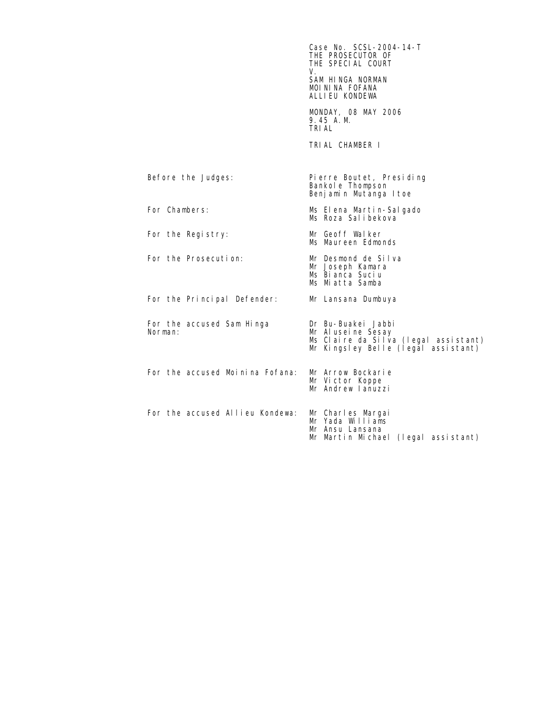$\textsf{Case No. SCSL-2004-14-T}$ THE PROSECUTOR OF THE SPECIAL COURT<br>V. V. SAM HINGA NORMAN MOININA FOFANA ALLIEU KONDEWA MONDAY, 08 MAY 2006 9.45 A.M. TRIAL TRIAL CHAMBER I Before the Judges: Pierre Boutet, Presiding Bankole Thompson Benjamin Mutanga Itoe For Chambers: Ms Elena Martin-Salgado Ms Roza Salibekova For the Registry: Mr Geoff Walker Ms Maureen Edmonds For the Prosecution: Mr Desmond de Silva Mr Joseph Kamara Ms Bianca Suciu Ms Miatta Samba For the Principal Defender: Mr Lansana Dumbuya For the accused Sam Hinga Dr Bu-Buakei Jabbi<br>Norman: Mr Aluseine Sesay Mr Aluseine Sesay Ms Claire da Silva (legal assistant) Mr Kingsley Belle (legal assistant) For the accused Moinina Fofana: Mr Arrow Bockarie<br>Mr Victor Koppe Mr Andrew Ianuzzi For the accused Allieu Kondewa: Mr Charles Margai Mr Yada Williams Mr Ansu Lansana Mr Martin Michael (legal assistant)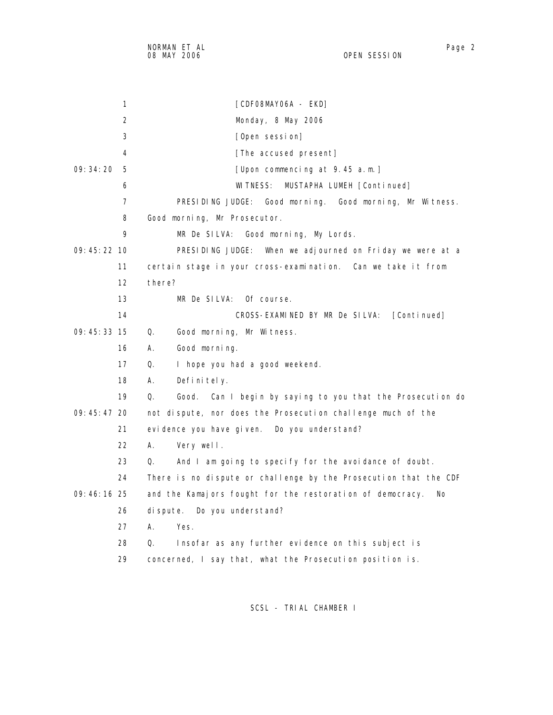| 1                 | [CDFO8MAYO6A - EKD]                                          |
|-------------------|--------------------------------------------------------------|
| 2                 | Monday, 8 May 2006                                           |
| 3                 | [Open session]                                               |
| 4                 | [The accused present]                                        |
| 09:34:20<br>5     | [Upon commencing at 9.45 a.m.]                               |
| 6                 | WITNESS: MUSTAPHA LUMEH [Continued]                          |
| 7                 | PRESIDING JUDGE: Good morning. Good morning, Mr Witness.     |
| 8                 | Good morning, Mr Prosecutor.                                 |
| 9                 | MR De SILVA: Good morning, My Lords.                         |
| $09:45:22$ 10     | PRESIDING JUDGE: When we adjourned on Friday we were at a    |
| 11                | certain stage in your cross-examination. Can we take it from |
| $12 \overline{ }$ | there?                                                       |
| 13                | MR De SILVA: Of course.                                      |
| 14                | CROSS-EXAMINED BY MR De SILVA:<br>[Continued]                |

09:45:33 15 Q. Good morning, Mr Witness.

16 A. Good morning.

17 Q. I hope you had a good weekend.

18 A. Definitely.

 19 Q. Good. Can I begin by saying to you that the Prosecution do 09:45:47 20 not dispute, nor does the Prosecution challenge much of the 21 evidence you have given. Do you understand?

- 22 A. Very well.
- 23 Q. And I am going to specify for the avoidance of doubt.
- 24 There is no dispute or challenge by the Prosecution that the CDF
- 09:46:16 25 and the Kamajors fought for the restoration of democracy. No
	- 26 dispute. Do you understand?
	- 27 A. Yes.
	- 28 Q. Insofar as any further evidence on this subject is
	- 29 concerned, I say that, what the Prosecution position is.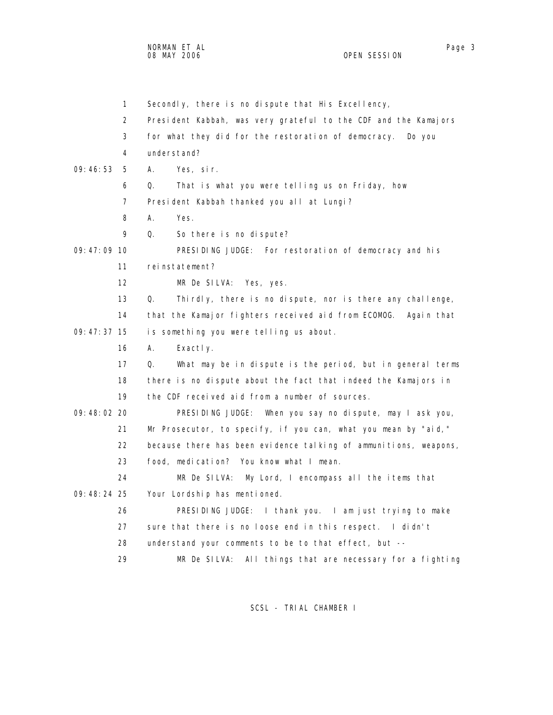NORMAN ET AL Page 3

 1 Secondly, there is no dispute that His Excellency, 2 President Kabbah, was very grateful to the CDF and the Kamajors 3 for what they did for the restoration of democracy. Do you 4 understand? 09:46:53 5 A. Yes, sir. 6 Q. That is what you were telling us on Friday, how 7 President Kabbah thanked you all at Lungi? 8 A. Yes. 9 Q. So there is no dispute? 09:47:09 10 PRESIDING JUDGE: For restoration of democracy and his 11 reinstatement? 12 MR De SILVA: Yes, yes. 13 Q. Thirdly, there is no dispute, nor is there any challenge, 14 that the Kamajor fighters received aid from ECOMOG. Again that 09:47:37 15 is something you were telling us about. 16 A. Exactly. 17 Q. What may be in dispute is the period, but in general terms 18 there is no dispute about the fact that indeed the Kamajors in 19 the CDF received aid from a number of sources. 09:48:02 20 PRESIDING JUDGE: When you say no dispute, may I ask you, 21 Mr Prosecutor, to specify, if you can, what you mean by "aid," 22 because there has been evidence talking of ammunitions, weapons, 23 food, medication? You know what I mean. 24 MR De SILVA: My Lord, I encompass all the items that 09:48:24 25 Your Lordship has mentioned. 26 PRESIDING JUDGE: I thank you. I am just trying to make 27 sure that there is no loose end in this respect. I didn't 28 understand your comments to be to that effect, but -- 29 MR De SILVA: All things that are necessary for a fighting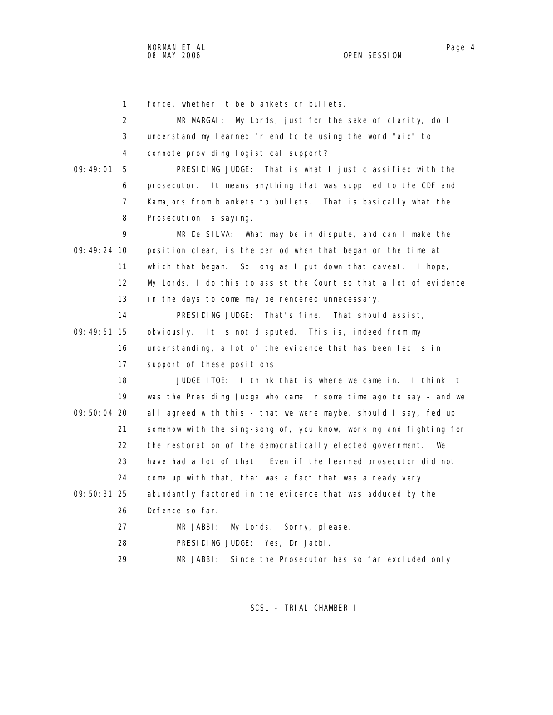1 force, whether it be blankets or bullets. 2 MR MARGAI: My Lords, just for the sake of clarity, do I 3 understand my learned friend to be using the word "aid" to 4 connote providing logistical support? 09:49:01 5 PRESIDING JUDGE: That is what I just classified with the 6 prosecutor. It means anything that was supplied to the CDF and 7 Kamajors from blankets to bullets. That is basically what the 8 Prosecution is saying. 9 MR De SILVA: What may be in dispute, and can I make the 09:49:24 10 position clear, is the period when that began or the time at 11 which that began. So long as I put down that caveat. I hope, 12 My Lords, I do this to assist the Court so that a lot of evidence 13 in the days to come may be rendered unnecessary. 14 PRESIDING JUDGE: That's fine. That should assist, 09:49:51 15 obviously. It is not disputed. This is, indeed from my 16 understanding, a lot of the evidence that has been led is in 17 support of these positions. 18 JUDGE ITOE: I think that is where we came in. I think it 19 was the Presiding Judge who came in some time ago to say - and we 09:50:04 20 all agreed with this - that we were maybe, should I say, fed up 21 somehow with the sing-song of, you know, working and fighting for 22 the restoration of the democratically elected government. We 23 have had a lot of that. Even if the learned prosecutor did not 24 come up with that, that was a fact that was already very 09:50:31 25 abundantly factored in the evidence that was adduced by the 26 Defence so far. 27 MR JABBI: My Lords. Sorry, please. 28 PRESIDING JUDGE: Yes, Dr Jabbi. 29 MR JABBI: Since the Prosecutor has so far excluded only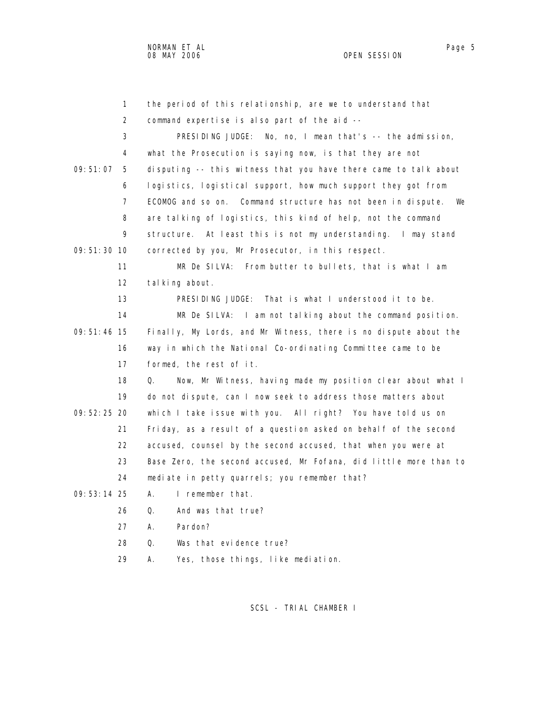| 1              | the period of this relationship, are we to understand that         |
|----------------|--------------------------------------------------------------------|
| 2              | command expertise is also part of the aid --                       |
| 3              | PRESIDING JUDGE: No, no, I mean that's -- the admission,           |
| 4              | what the Prosecution is saying now, is that they are not           |
| 09:51:07<br>5  | disputing -- this witness that you have there came to talk about   |
| 6              | logistics, logistical support, how much support they got from      |
| $\overline{7}$ | ECOMOG and so on. Command structure has not been in dispute.<br>We |
| 8              | are talking of logistics, this kind of help, not the command       |
| 9              | structure. At least this is not my understanding. I may stand      |
| 09: 51: 30 10  | corrected by you, Mr Prosecutor, in this respect.                  |
| 11             | MR De SILVA: From butter to bullets, that is what I am             |
| 12             | tal king about.                                                    |
| 13             | PRESIDING JUDGE: That is what I understood it to be.               |
| 14             | MR De SILVA: I am not talking about the command position.          |
| $09:51:46$ 15  | Finally, My Lords, and Mr Witness, there is no dispute about the   |
| 16             | way in which the National Co-ordinating Committee came to be       |
| 17             | formed, the rest of it.                                            |
| 18             | Now, Mr Witness, having made my position clear about what I<br>Q.  |
| 19             | do not dispute, can I now seek to address those matters about      |
| 09: 52: 25 20  | which I take issue with you. All right? You have told us on        |
| 21             | Friday, as a result of a question asked on behalf of the second    |
| 22             | accused, counsel by the second accused, that when you were at      |
| 23             | Base Zero, the second accused, Mr Fofana, did little more than to  |
| 24             | mediate in petty quarrels; you remember that?                      |
| $09:53:14$ 25  | I remember that.<br>А.                                             |
| 26             | And was that true?<br>Q.                                           |
| 27             | А.<br>Pardon?                                                      |
| 28             | 0.<br>Was that evidence true?                                      |
| 29             | Α.<br>Yes, those things, like mediation.                           |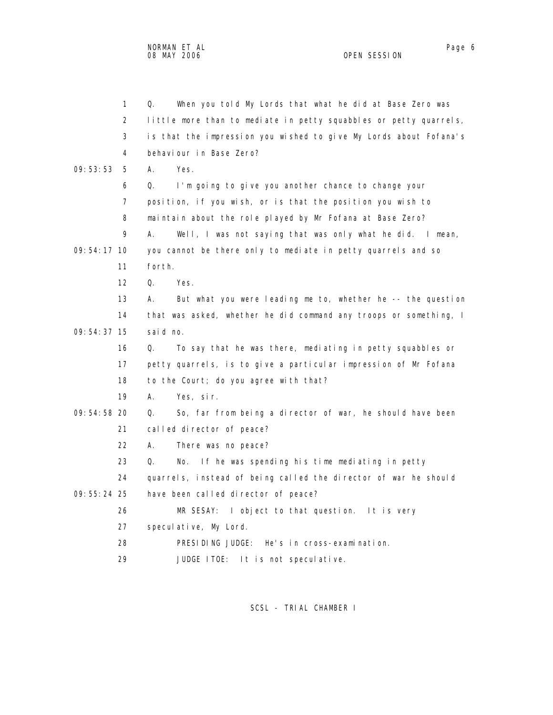NORMAN ET AL Page 6 08 MAY 2006 OPEN SESSION

|               | $\mathbf{1}$ | Q.<br>When you told My Lords that what he did at Base Zero was    |
|---------------|--------------|-------------------------------------------------------------------|
|               | 2            | little more than to mediate in petty squabbles or petty quarrels, |
|               | 3            | is that the impression you wished to give My Lords about Fofana's |
|               | 4            | behaviour in Base Zero?                                           |
| 09: 53: 53    | 5            | А.<br>Yes.                                                        |
|               | 6            | I'm going to give you another chance to change your<br>Q.         |
|               | 7            | position, if you wish, or is that the position you wish to        |
|               | 8            | maintain about the role played by Mr Fofana at Base Zero?         |
|               | 9            | Well, I was not saying that was only what he did. I mean,<br>А.   |
| 09:54:17 10   |              | you cannot be there only to mediate in petty quarrels and so      |
|               | 11           | forth.                                                            |
|               | 12           | $\Omega$ .<br>Yes.                                                |
|               | 13           | But what you were leading me to, whether he -- the question<br>А. |
|               | 14           | that was asked, whether he did command any troops or something, I |
| 09: 54: 37 15 |              | said no.                                                          |
|               | 16           | To say that he was there, mediating in petty squabbles or<br>Q.   |
|               | 17           | petty quarrels, is to give a particular impression of Mr Fofana   |
|               | 18           | to the Court; do you agree with that?                             |
|               | 19           | А.<br>Yes, sir.                                                   |
| 09: 54: 58 20 |              | So, far from being a director of war, he should have been<br>Q.   |
|               | 21           | called director of peace?                                         |
|               | 22           | А.<br>There was no peace?                                         |
|               | 23           | Q.<br>If he was spending his time mediating in petty<br>No.       |
|               | 24           | quarrels, instead of being called the director of war he should   |
| $09:55:24$ 25 |              | have been called director of peace?                               |
|               | 26           | MR SESAY:<br>I object to that question. It is very                |
|               | 27           | speculative, My Lord.                                             |
|               | 28           | PRESIDING JUDGE: He's in cross-examination.                       |
|               | 29           | JUDGE ITOE: It is not speculative.                                |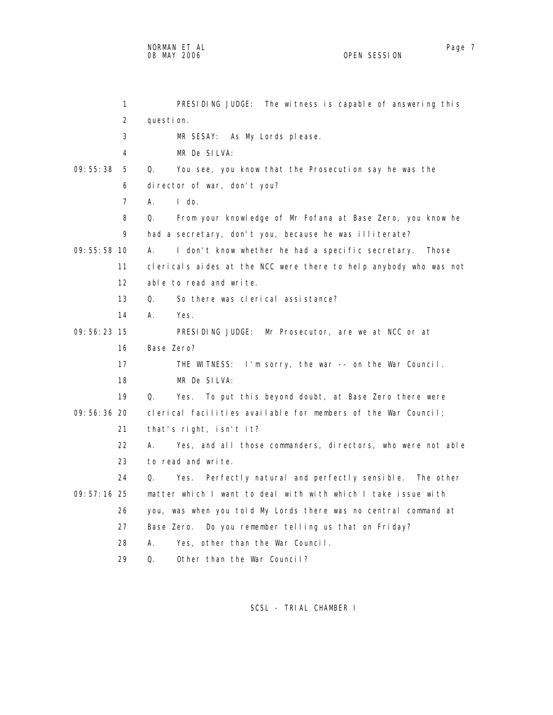| 1              | PRESIDING JUDGE: The witness is capable of answering this         |
|----------------|-------------------------------------------------------------------|
| 2              | question.                                                         |
| 3              | MR SESAY: As My Lords please.                                     |
| 4              | MR De SILVA:                                                      |
| 09:55:38<br>5  | You see, you know that the Prosecution say he was the<br>Q.       |
| 6              | director of war, don't you?                                       |
| $\overline{7}$ | $A_{1}$<br>$\mathsf{I}$ do.                                       |
| 8              | Q.<br>From your knowledge of Mr Fofana at Base Zero, you know he  |
| 9              | had a secretary, don't you, because he was illiterate?            |
| 09: 55: 58 10  | А.<br>I don't know whether he had a specific secretary. Those     |
| 11             | clericals aides at the NCC were there to help anybody who was not |
| 12             | able to read and write.                                           |
| 13             | Q.<br>So there was clerical assistance?                           |
| 14             | А.<br>Yes.                                                        |
| $09:56:23$ 15  | PRESIDING JUDGE: Mr Prosecutor, are we at NCC or at               |
| 16             | Base Zero?                                                        |
| 17             | THE WITNESS: I'm sorry, the war -- on the War Council.            |
| 18             | MR De SILVA:                                                      |
| 19             | Q.<br>To put this beyond doubt, at Base Zero there were<br>Yes.   |
| 09:56:36 20    | clerical facilities available for members of the War Council;     |
| 21             | that's right, isn't it?                                           |
| 22             | А.<br>Yes, and all those commanders, directors, who were not able |
| 23             | to read and write.                                                |
| 24             | Perfectly natural and perfectly sensible. The other<br>Q.<br>Yes. |
| $09:57:16$ 25  | matter which I want to deal with with which I take issue with     |
| 26             | you, was when you told My Lords there was no central command at   |
| 27             | Base Zero.<br>Do you remember telling us that on Friday?          |
| 28             | Yes, other than the War Council.<br>А.                            |
| 29             | Other than the War Council?<br>Q.                                 |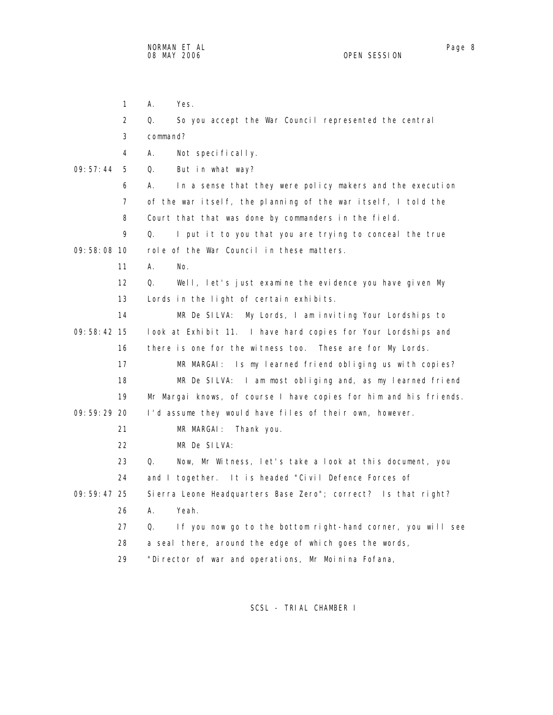1 A. Yes. 2 Q. So you accept the War Council represented the central 3 command? 4 A. Not specifically. 09:57:44 5 Q. But in what way? 6 A. In a sense that they were policy makers and the execution 7 of the war itself, the planning of the war itself, I told the 8 Court that that was done by commanders in the field. 9 Q. I put it to you that you are trying to conceal the true 09:58:08 10 role of the War Council in these matters. 11 A. No. 12 Q. Well, let's just examine the evidence you have given My 13 Lords in the light of certain exhibits. 14 MR De SILVA: My Lords, I am inviting Your Lordships to 09:58:42 15 look at Exhibit 11. I have hard copies for Your Lordships and 16 there is one for the witness too. These are for My Lords. 17 MR MARGAI: Is my learned friend obliging us with copies? 18 MR De SILVA: I am most obliging and, as my learned friend 19 Mr Margai knows, of course I have copies for him and his friends. 09:59:29 20 I'd assume they would have files of their own, however. 21 MR MARGAI: Thank you. 22 MR De SILVA: 23 Q. Now, Mr Witness, let's take a look at this document, you 24 and I together. It is headed "Civil Defence Forces of 09:59:47 25 Sierra Leone Headquarters Base Zero"; correct? Is that right? 26 A. Yeah. 27 Q. If you now go to the bottom right-hand corner, you will see 28 a seal there, around the edge of which goes the words, 29 "Director of war and operations, Mr Moinina Fofana,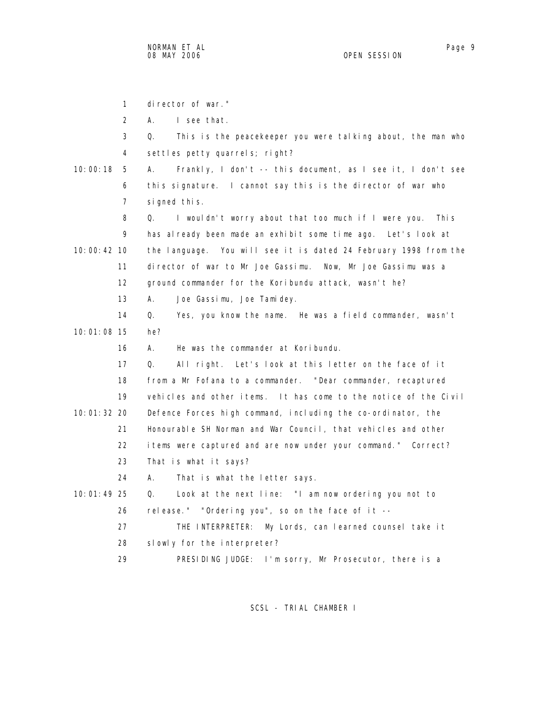1 director of war." 2 A. I see that. 3 Q. This is the peacekeeper you were talking about, the man who 4 settles petty quarrels; right? 10:00:18 5 A. Frankly, I don't -- this document, as I see it, I don't see 6 this signature. I cannot say this is the director of war who 7 signed this. 8 Q. I wouldn't worry about that too much if I were you. This 9 has already been made an exhibit some time ago. Let's look at 10:00:42 10 the language. You will see it is dated 24 February 1998 from the 11 director of war to Mr Joe Gassimu. Now, Mr Joe Gassimu was a 12 ground commander for the Koribundu attack, wasn't he? 13 A. Joe Gassimu, Joe Tamidey. 14 Q. Yes, you know the name. He was a field commander, wasn't 10:01:08 15 he? 16 A. He was the commander at Koribundu. 17 Q. All right. Let's look at this letter on the face of it 18 from a Mr Fofana to a commander. "Dear commander, recaptured 19 vehicles and other items. It has come to the notice of the Civil 10:01:32 20 Defence Forces high command, including the co-ordinator, the 21 Honourable SH Norman and War Council, that vehicles and other 22 items were captured and are now under your command." Correct? 23 That is what it says? 24 A. That is what the letter says. 10:01:49 25 Q. Look at the next line: "I am now ordering you not to 26 release." "Ordering you", so on the face of it -- 27 THE INTERPRETER: My Lords, can learned counsel take it 28 slowly for the interpreter?

29 PRESIDING JUDGE: I'm sorry, Mr Prosecutor, there is a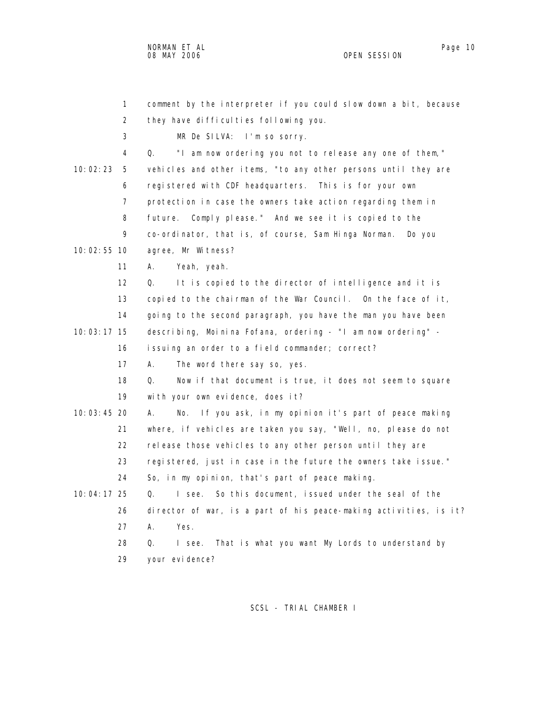NORMAN ET AL Page 10

 1 comment by the interpreter if you could slow down a bit, because 2 they have difficulties following you. 3 MR De SILVA: I'm so sorry. 4 Q. "I am now ordering you not to release any one of them," 10:02:23 5 vehicles and other items, "to any other persons until they are 6 registered with CDF headquarters. This is for your own 7 protection in case the owners take action regarding them in 8 future. Comply please." And we see it is copied to the 9 co-ordinator, that is, of course, Sam Hinga Norman. Do you 10:02:55 10 agree, Mr Witness? 11 A. Yeah, yeah. 12 Q. It is copied to the director of intelligence and it is 13 copied to the chairman of the War Council. On the face of it, 14 going to the second paragraph, you have the man you have been 10:03:17 15 describing, Moinina Fofana, ordering - "I am now ordering" - 16 issuing an order to a field commander; correct? 17 A. The word there say so, yes. 18 Q. Now if that document is true, it does not seem to square 19 with your own evidence, does it? 10:03:45 20 A. No. If you ask, in my opinion it's part of peace making 21 where, if vehicles are taken you say, "Well, no, please do not 22 release those vehicles to any other person until they are 23 registered, just in case in the future the owners take issue." 24 So, in my opinion, that's part of peace making. 10:04:17 25 Q. I see. So this document, issued under the seal of the 26 director of war, is a part of his peace-making activities, is it? 27 A. Yes. 28 Q. I see. That is what you want My Lords to understand by 29 your evidence?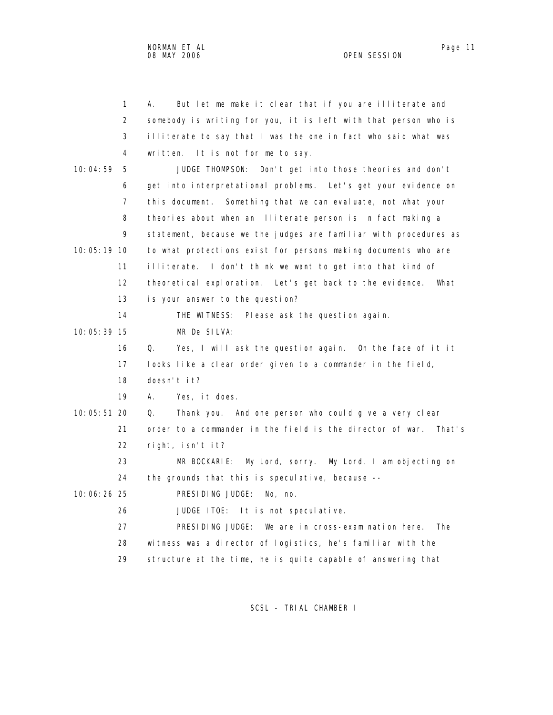1 A. But let me make it clear that if you are illiterate and 2 somebody is writing for you, it is left with that person who is 3 illiterate to say that I was the one in fact who said what was 4 written. It is not for me to say. 10:04:59 5 JUDGE THOMPSON: Don't get into those theories and don't 6 get into interpretational problems. Let's get your evidence on 7 this document. Something that we can evaluate, not what your 8 theories about when an illiterate person is in fact making a 9 statement, because we the judges are familiar with procedures as 10:05:19 10 to what protections exist for persons making documents who are 11 illiterate. I don't think we want to get into that kind of 12 theoretical exploration. Let's get back to the evidence. What 13 is your answer to the question? 14 THE WITNESS: Please ask the question again. 10:05:39 15 MR De SILVA: 16 Q. Yes, I will ask the question again. On the face of it it 17 looks like a clear order given to a commander in the field, 18 doesn't it? 19 A. Yes, it does. 10:05:51 20 Q. Thank you. And one person who could give a very clear 21 order to a commander in the field is the director of war. That's 22 right, isn't it? 23 MR BOCKARIE: My Lord, sorry. My Lord, I am objecting on 24 the grounds that this is speculative, because -- 10:06:26 25 PRESIDING JUDGE: No, no. 26 JUDGE ITOE: It is not speculative. 27 PRESIDING JUDGE: We are in cross-examination here. The 28 witness was a director of logistics, he's familiar with the 29 structure at the time, he is quite capable of answering that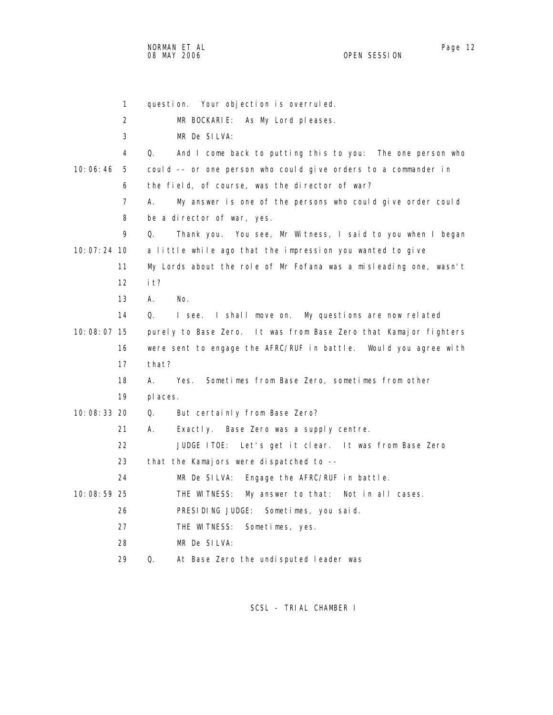NORMAN ET AL Page 12 Page 12 Page 12 08 MAY 2006 OPEN SESSION

|             | 1                 | Your objection is overruled.<br>questi on.                        |
|-------------|-------------------|-------------------------------------------------------------------|
|             | 2                 | MR BOCKARIE:<br>As My Lord pleases.                               |
|             | 3                 | MR De SILVA:                                                      |
|             | 4                 | Q.<br>And I come back to putting this to you: The one person who  |
| 10:06:46    | 5                 | could -- or one person who could give orders to a commander in    |
|             | 6                 | the field, of course, was the director of war?                    |
|             | $\overline{7}$    | А.<br>My answer is one of the persons who could give order could  |
|             | 8                 | be a director of war, yes.                                        |
|             | 9                 | Thank you. You see, Mr Witness, I said to you when I began<br>Q.  |
| 10:07:24 10 |                   | a little while ago that the impression you wanted to give         |
|             | 11                | My Lords about the role of Mr Fofana was a misleading one, wasn't |
|             | $12 \overline{ }$ | i t?                                                              |
|             | 13                | А.<br>No.                                                         |
|             | 14                | I see. I shall move on. My questions are now related<br>Q.        |
| 10:08:07 15 |                   | purely to Base Zero. It was from Base Zero that Kamajor fighters  |
|             | 16                | were sent to engage the AFRC/RUF in battle. Would you agree with  |
|             | 17                | that?                                                             |
|             | 18                | Sometimes from Base Zero, sometimes from other<br>А.<br>Yes.      |
|             | 19                | pl aces.                                                          |
| 10:08:33 20 |                   | Q.<br>But certainly from Base Zero?                               |
|             | 21                | А.<br>Exactly. Base Zero was a supply centre.                     |
|             | 22                | Let's get it clear. It was from Base Zero<br>JUDGE ITOE:          |
|             | 23                | that the Kamajors were dispatched to --                           |
|             | 24                | MR De SILVA:<br>Engage the AFRC/RUF in battle.                    |
| 10:08:59 25 |                   | THE WITNESS:<br>My answer to that:<br>Not in all cases.           |
|             | 26                | PRESIDING JUDGE: Sometimes, you said.                             |
|             | 27                | THE WITNESS:<br>Sometimes, yes.                                   |
|             | 28                | MR De SILVA:                                                      |
|             | 29                | Q.<br>At Base Zero the undisputed leader was                      |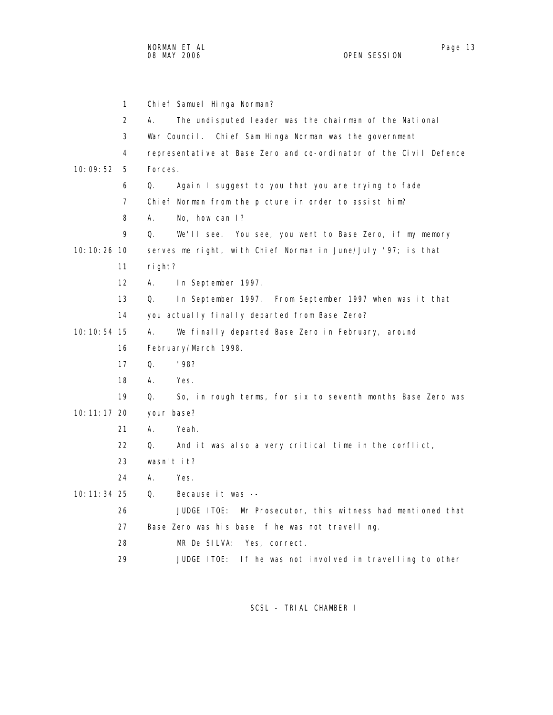|               | $\mathbf{1}$ | Chi ef Samuel Hi nga Norman?                                      |
|---------------|--------------|-------------------------------------------------------------------|
|               | 2            | The undisputed leader was the chairman of the National<br>А.      |
|               | 3            | War Council. Chief Sam Hinga Norman was the government            |
|               | 4            | representative at Base Zero and co-ordinator of the Civil Defence |
| 10:09:52      | 5            | Forces.                                                           |
|               | 6            | Q.<br>Again I suggest to you that you are trying to fade          |
|               | 7            | Chief Norman from the picture in order to assist him?             |
|               | 8            | No, how can I?<br>А.                                              |
|               | 9            | We'll see. You see, you went to Base Zero, if my memory<br>Q.     |
| 10: 10: 26 10 |              | serves me right, with Chief Norman in June/July '97; is that      |
|               | 11           | right?                                                            |
|               | 12           | А.<br>In September 1997.                                          |
|               | 13           | In September 1997. From September 1997 when was it that<br>Q.     |
|               | 14           | you actually finally departed from Base Zero?                     |
| 10: 10: 54 15 |              | А.<br>We finally departed Base Zero in February, around           |
|               | 16           | February/March 1998.                                              |
|               | 17           | Q.<br>'98?                                                        |
|               | 18           | А.<br>Yes.                                                        |
|               | 19           | Q.<br>So, in rough terms, for six to seventh months Base Zero was |
| 10: 11: 17 20 |              | your base?                                                        |
|               | 21           | Yeah.<br>А.                                                       |
|               | 22           | Q.<br>And it was also a very critical time in the conflict,       |
|               | 23           | wasn't $i$ t?                                                     |
|               | 24           | А.<br>Yes.                                                        |
| 10: 11: 34 25 |              | Q.<br>Because it was --                                           |
|               | 26           | JUDGE ITOE:<br>Mr Prosecutor, this witness had mentioned that     |
|               | 27           | Base Zero was his base if he was not travelling.                  |
|               | 28           | MR De SILVA: Yes, correct.                                        |

29 JUDGE ITOE: If he was not involved in travelling to other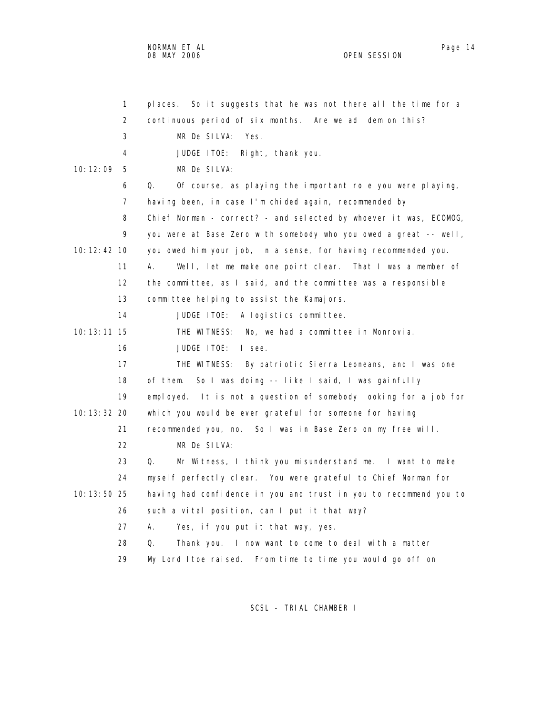NORMAN ET AL Page 14 and 20 and 20 and 20 and 20 and 20 and 20 and 20 and 20 and 20 and 20 and 20 and 20 and 20 08 MAY 2006 OPEN SESSION

| 1               | places. So it suggests that he was not there all the time for a   |
|-----------------|-------------------------------------------------------------------|
| 2               | continuous period of six months. Are we ad idem on this?          |
| 3               | MR De SILVA:<br>Yes.                                              |
| 4               | JUDGE ITOE:<br>Right, thank you.                                  |
| 10: 12: 09<br>5 | MR De SILVA:                                                      |
| 6               | Q.<br>Of course, as playing the important role you were playing,  |
| $\overline{7}$  | having been, in case I'm chided again, recommended by             |
| 8               | Chief Norman - correct? - and selected by whoever it was, ECOMOG, |
| 9               | you were at Base Zero with somebody who you owed a great -- well, |
| 10: 12: 42 10   | you owed him your job, in a sense, for having recommended you.    |
| 11              | Well, let me make one point clear. That I was a member of<br>А.   |
| 12              | the committee, as I said, and the committee was a responsible     |
| 13              | committee helping to assist the Kamajors.                         |
| 14              | JUDGE ITOE:<br>A logistics committee.                             |
| $10:13:11$ 15   | THE WITNESS: No, we had a committee in Monrovia.                  |
| 16              | JUDGE ITOE:<br>I see.                                             |
| 17              | THE WITNESS: By patriotic Sierra Leoneans, and I was one          |
| 18              | So I was doing -- like I said, I was gainfully<br>of them.        |
| 19              | employed. It is not a question of somebody looking for a job for  |
| 10: 13: 32 20   | which you would be ever grateful for someone for having           |
| 21              | recommended you, no. So I was in Base Zero on my free will.       |
| 22              | MR De SILVA:                                                      |
| 23              | Mr Witness, I think you misunderstand me. I want to make<br>Q.    |
| 24              | myself perfectly clear. You were grateful to Chief Norman for     |
| 10: 13: 50 25   | having had confidence in you and trust in you to recommend you to |
| 26              | such a vital position, can I put it that way?                     |
| 27              | А.<br>Yes, if you put it that way, yes.                           |
| 28              | Q.<br>Thank you. I now want to come to deal with a matter         |
| 29              | My Lord Itoe raised. From time to time you would go off on        |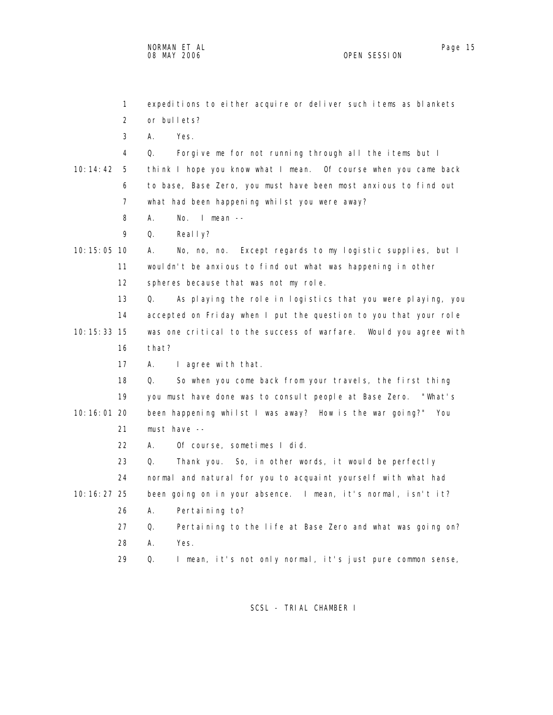1 expeditions to either acquire or deliver such items as blankets 2 or bullets? 3 A. Yes. 4 Q. Forgive me for not running through all the items but I 10:14:42 5 think I hope you know what I mean. Of course when you came back 6 to base, Base Zero, you must have been most anxious to find out 7 what had been happening whilst you were away? 8 A. No. I mean -- 9 Q. Really? 10:15:05 10 A. No, no, no. Except regards to my logistic supplies, but I 11 wouldn't be anxious to find out what was happening in other 12 spheres because that was not my role. 13 Q. As playing the role in logistics that you were playing, you 14 accepted on Friday when I put the question to you that your role 10:15:33 15 was one critical to the success of warfare. Would you agree with 16 that? 17 A. I agree with that. 18 Q. So when you come back from your travels, the first thing 19 you must have done was to consult people at Base Zero. "What's 10:16:01 20 been happening whilst I was away? How is the war going?" You 21 must have -- 22 A. Of course, sometimes I did. 23 Q. Thank you. So, in other words, it would be perfectly 24 normal and natural for you to acquaint yourself with what had 10:16:27 25 been going on in your absence. I mean, it's normal, isn't it? 26 A. Pertaining to? 27 Q. Pertaining to the life at Base Zero and what was going on? 28 A. Yes. 29 Q. I mean, it's not only normal, it's just pure common sense,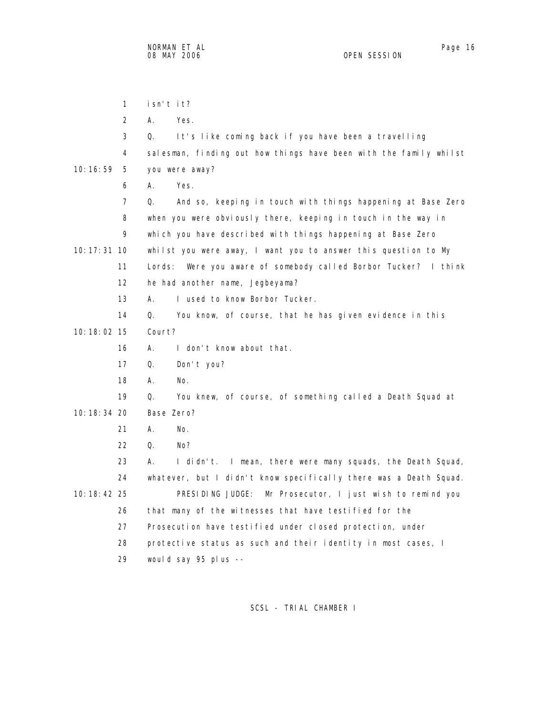1 isn't it? 2 A. Yes. 3 Q. It's like coming back if you have been a travelling 4 salesman, finding out how things have been with the family whilst 10:16:59 5 you were away? 6 A. Yes. 7 Q. And so, keeping in touch with things happening at Base Zero 8 when you were obviously there, keeping in touch in the way in 9 which you have described with things happening at Base Zero 10:17:31 10 whilst you were away, I want you to answer this question to My 11 Lords: Were you aware of somebody called Borbor Tucker? I think 12 he had another name, Jegbeyama? 13 A. I used to know Borbor Tucker. 14 Q. You know, of course, that he has given evidence in this 10:18:02 15 Court? 16 A. I don't know about that. 17 Q. Don't you? 18 A. No. 19 Q. You knew, of course, of something called a Death Squad at 10:18:34 20 Base Zero? 21 A. No. 22 Q. No? 23 A. I didn't. I mean, there were many squads, the Death Squad, 24 whatever, but I didn't know specifically there was a Death Squad. 10:18:42 25 PRESIDING JUDGE: Mr Prosecutor, I just wish to remind you 26 that many of the witnesses that have testified for the 27 Prosecution have testified under closed protection, under 28 protective status as such and their identity in most cases, I 29 would say 95 plus --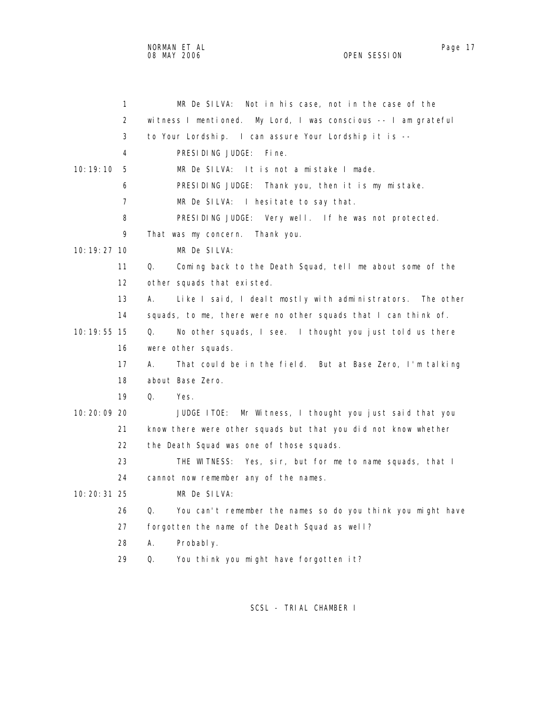NORMAN ET AL Page 17

 1 MR De SILVA: Not in his case, not in the case of the 2 witness I mentioned. My Lord, I was conscious -- I am grateful 3 to Your Lordship. I can assure Your Lordship it is -- 4 PRESIDING JUDGE: Fine. 10:19:10 5 MR De SILVA: It is not a mistake I made. 6 PRESIDING JUDGE: Thank you, then it is my mistake. 7 MR De SILVA: I hesitate to say that. 8 PRESIDING JUDGE: Very well. If he was not protected. 9 That was my concern. Thank you. 10:19:27 10 MR De SILVA: 11 Q. Coming back to the Death Squad, tell me about some of the 12 other squads that existed. 13 A. Like I said, I dealt mostly with administrators. The other 14 squads, to me, there were no other squads that I can think of. 10:19:55 15 Q. No other squads, I see. I thought you just told us there 16 were other squads. 17 A. That could be in the field. But at Base Zero, I'm talking 18 about Base Zero. 19 Q. Yes. 10:20:09 20 JUDGE ITOE: Mr Witness, I thought you just said that you 21 know there were other squads but that you did not know whether 22 the Death Squad was one of those squads. 23 THE WITNESS: Yes, sir, but for me to name squads, that I 24 cannot now remember any of the names. 10:20:31 25 MR De SILVA: 26 Q. You can't remember the names so do you think you might have 27 forgotten the name of the Death Squad as well? 28 A. Probably. 29 Q. You think you might have forgotten it?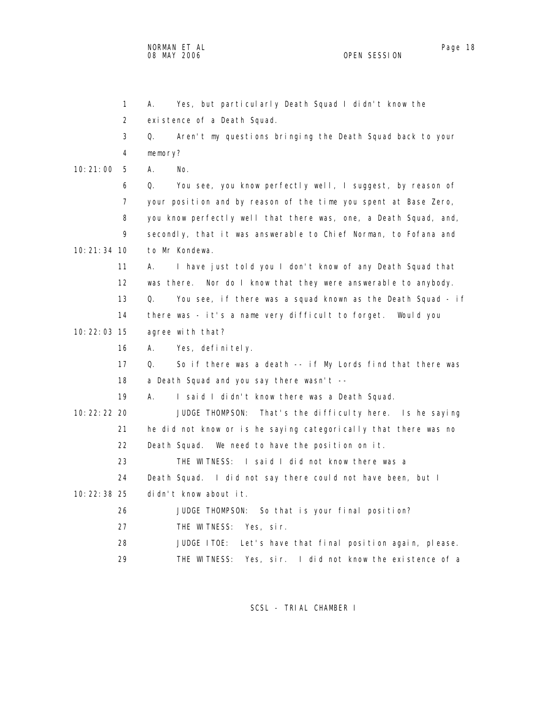|               | $\mathbf{1}$   | Yes, but particularly Death Squad I didn't know the<br>А.         |
|---------------|----------------|-------------------------------------------------------------------|
|               | 2              | existence of a Death Squad.                                       |
|               | 3              | Aren't my questions bringing the Death Squad back to your<br>Q.   |
|               | 4              | memory?                                                           |
| 10:21:00      | 5              | А.<br>No.                                                         |
|               | 6              | Q.<br>You see, you know perfectly well, I suggest, by reason of   |
|               | $\overline{7}$ | your position and by reason of the time you spent at Base Zero,   |
|               | 8              | you know perfectly well that there was, one, a Death Squad, and,  |
|               | 9              | secondly, that it was answerable to Chief Norman, to Fofana and   |
| 10: 21: 34 10 |                | to Mr Kondewa.                                                    |
|               | 11             | I have just told you I don't know of any Death Squad that<br>А.   |
|               | 12             | was there. Nor do I know that they were answerable to anybody.    |
|               | 13             | Q.<br>You see, if there was a squad known as the Death Squad - if |
|               | 14             | there was - it's a name very difficult to forget.<br>Would you    |
| 10: 22: 03 15 |                | agree with that?                                                  |
|               | 16             | Yes, definitely.<br>А.                                            |
|               | 17             | So if there was a death -- if My Lords find that there was<br>Q.  |
|               | 18             | a Death Squad and you say there wasn't --                         |
|               | 19             | А.<br>I said I didn't know there was a Death Squad.               |
| 10: 22: 22 20 |                | JUDGE THOMPSON:<br>That's the difficulty here. Is he saying       |
|               | 21             | he did not know or is he saying categorically that there was no   |
|               | 22             | Death Squad. We need to have the position on it.                  |
|               | 23             | I said I did not know there was a<br>THE WITNESS:                 |
|               | 24             | Death Squad. I did not say there could not have been, but I       |
| 10: 22: 38 25 |                | didn't know about it.                                             |
|               | 26             | JUDGE THOMPSON: So that is your final position?                   |
|               | 27             | THE WITNESS: Yes, sir.                                            |
|               | 28             | JUDGE ITOE:<br>Let's have that final position again, please.      |
|               | 29             | THE WITNESS:<br>Yes, sir. I did not know the existence of a       |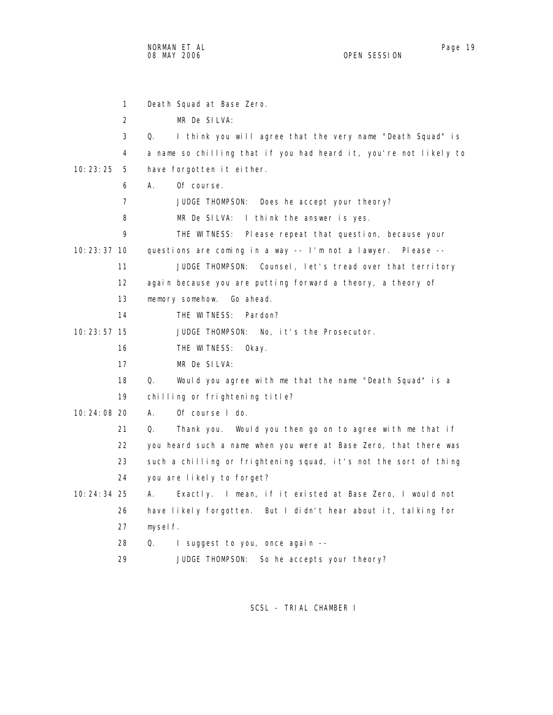1 Death Squad at Base Zero. 2 MR De SILVA: 3 Q. I think you will agree that the very name "Death Squad" is 4 a name so chilling that if you had heard it, you're not likely to 10:23:25 5 have forgotten it either. 6 A. Of course. 7 JUDGE THOMPSON: Does he accept your theory? 8 MR De SILVA: I think the answer is yes. 9 THE WITNESS: Please repeat that question, because your 10:23:37 10 questions are coming in a way -- I'm not a lawyer. Please -- 11 JUDGE THOMPSON: Counsel, let's tread over that territory 12 again because you are putting forward a theory, a theory of 13 memory somehow. Go ahead. 14 THE WITNESS: Pardon? 10:23:57 15 JUDGE THOMPSON: No, it's the Prosecutor. 16 THE WITNESS: Okay. 17 MR De SILVA: 18 Q. Would you agree with me that the name "Death Squad" is a 19 chilling or frightening title? 10:24:08 20 A. Of course I do. 21 Q. Thank you. Would you then go on to agree with me that if 22 you heard such a name when you were at Base Zero, that there was 23 such a chilling or frightening squad, it's not the sort of thing 24 you are likely to forget? 10:24:34 25 A. Exactly. I mean, if it existed at Base Zero, I would not 26 have likely forgotten. But I didn't hear about it, talking for 27 myself. 28 Q. I suggest to you, once again --

29 JUDGE THOMPSON: So he accepts your theory?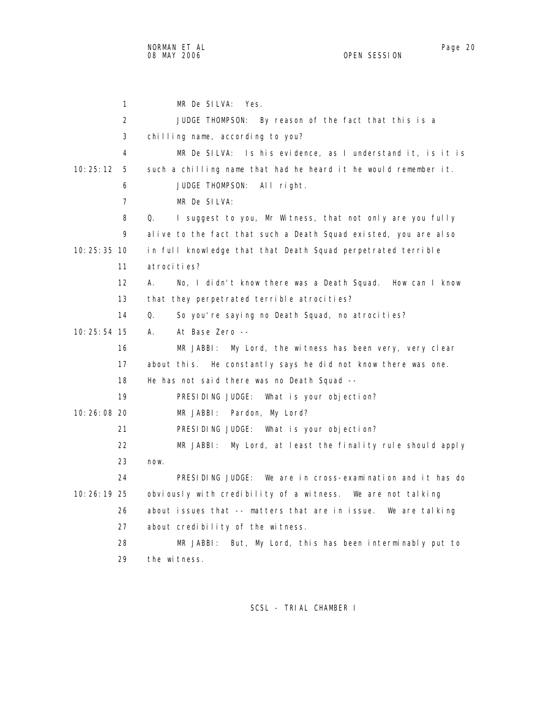1 MR De SILVA: Yes. 2 JUDGE THOMPSON: By reason of the fact that this is a 3 chilling name, according to you? 4 MR De SILVA: Is his evidence, as I understand it, is it is 10:25:12 5 such a chilling name that had he heard it he would remember it. 6 JUDGE THOMPSON: All right. 7 MR De SILVA: 8 Q. I suggest to you, Mr Witness, that not only are you fully 9 alive to the fact that such a Death Squad existed, you are also 10:25:35 10 in full knowledge that that Death Squad perpetrated terrible 11 atrocities? 12 A. No, I didn't know there was a Death Squad. How can I know 13 that they perpetrated terrible atrocities? 14 Q. So you're saying no Death Squad, no atrocities? 10:25:54 15 A. At Base Zero -- 16 MR JABBI: My Lord, the witness has been very, very clear 17 about this. He constantly says he did not know there was one. 18 He has not said there was no Death Squad -- 19 PRESIDING JUDGE: What is your objection? 10:26:08 20 MR JABBI: Pardon, My Lord? 21 PRESIDING JUDGE: What is your objection? 22 MR JABBI: My Lord, at least the finality rule should apply 23 now. 24 PRESIDING JUDGE: We are in cross-examination and it has do 10:26:19 25 obviously with credibility of a witness. We are not talking 26 about issues that -- matters that are in issue. We are talking 27 about credibility of the witness. 28 MR JABBI: But, My Lord, this has been interminably put to 29 the witness.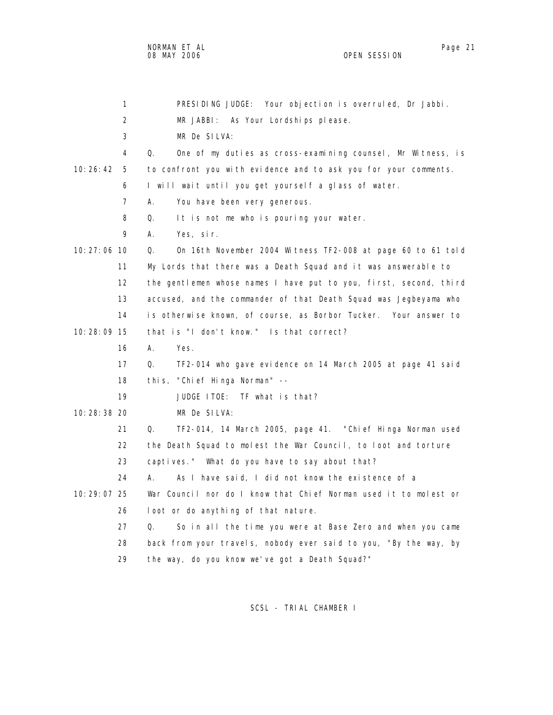NORMAN ET AL Page 21 and the set of the set of the set of the set of the set of the set of the set of the set o 08 MAY 2006 OPEN SESSION

|               | 1              | PRESIDING JUDGE: Your objection is overruled, Dr Jabbi.                   |
|---------------|----------------|---------------------------------------------------------------------------|
|               | $\overline{2}$ | MR JABBI: As Your Lordships please.                                       |
|               | 3              | MR De SILVA:                                                              |
|               | 4              | $\Omega$ .<br>One of my duties as cross-examining counsel, Mr Witness, is |
| 10:26:42      | 5              | to confront you with evidence and to ask you for your comments.           |
|               | 6              | I will wait until you get yourself a glass of water.                      |
|               | 7              | А.<br>You have been very generous.                                        |
|               | 8              | Q.<br>It is not me who is pouring your water.                             |
|               | 9              | А.<br>Yes, sir.                                                           |
| $10:27:06$ 10 |                | On 16th November 2004 Witness TF2-008 at page 60 to 61 told<br>Q.         |
|               | 11             | My Lords that there was a Death Squad and it was answerable to            |
|               | 12             | the gentlemen whose names I have put to you, first, second, third         |
|               | 13             | accused, and the commander of that Death Squad was Jegbeyama who          |
|               | 14             | is otherwise known, of course, as Borbor Tucker. Your answer to           |
| 10:28:09 15   |                | that is "I don't know." Is that correct?                                  |
|               | 16             | А.<br>Yes.                                                                |
|               | 17             | Q.<br>TF2-014 who gave evidence on 14 March 2005 at page 41 said          |
|               | 18             | this, "Chief Hinga Norman" --                                             |
|               | 19             | JUDGE ITOE: TF what is that?                                              |
| 10: 28: 38 20 |                | MR De SILVA:                                                              |
|               | 21             | Q.<br>TF2-014, 14 March 2005, page 41. "Chief Hinga Norman used           |
|               | 22             | the Death Squad to molest the War Council, to loot and torture            |
|               | 23             | captives." What do you have to say about that?                            |
|               | 24             | As I have said, I did not know the existence of a<br>А.                   |
| 10:29:07 25   |                | War Council nor do I know that Chief Norman used it to molest or          |
|               | 26             | loot or do anything of that nature.                                       |
|               | 27             | Q.<br>So in all the time you were at Base Zero and when you came          |
|               | 28             | back from your travels, nobody ever said to you, "By the way, by          |
|               | 29             | the way, do you know we've got a Death Squad?"                            |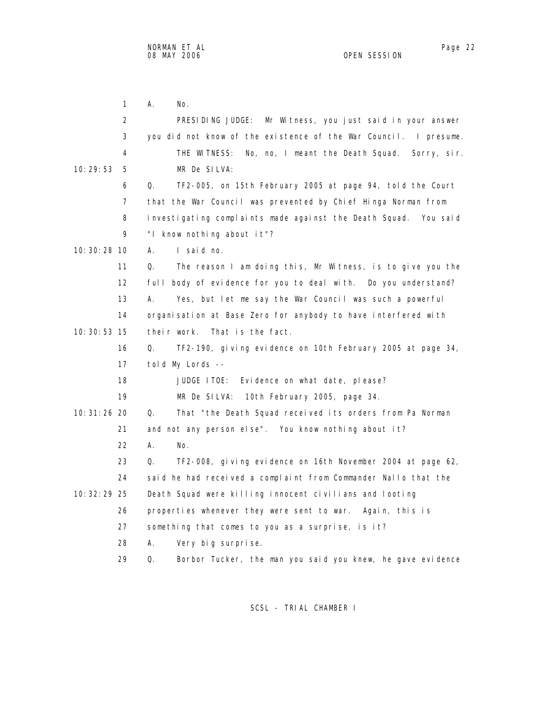1 A. No. 2 PRESIDING JUDGE: Mr Witness, you just said in your answer 3 you did not know of the existence of the War Council. I presume. 4 THE WITNESS: No, no, I meant the Death Squad. Sorry, sir. 10:29:53 5 MR De SILVA: 6 Q. TF2-005, on 15th February 2005 at page 94, told the Court 7 that the War Council was prevented by Chief Hinga Norman from 8 investigating complaints made against the Death Squad. You said 9 "I know nothing about it"? 10:30:28 10 A. I said no. 11 Q. The reason I am doing this, Mr Witness, is to give you the 12 full body of evidence for you to deal with. Do you understand? 13 A. Yes, but let me say the War Council was such a powerful 14 organisation at Base Zero for anybody to have interfered with 10:30:53 15 their work. That is the fact. 16 Q. TF2-190, giving evidence on 10th February 2005 at page 34, 17 told My Lords -- 18 JUDGE ITOE: Evidence on what date, please? 19 MR De SILVA: 10th February 2005, page 34. 10:31:26 20 Q. That "the Death Squad received its orders from Pa Norman 21 and not any person else". You know nothing about it? 22 A. No. 23 Q. TF2-008, giving evidence on 16th November 2004 at page 62, 24 said he had received a complaint from Commander Nallo that the 10:32:29 25 Death Squad were killing innocent civilians and looting 26 properties whenever they were sent to war. Again, this is 27 something that comes to you as a surprise, is it? 28 A. Very big surprise. 29 Q. Borbor Tucker, the man you said you knew, he gave evidence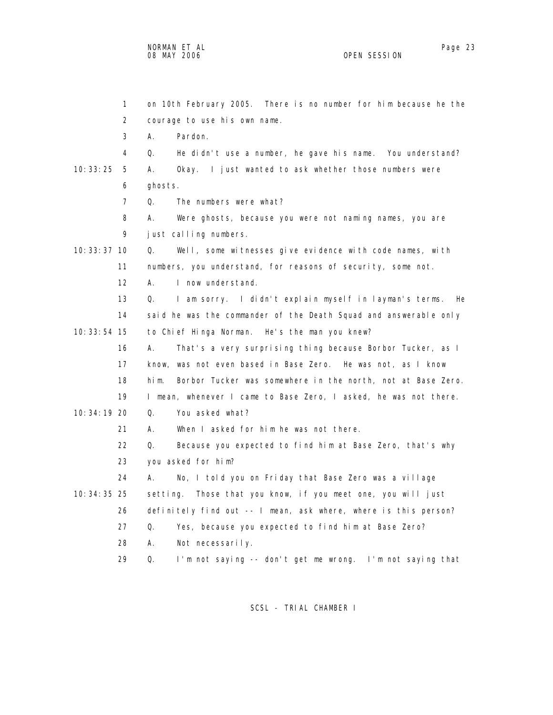1 on 10th February 2005. There is no number for him because he the 2 courage to use his own name. 3 A. Pardon. 4 Q. He didn't use a number, he gave his name. You understand? 10:33:25 5 A. Okay. I just wanted to ask whether those numbers were 6 ghosts. 7 Q. The numbers were what? 8 A. Were ghosts, because you were not naming names, you are 9 just calling numbers. 10:33:37 10 Q. Well, some witnesses give evidence with code names, with 11 numbers, you understand, for reasons of security, some not. 12 A. I now understand. 13 Q. I am sorry. I didn't explain myself in layman's terms. He 14 said he was the commander of the Death Squad and answerable only 10:33:54 15 to Chief Hinga Norman. He's the man you knew? 16 A. That's a very surprising thing because Borbor Tucker, as I 17 know, was not even based in Base Zero. He was not, as I know 18 him. Borbor Tucker was somewhere in the north, not at Base Zero.

 19 I mean, whenever I came to Base Zero, I asked, he was not there. 10:34:19 20 Q. You asked what?

- 21 A. When I asked for him he was not there.
- 22 Q. Because you expected to find him at Base Zero, that's why 23 you asked for him?
- 24 A. No, I told you on Friday that Base Zero was a village 10:34:35 25 setting. Those that you know, if you meet one, you will just 26 definitely find out -- I mean, ask where, where is this person? 27 Q. Yes, because you expected to find him at Base Zero? 28 A. Not necessarily.
	- 29 Q. I'm not saying -- don't get me wrong. I'm not saying that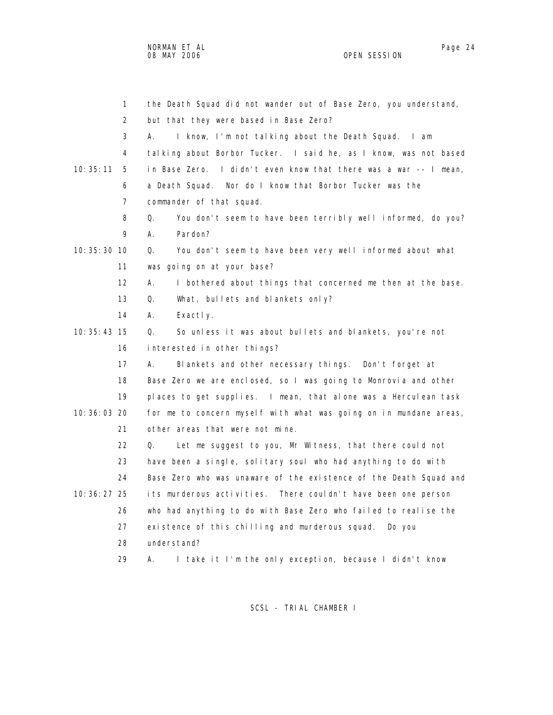1 the Death Squad did not wander out of Base Zero, you understand, 2 but that they were based in Base Zero? 3 A. I know, I'm not talking about the Death Squad. I am 4 talking about Borbor Tucker. I said he, as I know, was not based 10:35:11 5 in Base Zero. I didn't even know that there was a war -- I mean, 6 a Death Squad. Nor do I know that Borbor Tucker was the 7 commander of that squad. 8 Q. You don't seem to have been terribly well informed, do you? 9 A. Pardon? 10:35:30 10 Q. You don't seem to have been very well informed about what 11 was going on at your base? 12 A. I bothered about things that concerned me then at the base. 13 Q. What, bullets and blankets only? 14 A. Exactly. 10:35:43 15 Q. So unless it was about bullets and blankets, you're not 16 interested in other things? 17 A. Blankets and other necessary things. Don't forget at 18 Base Zero we are enclosed, so I was going to Monrovia and other 19 places to get supplies. I mean, that alone was a Herculean task 10:36:03 20 for me to concern myself with what was going on in mundane areas, 21 other areas that were not mine. 22 Q. Let me suggest to you, Mr Witness, that there could not 23 have been a single, solitary soul who had anything to do with 24 Base Zero who was unaware of the existence of the Death Squad and 10:36:27 25 its murderous activities. There couldn't have been one person 26 who had anything to do with Base Zero who failed to realise the 27 existence of this chilling and murderous squad. Do you 28 understand? 29 A. I take it I'm the only exception, because I didn't know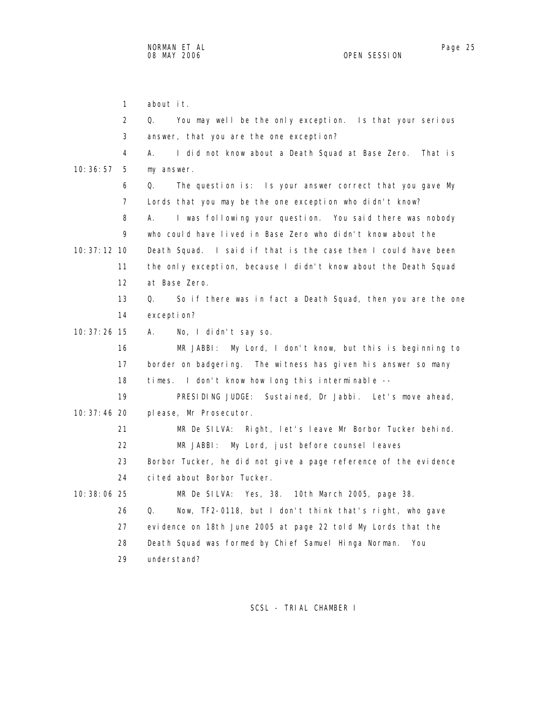1 about it. 2 Q. You may well be the only exception. Is that your serious 3 answer, that you are the one exception? 4 A. I did not know about a Death Squad at Base Zero. That is 10:36:57 5 my answer. 6 Q. The question is: Is your answer correct that you gave My 7 Lords that you may be the one exception who didn't know? 8 A. I was following your question. You said there was nobody 9 who could have lived in Base Zero who didn't know about the 10:37:12 10 Death Squad. I said if that is the case then I could have been 11 the only exception, because I didn't know about the Death Squad 12 at Base Zero. 13 Q. So if there was in fact a Death Squad, then you are the one 14 exception? 10:37:26 15 A. No, I didn't say so. 16 MR JABBI: My Lord, I don't know, but this is beginning to 17 border on badgering. The witness has given his answer so many 18 times. I don't know how long this interminable -- 19 PRESIDING JUDGE: Sustained, Dr Jabbi. Let's move ahead, 10:37:46 20 please, Mr Prosecutor. 21 MR De SILVA: Right, let's leave Mr Borbor Tucker behind. 22 MR JABBI: My Lord, just before counsel leaves 23 Borbor Tucker, he did not give a page reference of the evidence 24 cited about Borbor Tucker. 10:38:06 25 MR De SILVA: Yes, 38. 10th March 2005, page 38. 26 Q. Now, TF2-0118, but I don't think that's right, who gave 27 evidence on 18th June 2005 at page 22 told My Lords that the 28 Death Squad was formed by Chief Samuel Hinga Norman. You 29 understand?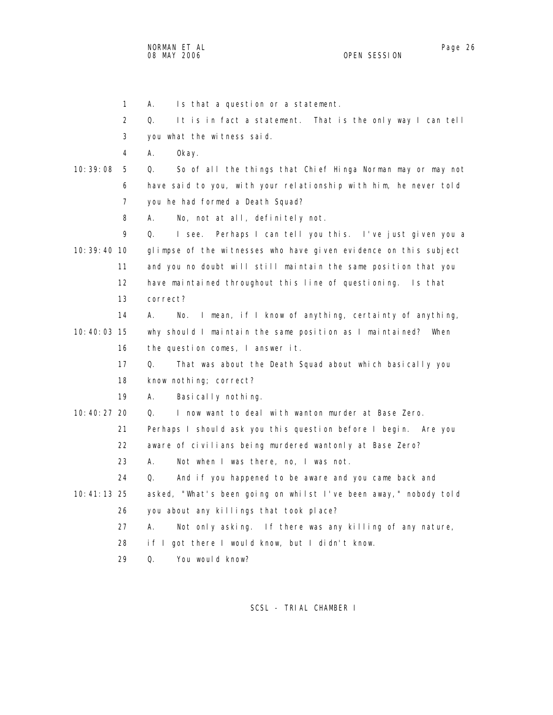NORMAN ET AL Page 26

 1 A. Is that a question or a statement. 2 Q. It is in fact a statement. That is the only way I can tell 3 you what the witness said. 4 A. Okay. 10:39:08 5 Q. So of all the things that Chief Hinga Norman may or may not 6 have said to you, with your relationship with him, he never told 7 you he had formed a Death Squad? 8 A. No, not at all, definitely not. 9 Q. I see. Perhaps I can tell you this. I've just given you a 10:39:40 10 glimpse of the witnesses who have given evidence on this subject 11 and you no doubt will still maintain the same position that you 12 have maintained throughout this line of questioning. Is that 13 correct? 14 A. No. I mean, if I know of anything, certainty of anything, 10:40:03 15 why should I maintain the same position as I maintained? When 16 the question comes, I answer it. 17 Q. That was about the Death Squad about which basically you 18 know nothing; correct? 19 A. Basically nothing. 10:40:27 20 Q. I now want to deal with wanton murder at Base Zero. 21 Perhaps I should ask you this question before I begin. Are you 22 aware of civilians being murdered wantonly at Base Zero? 23 A. Not when I was there, no, I was not. 24 Q. And if you happened to be aware and you came back and 10:41:13 25 asked, "What's been going on whilst I've been away," nobody told 26 you about any killings that took place? 27 A. Not only asking. If there was any killing of any nature, 28 if I got there I would know, but I didn't know. 29 Q. You would know?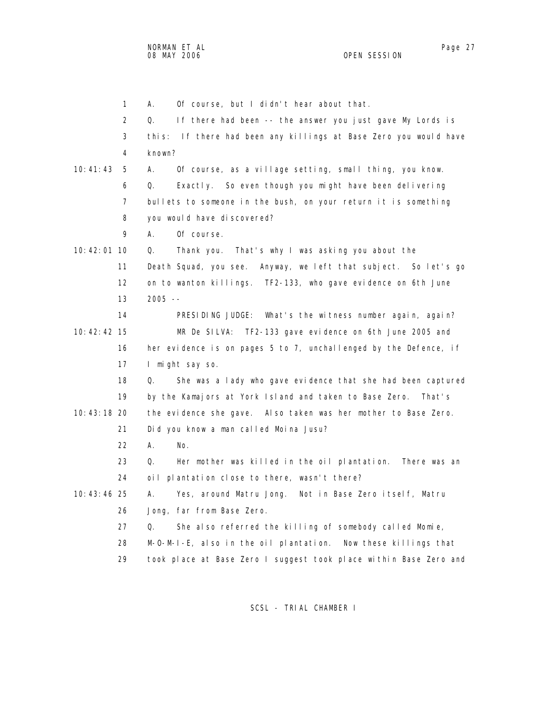|               | $\mathbf{1}$ | Of course, but I didn't hear about that.<br>А.                     |
|---------------|--------------|--------------------------------------------------------------------|
|               | 2            | If there had been -- the answer you just gave My Lords is<br>Q.    |
|               | 3            | this: If there had been any killings at Base Zero you would have   |
|               | 4            | known?                                                             |
| 10:41:43      | 5            | Of course, as a village setting, small thing, you know.<br>А.      |
|               | 6            | Exactly. So even though you might have been delivering<br>Q.       |
|               | 7            | bullets to someone in the bush, on your return it is something     |
|               | 8            | you would have discovered?                                         |
|               | 9            | Of course.<br>А.                                                   |
| 10:42:01 10   |              | Q.<br>Thank you. That's why I was asking you about the             |
|               | 11           | Death Squad, you see.<br>Anyway, we left that subject. So let's go |
|               | 12           | on to wanton killings. TF2-133, who gave evidence on 6th June      |
|               | 13           | $2005 - -$                                                         |
|               | 14           | PRESIDING JUDGE: What's the witness number again, again?           |
| 10: 42: 42 15 |              | MR De SILVA:<br>TF2-133 gave evidence on 6th June 2005 and         |
|               | 16           | her evidence is on pages 5 to 7, unchallenged by the Defence, if   |
|               | 17           | I might say so.                                                    |
|               | 18           | She was a lady who gave evidence that she had been captured<br>Q.  |
|               | 19           | by the Kamajors at York Island and taken to Base Zero. That's      |
| 10:43:18 20   |              | the evidence she gave. Also taken was her mother to Base Zero.     |
|               | 21           | Did you know a man called Moina Jusu?                              |
|               | 22           | А.<br>No.                                                          |
|               | 23           | Her mother was killed in the oil plantation.<br>Q.<br>There was an |
|               | 24           | oil plantation close to there, wasn't there?                       |
| 10:43:46 25   |              | Yes, around Matru Jong. Not in Base Zero itself, Matru<br>А.       |
|               | 26           | Jong, far from Base Zero.                                          |
|               | 27           | She also referred the killing of somebody called Momie,<br>Q.      |
|               | 28           | M-O-M-I-E, also in the oil plantation.<br>Now these killings that  |
|               | 29           | took place at Base Zero I suggest took place within Base Zero and  |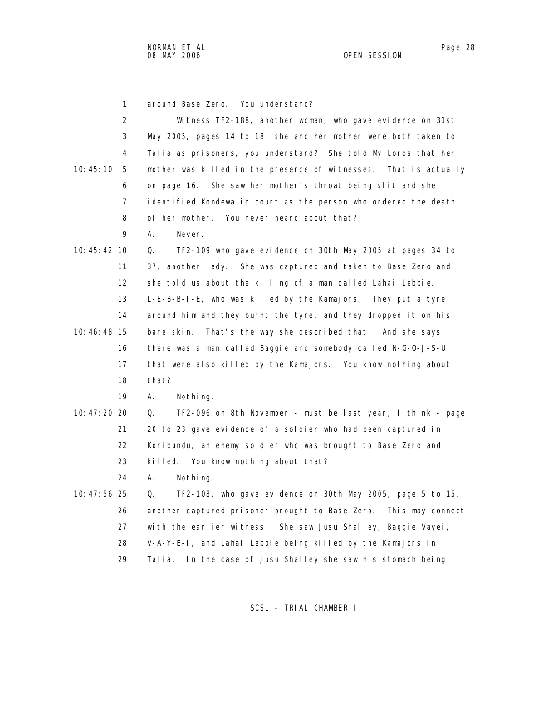| $\mathbf{1}$  | around Base Zero. You understand?                                 |
|---------------|-------------------------------------------------------------------|
| 2             | Witness TF2-188, another woman, who gave evidence on 31st         |
| 3             | May 2005, pages 14 to 18, she and her mother were both taken to   |
| 4             | Talia as prisoners, you understand? She told My Lords that her    |
| 10:45:10<br>5 | mother was killed in the presence of witnesses. That is actually  |
| 6             | on page 16. She saw her mother's throat being slit and she        |
| 7             | identified Kondewa in court as the person who ordered the death   |
| 8             | of her mother. You never heard about that?                        |
| 9             | А.<br>Never.                                                      |
| 10:45:42 10   | TF2-109 who gave evidence on 30th May 2005 at pages 34 to<br>Q.   |
| 11            | 37, another lady. She was captured and taken to Base Zero and     |
| 12            | she told us about the killing of a man called Lahai Lebbie,       |
| 13            | L-E-B-B-I-E, who was killed by the Kamajors. They put a tyre      |
| 14            | around him and they burnt the tyre, and they dropped it on his    |
| 10:46:48 15   | That's the way she described that. And she says<br>bare skin.     |
| 16            | there was a man called Baggie and somebody called N-G-0-J-S-U     |
| 17            | that were also killed by the Kamajors. You know nothing about     |
| 18            | that?                                                             |
| 19            | А.<br>Nothing.                                                    |
| 10:47:20 20   | TF2-096 on 8th November - must be last year, I think - page<br>Q. |
| 21            | 20 to 23 gave evidence of a soldier who had been captured in      |
| 22            | Koribundu, an enemy soldier who was brought to Base Zero and      |
| 23            | killed. You know nothing about that?                              |
| 24            | А.<br>Nothing.                                                    |
| 10: 47: 56 25 | TF2-108, who gave evidence on 30th May 2005, page 5 to 15,<br>Q.  |
| 26            | another captured prisoner brought to Base Zero. This may connect  |
| 27            | with the earlier witness. She saw Jusu Shalley, Baggie Vayei,     |
| 28            | V-A-Y-E-I, and Lahai Lebbie being killed by the Kamajors in       |
| 29            | In the case of Jusu Shalley she saw his stomach being<br>Talia.   |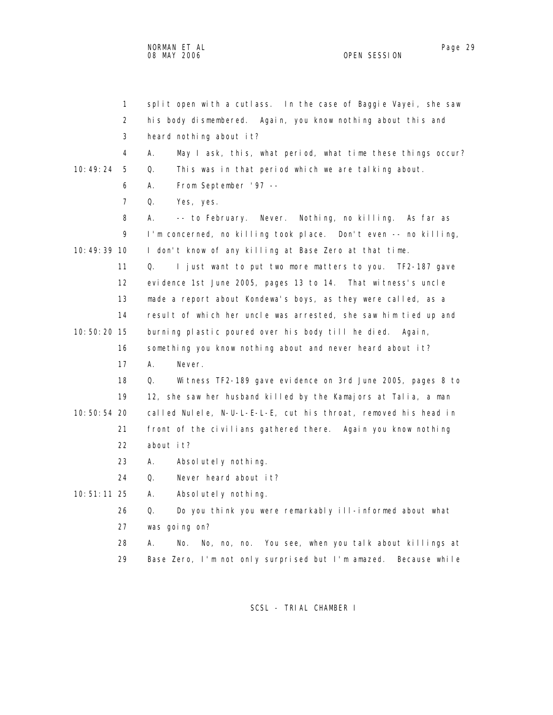| $\mathbf{1}$   | split open with a cutlass. In the case of Baggie Vayei, she saw    |
|----------------|--------------------------------------------------------------------|
| 2              | his body dismembered. Again, you know nothing about this and       |
| 3              | heard nothing about it?                                            |
| 4              | А.<br>May I ask, this, what period, what time these things occur?  |
| 10:49:24<br>5  | Q.<br>This was in that period which we are talking about.          |
| 6              | From September '97 --<br>А.                                        |
| $\overline{7}$ | Q.<br>Yes, yes.                                                    |
| 8              | Nothing, no killing. As far as<br>А.<br>-- to February. Never.     |
| 9              | I'm concerned, no killing took place. Don't even -- no killing,    |
| 10: 49: 39 10  | I don't know of any killing at Base Zero at that time.             |
| 11             | Q.<br>I just want to put two more matters to you. TF2-187 gave     |
| 12             | evidence 1st June 2005, pages 13 to 14. That witness's uncle       |
| 13             | made a report about Kondewa's boys, as they were called, as a      |
| 14             | result of which her uncle was arrested, she saw him tied up and    |
| 10:50:20 15    | burning plastic poured over his body till he died. Again,          |
| 16             | something you know nothing about and never heard about it?         |
| 17             | А.<br>Never.                                                       |
| 18             | Wi tness TF2-189 gave evidence on 3rd June 2005, pages 8 to<br>Q.  |
| 19             | 12, she saw her husband killed by the Kamajors at Talia, a man     |
| 10:50:54 20    | called Nulele, N-U-L-E-L-E, cut his throat, removed his head in    |
| 21             | front of the civilians gathered there. Again you know nothing      |
| 22             | about it?                                                          |
| 23             | А.<br>Absolutely nothing.                                          |
| 24             | Never heard about it?<br>Q.                                        |
| $10:51:11$ 25  | А.<br>Absolutely nothing.                                          |
| 26             | Q.<br>Do you think you were remarkably ill-informed about what     |
| 27             | was going on?                                                      |
| 28             | No, no, no. You see, when you talk about killings at<br>Α.<br>No.  |
| 29             | Base Zero, I'm not only surprised but I'm amazed.<br>Because while |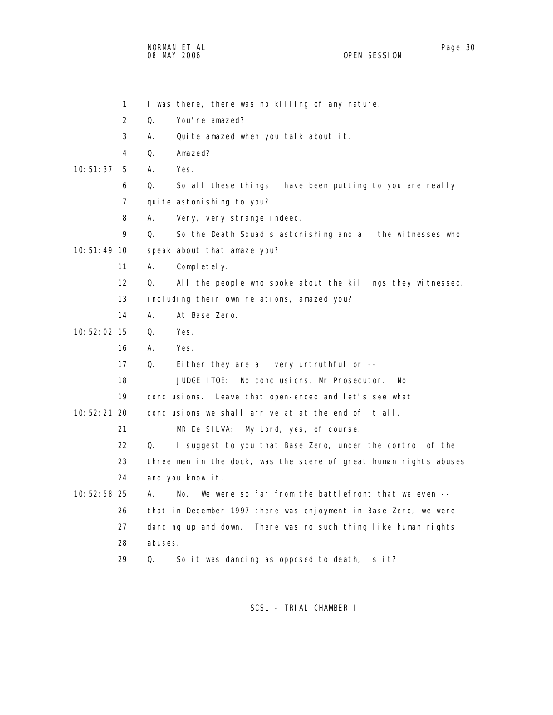NORMAN ET AL Page 30 08 MAY 2006

 2 Q. You're amazed? 3 A. Quite amazed when you talk about it. 4 Q. Amazed? 10:51:37 5 A. Yes. 6 Q. So all these things I have been putting to you are really 7 qui te astoni shing to you? 8 A. Very, very strange indeed. 9 Q. So the Death Squad's astonishing and all the witnesses who 10:51:49 10 speak about that amaze you? 11 A. Completely. 12 Q. All the people who spoke about the killings they witnessed, 13 including their own relations, amazed you? 14 A. At Base Zero. 10:52:02 15 Q. Yes. 16 A. Yes. 17 Q. Either they are all very untruthful or -- 18 JUDGE ITOE: No conclusions, Mr Prosecutor. No 19 conclusions. Leave that open-ended and let's see what 10:52:21 20 conclusions we shall arrive at at the end of it all. 21 MR De SILVA: My Lord, yes, of course. 22 Q. I suggest to you that Base Zero, under the control of the 23 three men in the dock, was the scene of great human rights abuses 24 and you know it. 10:52:58 25 A. No. We were so far from the battlefront that we even -- 26 that in December 1997 there was enjoyment in Base Zero, we were 27 dancing up and down. There was no such thing like human rights 28 abuses. 29 Q. So it was dancing as opposed to death, is it?

1 I was there, there was no killing of any nature.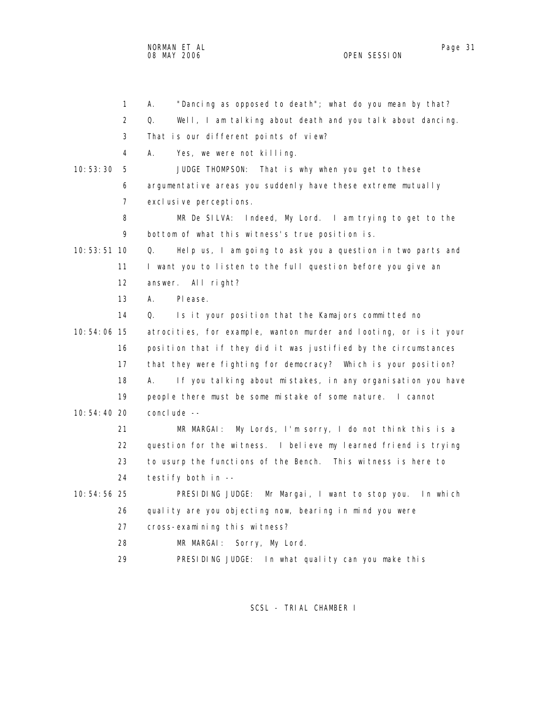NORMAN ET AL Page 31

OPEN SESSION

 1 A. "Dancing as opposed to death"; what do you mean by that? 2 Q. Well, I am talking about death and you talk about dancing. 3 That is our different points of view? 4 A. Yes, we were not killing. 10:53:30 5 JUDGE THOMPSON: That is why when you get to these 6 argumentative areas you suddenly have these extreme mutually 7 exclusive perceptions. 8 MR De SILVA: Indeed, My Lord. I am trying to get to the 9 bottom of what this witness's true position is. 10:53:51 10 Q. Help us, I am going to ask you a question in two parts and 11 I want you to listen to the full question before you give an 12 answer. All right? 13 A. Please. 14 Q. Is it your position that the Kamajors committed no 10:54:06 15 atrocities, for example, wanton murder and looting, or is it your 16 position that if they did it was justified by the circumstances 17 that they were fighting for democracy? Which is your position? 18 A. If you talking about mistakes, in any organisation you have 19 people there must be some mistake of some nature. I cannot 10:54:40 20 conclude -- 21 MR MARGAI: My Lords, I'm sorry, I do not think this is a 22 question for the witness. I believe my learned friend is trying

 23 to usurp the functions of the Bench. This witness is here to 24 testify both in --

 10:54:56 25 PRESIDING JUDGE: Mr Margai, I want to stop you. In which 26 quality are you objecting now, bearing in mind you were 27 cross-examining this witness?

28 MR MARGAI: Sorry, My Lord.

29 PRESIDING JUDGE: In what quality can you make this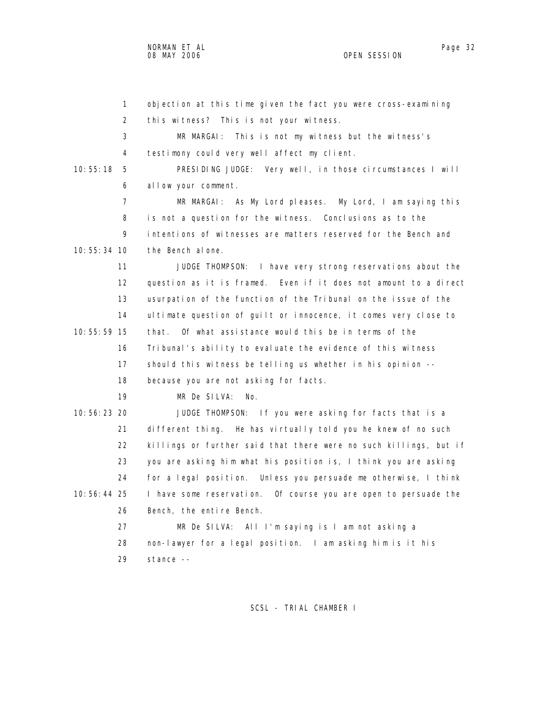| $\mathbf{1}$   | objection at this time given the fact you were cross-examining    |
|----------------|-------------------------------------------------------------------|
| $\overline{2}$ | this witness? This is not your witness.                           |
| 3              | MR MARGAI: This is not my witness but the witness's               |
| 4              | testimony could very well affect my client.                       |
| 10:55:18<br>5  | PRESIDING JUDGE: Very well, in those circumstances I will         |
| 6              | allow your comment.                                               |
| $\overline{7}$ | MR MARGAI: As My Lord pleases. My Lord, I am saying this          |
| 8              | is not a question for the witness. Conclusions as to the          |
| 9              | intentions of witnesses are matters reserved for the Bench and    |
| 10:55:34 10    | the Bench alone.                                                  |
| 11             | JUDGE THOMPSON: I have very strong reservations about the         |
| 12             | question as it is framed. Even if it does not amount to a direct  |
| 13             | usurpation of the function of the Tribunal on the issue of the    |
| 14             | ultimate question of guilt or innocence, it comes very close to   |
| 10:55:59 15    | that. Of what assistance would this be in terms of the            |
| 16             | Tribunal's ability to evaluate the evidence of this witness       |
| 17             | should this witness be telling us whether in his opinion --       |
| 18             | because you are not asking for facts.                             |
| 19             | MR De SILVA:<br>No.                                               |
| 10:56:23 20    | JUDGE THOMPSON: If you were asking for facts that is a            |
| 21             | different thing. He has virtually told you he knew of no such     |
| 22             | killings or further said that there were no such killings, but if |
| 23             | you are asking him what his position is, I think you are asking   |
| 24             | for a legal position. Unless you persuade me otherwise, I think   |
| 10:56:44 25    | I have some reservation. Of course you are open to persuade the   |
| 26             | Bench, the entire Bench.                                          |
| 27             | MR De SILVA: All I'm saying is I am not asking a                  |
| 28             | non-lawyer for a legal position. I am asking him is it his        |
| 29             | stance --                                                         |
|                |                                                                   |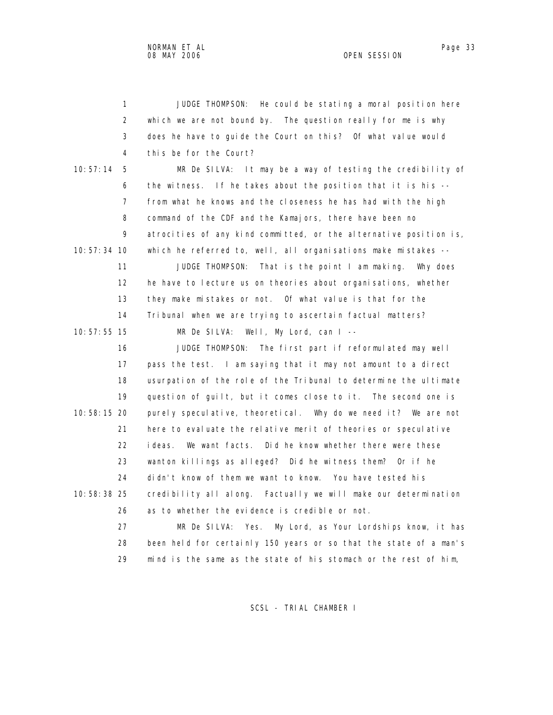1 JUDGE THOMPSON: He could be stating a moral position here 2 which we are not bound by. The question really for me is why 3 does he have to guide the Court on this? Of what value would 4 this be for the Court? 10:57:14 5 MR De SILVA: It may be a way of testing the credibility of 6 the witness. If he takes about the position that it is his -- 7 from what he knows and the closeness he has had with the high 8 command of the CDF and the Kamajors, there have been no 9 atrocities of any kind committed, or the alternative position is, 10:57:34 10 which he referred to, well, all organisations make mistakes -- 11 JUDGE THOMPSON: That is the point I am making. Why does 12 he have to lecture us on theories about organisations, whether 13 they make mistakes or not. Of what value is that for the 14 Tribunal when we are trying to ascertain factual matters? 10:57:55 15 MR De SILVA: Well, My Lord, can I -- 16 JUDGE THOMPSON: The first part if reformulated may well 17 pass the test. I am saying that it may not amount to a direct 18 usurpation of the role of the Tribunal to determine the ultimate 19 question of guilt, but it comes close to it. The second one is 10:58:15 20 purely speculative, theoretical. Why do we need it? We are not 21 here to evaluate the relative merit of theories or speculative 22 ideas. We want facts. Did he know whether there were these 23 wanton killings as alleged? Did he witness them? Or if he 24 didn't know of them we want to know. You have tested his 10:58:38 25 credibility all along. Factually we will make our determination 26 as to whether the evidence is credible or not. 27 MR De SILVA: Yes. My Lord, as Your Lordships know, it has 28 been held for certainly 150 years or so that the state of a man's 29 mind is the same as the state of his stomach or the rest of him,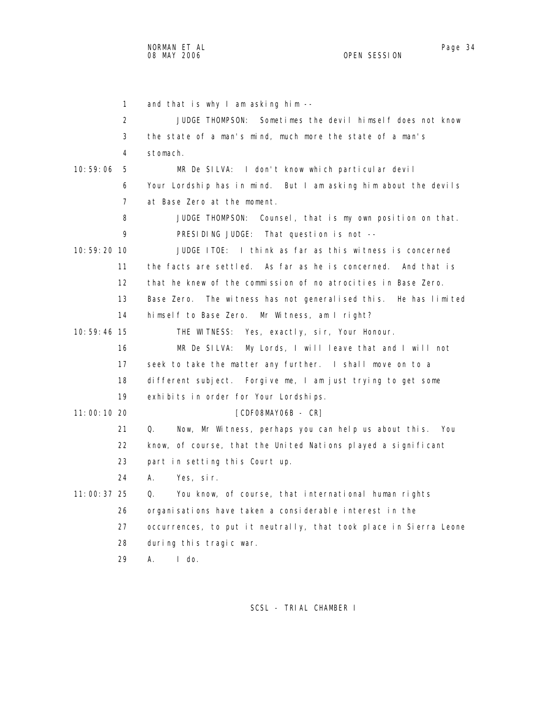1 and that is why I am asking him -- 2 JUDGE THOMPSON: Sometimes the devil himself does not know 3 the state of a man's mind, much more the state of a man's 4 stomach. 10:59:06 5 MR De SILVA: I don't know which particular devil 6 Your Lordship has in mind. But I am asking him about the devils 7 at Base Zero at the moment. 8 JUDGE THOMPSON: Counsel, that is my own position on that. 9 PRESIDING JUDGE: That question is not -- 10:59:20 10 JUDGE ITOE: I think as far as this witness is concerned 11 the facts are settled. As far as he is concerned. And that is 12 that he knew of the commission of no atrocities in Base Zero. 13 Base Zero. The witness has not generalised this. He has limited 14 himself to Base Zero. Mr Witness, am I right? 10:59:46 15 THE WITNESS: Yes, exactly, sir, Your Honour. 16 MR De SILVA: My Lords, I will leave that and I will not 17 seek to take the matter any further. I shall move on to a 18 different subject. Forgive me, I am just trying to get some 19 exhibits in order for Your Lordships. 11:00:10 20 [CDF08MAY06B - CR] 21 Q. Now, Mr Witness, perhaps you can help us about this. You 22 know, of course, that the United Nations played a significant 23 part in setting this Court up. 24 A. Yes, sir. 11:00:37 25 Q. You know, of course, that international human rights 26 organisations have taken a considerable interest in the 27 occurrences, to put it neutrally, that took place in Sierra Leone 28 during this tragic war. 29 A. I do.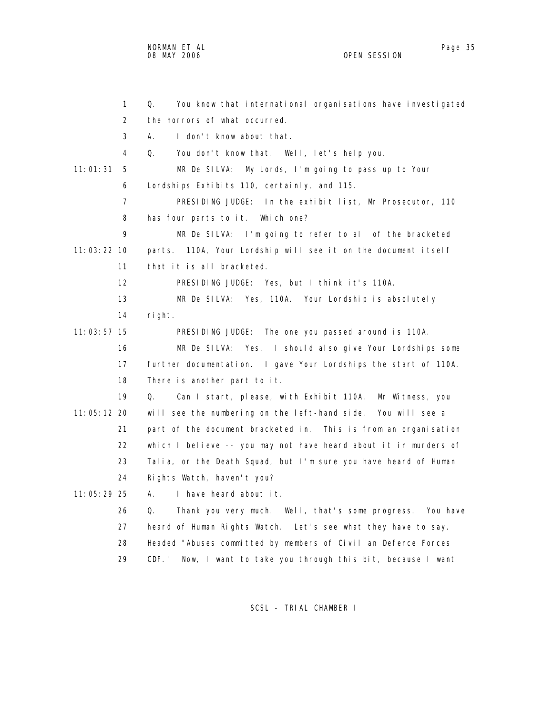NORMAN ET AL Page 35 and the set of the set of the set of the set of the set of the set of the set of the set o 08 MAY 2006 OPEN SESSION

|               | $\mathbf{1}$   | Q.<br>You know that international organisations have investigated  |
|---------------|----------------|--------------------------------------------------------------------|
|               | $\overline{2}$ | the horrors of what occurred.                                      |
|               | 3              | I don't know about that.<br>А.                                     |
|               | 4              | You don't know that. Well, let's help you.<br>Q.                   |
| 11:01:31      | 5              | My Lords, I'm going to pass up to Your<br>MR De SILVA:             |
|               | 6              | Lordships Exhibits 110, certainly, and 115.                        |
|               | $\overline{7}$ | PRESIDING JUDGE: In the exhibit list, Mr Prosecutor, 110           |
|               | 8              | has four parts to it. Which one?                                   |
|               | 9              | MR De SILVA: I'm going to refer to all of the bracketed            |
| $11:03:22$ 10 |                | 110A, Your Lordship will see it on the document itself<br>parts.   |
|               | 11             | that it is all bracketed.                                          |
|               | 12             | PRESIDING JUDGE: Yes, but I think it's 110A.                       |
|               | 13             | MR De SILVA: Yes, 110A. Your Lordship is absolutely                |
|               | 14             | right.                                                             |
| $11:03:57$ 15 |                | PRESIDING JUDGE: The one you passed around is 110A.                |
|               | 16             | MR De SILVA: Yes. I should also give Your Lordships some           |
|               | 17             | further documentation. I gave Your Lordships the start of 110A.    |
|               | 18             | There is another part to it.                                       |
|               | 19             | Can I start, please, with Exhibit 110A. Mr Witness, you<br>Q.      |
| $11:05:12$ 20 |                | will see the numbering on the left-hand side. You will see a       |
|               | 21             | part of the document bracketed in. This is from an organisation    |
|               | 22             | which I believe -- you may not have heard about it in murders of   |
|               | 23             | Talia, or the Death Squad, but I'm sure you have heard of Human    |
|               | 24             | Rights Watch, haven't you?                                         |
| $11:05:29$ 25 |                | А.<br>I have heard about it.                                       |
|               | 26             | Thank you very much. Well, that's some progress. You have<br>Q.    |
|               | 27             | heard of Human Rights Watch. Let's see what they have to say.      |
|               | 28             | Headed "Abuses committed by members of Civilian Defence Forces     |
|               | 29             | CDF. "<br>Now, I want to take you through this bit, because I want |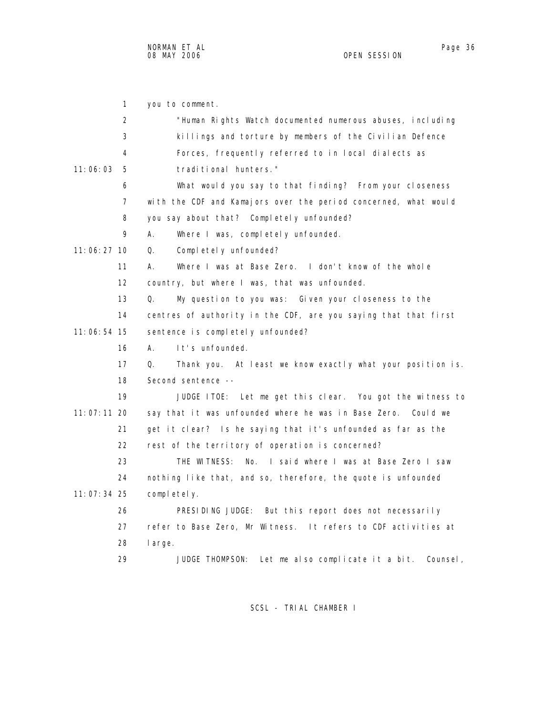1 you to comment. 2 "Human Rights Watch documented numerous abuses, including 3 killings and torture by members of the Civilian Defence 4 Forces, frequently referred to in local dialects as 11:06:03 5 traditional hunters." 6 What would you say to that finding? From your closeness 7 with the CDF and Kamajors over the period concerned, what would 8 you say about that? Completely unfounded? 9 A. Where I was, completely unfounded. 11:06:27 10 Q. Completely unfounded? 11 A. Where I was at Base Zero. I don't know of the whole 12 country, but where I was, that was unfounded. 13 Q. My question to you was: Given your closeness to the 14 centres of authority in the CDF, are you saying that that first 11:06:54 15 sentence is completely unfounded? 16 A. It's unfounded. 17 Q. Thank you. At least we know exactly what your position is. 18 Second sentence -- 19 JUDGE ITOE: Let me get this clear. You got the witness to 11:07:11 20 say that it was unfounded where he was in Base Zero. Could we 21 get it clear? Is he saying that it's unfounded as far as the 22 rest of the territory of operation is concerned? 23 THE WITNESS: No. I said where I was at Base Zero I saw 24 nothing like that, and so, therefore, the quote is unfounded 11:07:34 25 completely. 26 PRESIDING JUDGE: But this report does not necessarily 27 refer to Base Zero, Mr Witness. It refers to CDF activities at 28 large. 29 JUDGE THOMPSON: Let me also complicate it a bit. Counsel,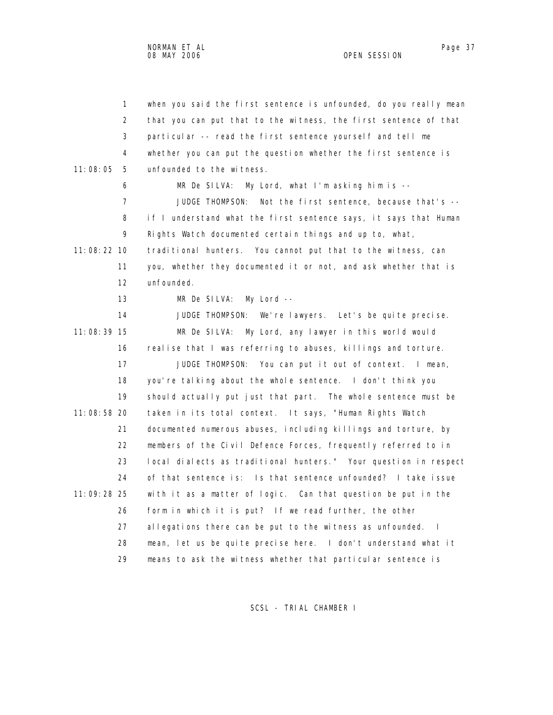1 when you said the first sentence is unfounded, do you really mean 2 that you can put that to the witness, the first sentence of that 3 particular -- read the first sentence yourself and tell me 4 whether you can put the question whether the first sentence is 11:08:05 5 unfounded to the witness. 6 MR De SILVA: My Lord, what I'm asking him is -- 7 JUDGE THOMPSON: Not the first sentence, because that's -- 8 if I understand what the first sentence says, it says that Human 9 Rights Watch documented certain things and up to, what, 11:08:22 10 traditional hunters. You cannot put that to the witness, can 11 you, whether they documented it or not, and ask whether that is 12 unfounded. 13 MR De SILVA: My Lord -- 14 JUDGE THOMPSON: We're lawyers. Let's be quite precise. 11:08:39 15 MR De SILVA: My Lord, any lawyer in this world would 16 realise that I was referring to abuses, killings and torture. 17 JUDGE THOMPSON: You can put it out of context. I mean, 18 you're talking about the whole sentence. I don't think you 19 should actually put just that part. The whole sentence must be 11:08:58 20 taken in its total context. It says, "Human Rights Watch

 21 documented numerous abuses, including killings and torture, by 22 members of the Civil Defence Forces, frequently referred to in 23 local dialects as traditional hunters." Your question in respect 24 of that sentence is: Is that sentence unfounded? I take issue 11:09:28 25 with it as a matter of logic. Can that question be put in the 26 form in which it is put? If we read further, the other 27 allegations there can be put to the witness as unfounded. I 28 mean, let us be quite precise here. I don't understand what it 29 means to ask the witness whether that particular sentence is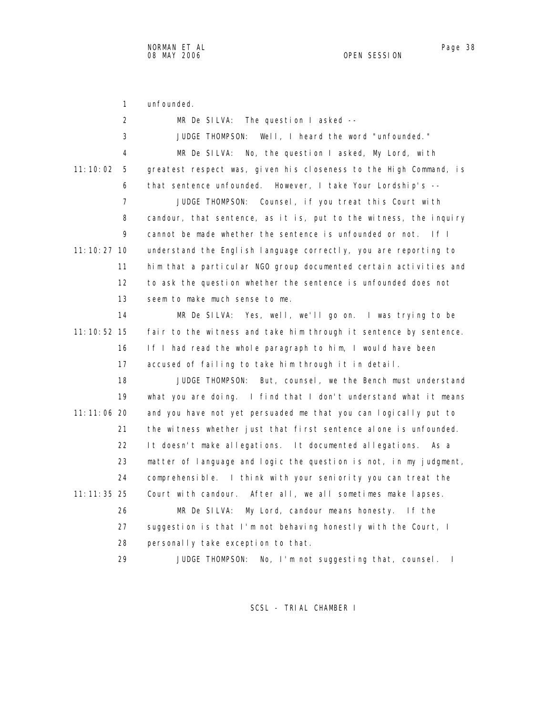1 unfounded.

| 2               | MR De SILVA: The question I asked --                              |
|-----------------|-------------------------------------------------------------------|
| 3               | JUDGE THOMPSON: Well, I heard the word "unfounded."               |
| 4               | No, the question I asked, My Lord, with<br>MR De SILVA:           |
| 11: 10: 02<br>5 | greatest respect was, given his closeness to the High Command, is |
| 6               | that sentence unfounded. However, I take Your Lordship's --       |
| 7               | JUDGE THOMPSON: Counsel, if you treat this Court with             |
| 8               | candour, that sentence, as it is, put to the witness, the inquiry |
| 9               | cannot be made whether the sentence is unfounded or not.<br> f    |
| 11: 10: 27 10   | understand the English language correctly, you are reporting to   |
| 11              | him that a particular NGO group documented certain activities and |
| 12              | to ask the question whether the sentence is unfounded does not    |
| 13              | seem to make much sense to me.                                    |
| 14              | MR De SILVA: Yes, well, we'll go on. I was trying to be           |
| $11:10:52$ 15   | fair to the witness and take him through it sentence by sentence. |
| 16              | If I had read the whole paragraph to him, I would have been       |
| 17              | accused of failing to take him through it in detail.              |
| 18              | JUDGE THOMPSON: But, counsel, we the Bench must understand        |
| 19              | what you are doing. I find that I don't understand what it means  |
| $11:11:06$ 20   | and you have not yet persuaded me that you can logically put to   |
| 21              | the witness whether just that first sentence alone is unfounded.  |
| 22              | It doesn't make allegations. It documented allegations.<br>As a   |
| 23              | matter of language and logic the question is not, in my judgment, |
| 24              | comprehensible. I think with your seniority you can treat the     |
| $11:11:35$ 25   | Court with candour. After all, we all sometimes make lapses.      |
| 26              | MR De SILVA:<br>My Lord, candour means honesty. If the            |
| 27              | suggestion is that I'm not behaving honestly with the Court, I    |
| 28              | personally take exception to that.                                |
| 29              | No, I'm not suggesting that, counsel.<br>JUDGE THOMPSON:<br>- 1   |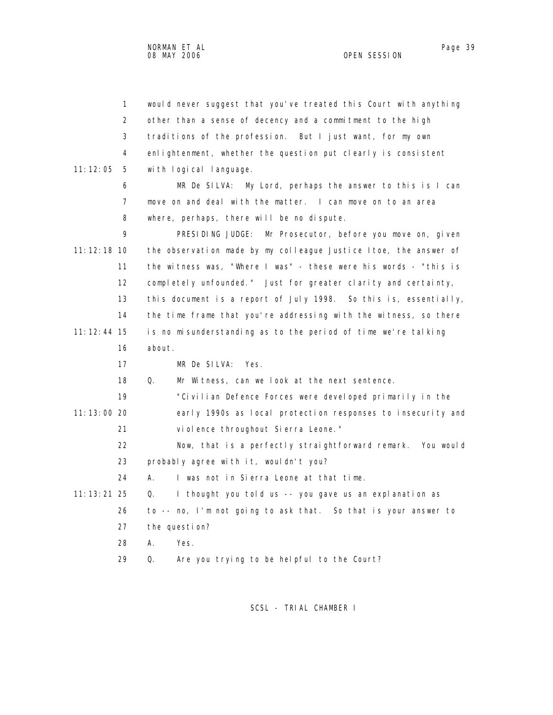|               | $\mathbf{1}$ | would never suggest that you've treated this Court with anything |
|---------------|--------------|------------------------------------------------------------------|
|               | 2            | other than a sense of decency and a commitment to the high       |
|               | 3            | traditions of the profession. But I just want, for my own        |
|               | 4            | enlightenment, whether the question put clearly is consistent    |
| 11:12:05      | 5            | with logical language.                                           |
|               | 6            | MR De SILVA: My Lord, perhaps the answer to this is I can        |
|               | 7            | move on and deal with the matter. I can move on to an area       |
|               | 8            | where, perhaps, there will be no dispute.                        |
|               | 9            | PRESIDING JUDGE: Mr Prosecutor, before you move on, given        |
| 11: 12: 18 10 |              | the observation made by my colleague Justice Itoe, the answer of |
|               | 11           | the witness was, "Where I was" - these were his words - "this is |
|               | 12           | completely unfounded." Just for greater clarity and certainty,   |
|               | 13           | this document is a report of July 1998. So this is, essentially, |
|               | 14           | the time frame that you're addressing with the witness, so there |
| $11:12:44$ 15 |              | is no misunderstanding as to the period of time we're talking    |
|               | 16           | about.                                                           |
|               | 17           | MR De SILVA:<br>Yes.                                             |
|               | 18           | Q.<br>Mr Witness, can we look at the next sentence.              |
|               | 19           | "Civilian Defence Forces were developed primarily in the         |
| 11:13:00 20   |              | early 1990s as local protection responses to insecurity and      |
|               | 21           | vi ol ence throughout Si erra Leone."                            |
|               | 22           | Now, that is a perfectly straightforward remark. You would       |
|               | 23           | probably agree with it, wouldn't you?                            |
|               | 24           | А.<br>I was not in Sierra Leone at that time.                    |
| $11:13:21$ 25 |              | I thought you told us -- you gave us an explanation as<br>Q.     |
|               | 26           | to -- no, I'm not going to ask that. So that is your answer to   |
|               | 27           | the question?                                                    |
|               | 28           | Yes.<br>Α.                                                       |
|               | 29           | Are you trying to be helpful to the Court?<br>Q.                 |
|               |              |                                                                  |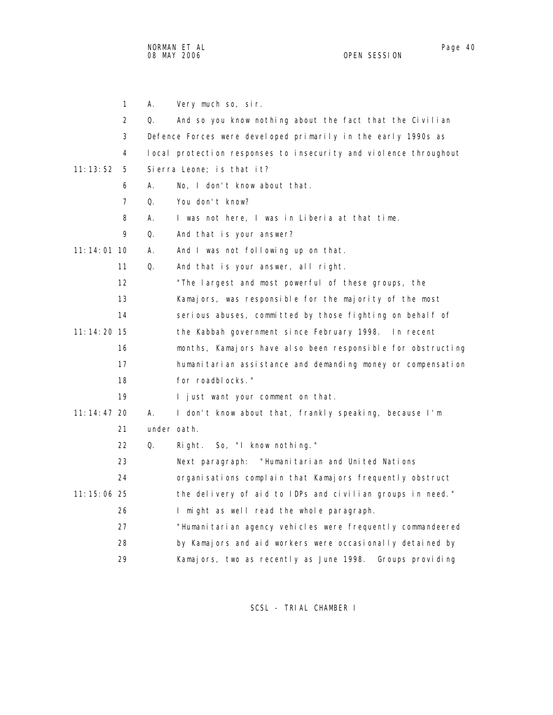NORMAN ET AL Page 40 and the set of the set of the set of the set of the set of the set of the set of the set o 08 MAY 2006 OPEN SESSION

|               | $\mathbf{1}$   | А.          | Very much so, sir.                                               |
|---------------|----------------|-------------|------------------------------------------------------------------|
|               | 2              | Q.          | And so you know nothing about the fact that the Civilian         |
|               | 3              |             | Defence Forces were developed primarily in the early 1990s as    |
|               | 4              |             | local protection responses to insecurity and violence throughout |
| 11:13:52      | 5              |             | Sierra Leone; is that it?                                        |
|               | 6              | А.          | No, I don't know about that.                                     |
|               | $\overline{7}$ | Q.          | You don't know?                                                  |
|               | 8              | А.          | I was not here, I was in Liberia at that time.                   |
|               | 9              | Q.          | And that is your answer?                                         |
| $11:14:01$ 10 |                | А.          | And I was not following up on that.                              |
|               | 11             | Q.          | And that is your answer, all right.                              |
|               | 12             |             | "The largest and most powerful of these groups, the              |
|               | 13             |             | Kamajors, was responsible for the majority of the most           |
|               | 14             |             | serious abuses, committed by those fighting on behalf of         |
| 11: 14: 20 15 |                |             | the Kabbah government since February 1998. In recent             |
|               | 16             |             | months, Kamajors have also been responsible for obstructing      |
|               | 17             |             | humanitarian assistance and demanding money or compensation      |
|               | 18             |             | for roadblocks."                                                 |
|               | 19             |             | I just want your comment on that.                                |
| $11:14:47$ 20 |                | Α.          | I don't know about that, frankly speaking, because I'm           |
|               | 21             | under oath. |                                                                  |
|               | 22             | Q.          | Right. So, "I know nothing."                                     |
|               | 23             |             | "Humanitarian and United Nations<br>Next paragraph:              |
|               | 24             |             | organisations complain that Kamajors frequently obstruct         |
| 11: 15: 06 25 |                |             | the delivery of aid to IDPs and civilian groups in need."        |
|               | 26             |             | I might as well read the whole paragraph.                        |
|               | 27             |             | "Humani tari an agency vehicles were frequently commandeered     |
|               | 28             |             | by Kamajors and aid workers were occasionally detained by        |
|               | 29             |             | Kamajors, two as recently as June 1998.<br>Groups providing      |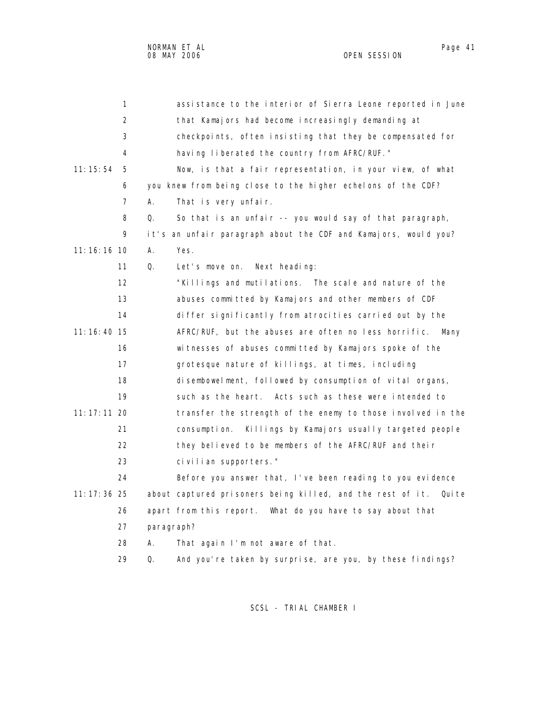| 1             | assistance to the interior of Sierra Leone reported in June          |
|---------------|----------------------------------------------------------------------|
| 2             | that Kamajors had become increasingly demanding at                   |
| 3             | checkpoints, often insisting that they be compensated for            |
| 4             | having liberated the country from AFRC/RUF."                         |
| 11:15:54<br>5 | Now, is that a fair representation, in your view, of what            |
| 6             | you knew from being close to the higher echelons of the CDF?         |
| 7             | А.<br>That is very unfair.                                           |
| 8             | So that is an unfair -- you would say of that paragraph,<br>Q.       |
| 9             | it's an unfair paragraph about the CDF and Kamajors, would you?      |
| 11:16:16 10   | А.<br>Yes.                                                           |
| 11            | Q.<br>Let's move on.<br>Next heading:                                |
| 12            | "Killings and mutilations. The scale and nature of the               |
| 13            | abuses committed by Kamajors and other members of CDF                |
| 14            | differ significantly from atrocities carried out by the              |
| 11:16:40 15   | AFRC/RUF, but the abuses are often no less horrific.<br>Many         |
| 16            | wi tnesses of abuses committed by Kamajors spoke of the              |
| 17            | grotesque nature of killings, at times, including                    |
| 18            | disembowelment, followed by consumption of vital organs,             |
| 19            | such as the heart. Acts such as these were intended to               |
| 11: 17: 11 20 | transfer the strength of the enemy to those involved in the          |
| 21            | Killings by Kamajors usually targeted people<br>consumption.         |
| 22            | they believed to be members of the AFRC/RUF and their                |
| 23            | civilian supporters."                                                |
| 24            | Before you answer that, I've been reading to you evidence            |
| 11: 17: 36 25 | about captured prisoners being killed, and the rest of it.<br>Qui te |
| 26            | apart from this report. What do you have to say about that           |
| 27            | paragraph?                                                           |
| 28            | That again I'm not aware of that.<br>Α.                              |
| 29            | Q.<br>And you're taken by surprise, are you, by these findings?      |
|               |                                                                      |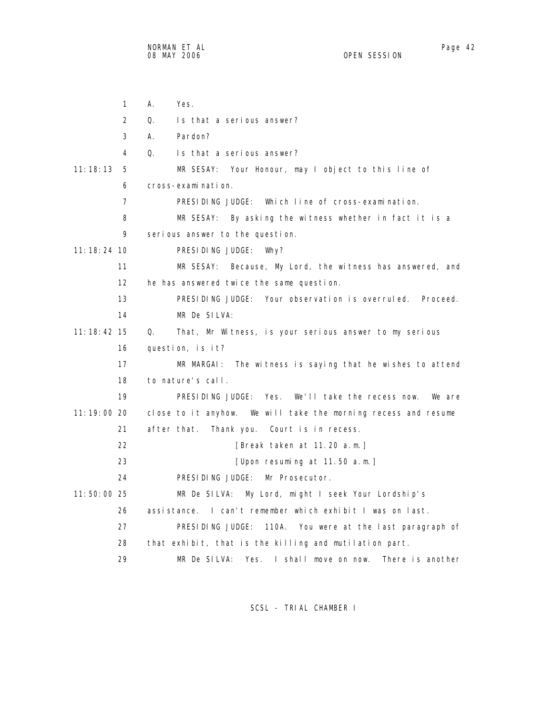|               | $\mathbf{1}$      | А.<br>Yes.                                                       |
|---------------|-------------------|------------------------------------------------------------------|
|               | $\overline{2}$    | 0.<br>Is that a serious answer?                                  |
|               | 3                 | А.<br>Pardon?                                                    |
|               | 4                 | Is that a serious answer?<br>Q.                                  |
| 11:18:13      | 5                 | MR SESAY: Your Honour, may I object to this line of              |
|               | 6                 | cross-examination.                                               |
|               | $\overline{7}$    | PRESIDING JUDGE: Which line of cross-examination.                |
|               | 8                 | MR SESAY: By asking the witness whether in fact it is a          |
|               | 9                 | serious answer to the question.                                  |
| $11:18:24$ 10 |                   | PRESIDING JUDGE:<br>Why?                                         |
|               | 11                | MR SESAY: Because, My Lord, the witness has answered, and        |
|               | $12 \overline{ }$ | he has answered twice the same question.                         |
|               | 13                | PRESIDING JUDGE: Your observation is overruled. Proceed.         |
|               | 14                | MR De SILVA:                                                     |
| 11: 18: 42 15 |                   | That, Mr Witness, is your serious answer to my serious<br>Q.     |
|               | 16                | question, is it?                                                 |
|               | 17                | MR MARGAI: The witness is saying that he wishes to attend        |
|               | 18                | to nature's call.                                                |
|               | 19                | Yes. We'll take the recess now.<br>PRESIDING JUDGE:<br>We are    |
| 11:19:00 20   |                   | close to it anyhow. We will take the morning recess and resume   |
|               | 21                | after that.<br>Thank you. Court is in recess.                    |
|               | 22                | [Break taken at 11.20 a.m.]                                      |
|               | 23                | [Upon resuming at 11.50 $a.m.$ ]                                 |
|               | 24                | PRESIDING JUDGE:<br>Mr Prosecutor.                               |
| 11:50:00 25   |                   | MR De SILVA:<br>My Lord, might I seek Your Lordship's            |
|               | 26                | assistance. I can't remember which exhibit I was on last.        |
|               | 27                | PRESIDING JUDGE: 110A. You were at the last paragraph of         |
|               | 28                | that exhibit, that is the killing and mutilation part.           |
|               | 29                | MR De SILVA:<br>Yes.<br>I shall move on now.<br>There is another |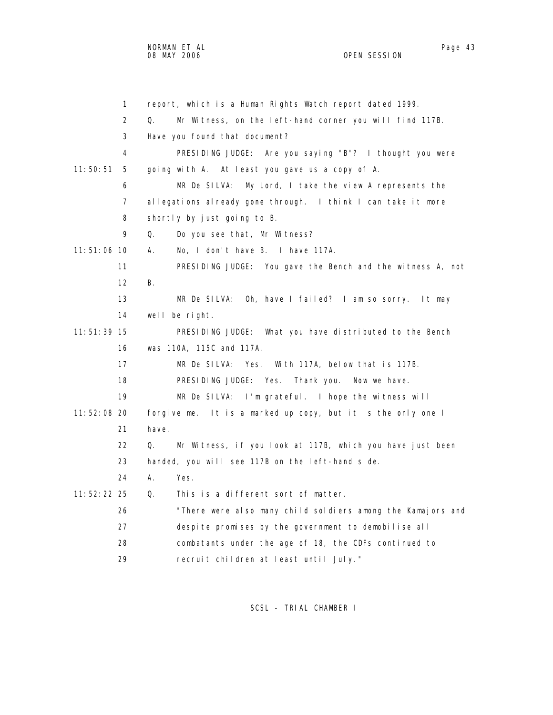1 report, which is a Human Rights Watch report dated 1999. 2 Q. Mr Witness, on the left-hand corner you will find 117B. 3 Have you found that document? 4 PRESIDING JUDGE: Are you saying "B"? I thought you were 11:50:51 5 going with A. At least you gave us a copy of A. 6 MR De SILVA: My Lord, I take the view A represents the 7 allegations already gone through. I think I can take it more 8 shortly by just going to B. 9 Q. Do you see that, Mr Witness? 11:51:06 10 A. No, I don't have B. I have 117A. 11 PRESIDING JUDGE: You gave the Bench and the witness A, not 12 B. 13 MR De SILVA: Oh, have I failed? I am so sorry. It may 14 well be right. 11:51:39 15 PRESIDING JUDGE: What you have distributed to the Bench 16 was 110A, 115C and 117A. 17 MR De SILVA: Yes. With 117A, below that is 117B. 18 PRESIDING JUDGE: Yes. Thank you. Now we have. 19 MR De SILVA: I'm grateful. I hope the witness will 11:52:08 20 forgive me. It is a marked up copy, but it is the only one I 21 have. 22 Q. Mr Witness, if you look at 117B, which you have just been 23 handed, you will see 117B on the left-hand side. 24 A. Yes. 11:52:22 25 Q. This is a different sort of matter. 26 "There were also many child soldiers among the Kamajors and 27 despite promises by the government to demobilise all 28 combatants under the age of 18, the CDFs continued to 29 recruit children at least until July."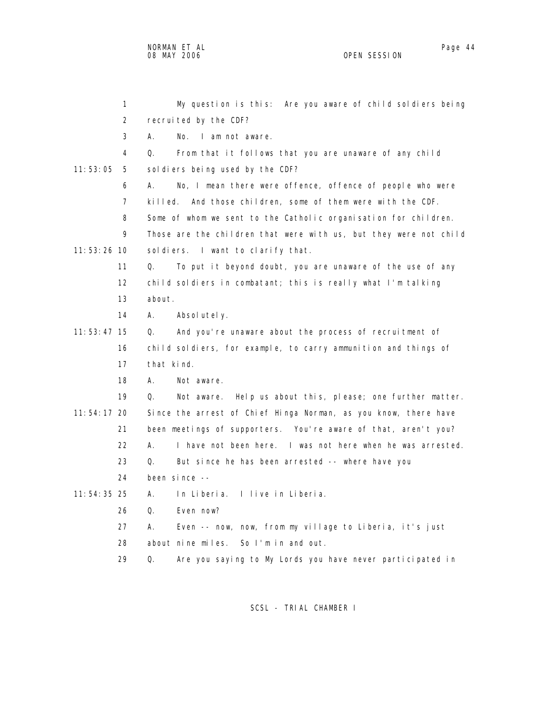NORMAN ET AL Page 44

OPEN SESSION

 1 My question is this: Are you aware of child soldiers being 2 recruited by the CDF? 3 A. No. I am not aware. 4 Q. From that it follows that you are unaware of any child 11:53:05 5 soldiers being used by the CDF? 6 A. No, I mean there were offence, offence of people who were 7 killed. And those children, some of them were with the CDF. 8 Some of whom we sent to the Catholic organisation for children. 9 Those are the children that were with us, but they were not child 11:53:26 10 soldiers. I want to clarify that. 11 Q. To put it beyond doubt, you are unaware of the use of any 12 child soldiers in combatant; this is really what I'm talking

- 13 about.
- 14 A. Absolutely.
- 11:53:47 15 Q. And you're unaware about the process of recruitment of 16 child soldiers, for example, to carry ammunition and things of 17 that kind.
	- 18 A. Not aware.

 19 Q. Not aware. Help us about this, please; one further matter. 11:54:17 20 Since the arrest of Chief Hinga Norman, as you know, there have 21 been meetings of supporters. You're aware of that, aren't you?

- 22 A. I have not been here. I was not here when he was arrested.
- 23 Q. But since he has been arrested -- where have you
- 24 been since --

11:54:35 25 A. In Liberia. I live in Liberia.

- 26 Q. Even now?
- 27 A. Even -- now, now, from my village to Liberia, it's just
- 28 about nine miles. So I'm in and out.

29 Q. Are you saying to My Lords you have never participated in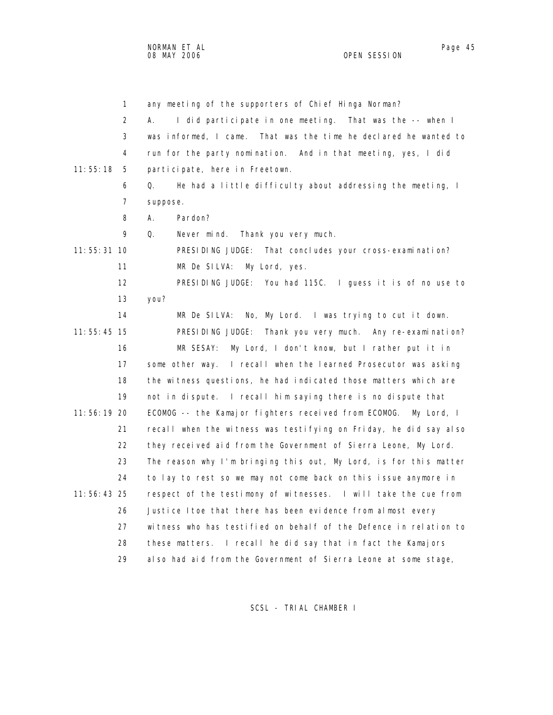| $\mathbf{1}$  | any meeting of the supporters of Chief Hinga Norman?               |
|---------------|--------------------------------------------------------------------|
| 2             | I did participate in one meeting. That was the -- when I<br>А.     |
| 3             | was informed, I came. That was the time he declared he wanted to   |
| 4             | run for the party nomination. And in that meeting, yes, I did      |
| 11:55:18<br>5 | participate, here in Freetown.                                     |
| 6             | He had a little difficulty about addressing the meeting, I<br>Q.   |
| 7             | suppose.                                                           |
| 8             | Pardon?<br>А.                                                      |
| 9             | Q.<br>Never mind. Thank you very much.                             |
| 11:55:31 10   | PRESIDING JUDGE: That concludes your cross-examination?            |
| 11            | My Lord, yes.<br>MR De SILVA:                                      |
| 12            | PRESIDING JUDGE: You had 115C. I guess it is of no use to          |
| 13            | you?                                                               |
| 14            | No, My Lord. I was trying to cut it down.<br>MR De SILVA:          |
| $11:55:45$ 15 | PRESIDING JUDGE: Thank you very much. Any re-examination?          |
| 16            | MR SESAY:<br>My Lord, I don't know, but I rather put it in         |
| 17            | some other way. I recall when the learned Prosecutor was asking    |
| 18            | the witness questions, he had indicated those matters which are    |
| 19            | not in dispute. I recall him saying there is no dispute that       |
| 11:56:19 20   | ECOMOG -- the Kamajor fighters received from ECOMOG.<br>My Lord, I |
| 21            | recall when the witness was testifying on Friday, he did say also  |
| 22            | they received aid from the Government of Sierra Leone, My Lord.    |
| 23            | The reason why I'm bringing this out, My Lord, is for this matter  |
| 24            | to lay to rest so we may not come back on this issue anymore in    |
| $11:56:43$ 25 | respect of the testimony of witnesses. I will take the cue from    |
| 26            | Justice Itoe that there has been evidence from almost every        |
| 27            | witness who has testified on behalf of the Defence in relation to  |
| 28            | these matters. I recall he did say that in fact the Kamajors       |
| 29            | also had aid from the Government of Sierra Leone at some stage,    |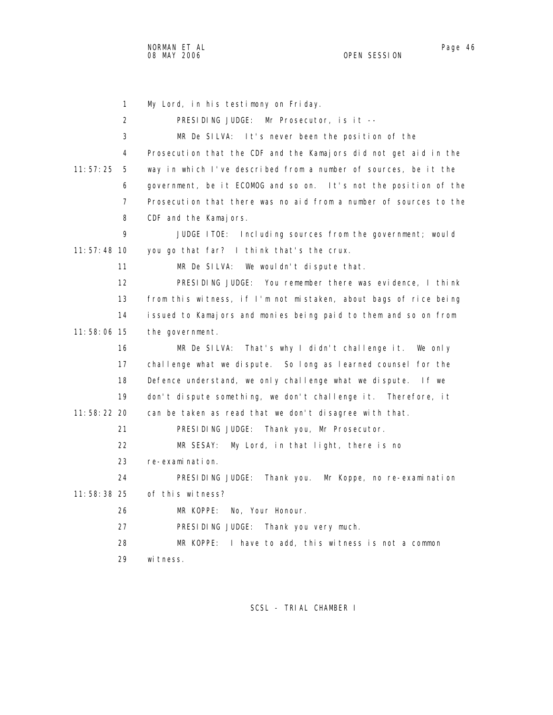1 My Lord, in his testimony on Friday. 2 PRESIDING JUDGE: Mr Prosecutor, is it -- 3 MR De SILVA: It's never been the position of the 4 Prosecution that the CDF and the Kamajors did not get aid in the 11:57:25 5 way in which I've described from a number of sources, be it the 6 government, be it ECOMOG and so on. It's not the position of the 7 Prosecution that there was no aid from a number of sources to the 8 CDF and the Kamajors. 9 JUDGE ITOE: Including sources from the government; would 11:57:48 10 you go that far? I think that's the crux. 11 MR De SILVA: We wouldn't dispute that. 12 PRESIDING JUDGE: You remember there was evidence, I think 13 from this witness, if I'm not mistaken, about bags of rice being 14 issued to Kamajors and monies being paid to them and so on from 11:58:06 15 the government. 16 MR De SILVA: That's why I didn't challenge it. We only 17 challenge what we dispute. So long as learned counsel for the 18 Defence understand, we only challenge what we dispute. If we 19 don't dispute something, we don't challenge it. Therefore, it 11:58:22 20 can be taken as read that we don't disagree with that. 21 PRESIDING JUDGE: Thank you, Mr Prosecutor. 22 MR SESAY: My Lord, in that light, there is no 23 re-examination. 24 PRESIDING JUDGE: Thank you. Mr Koppe, no re-examination 11:58:38 25 of this witness? 26 MR KOPPE: No, Your Honour. 27 PRESIDING JUDGE: Thank you very much. 28 MR KOPPE: I have to add, this witness is not a common 29 witness.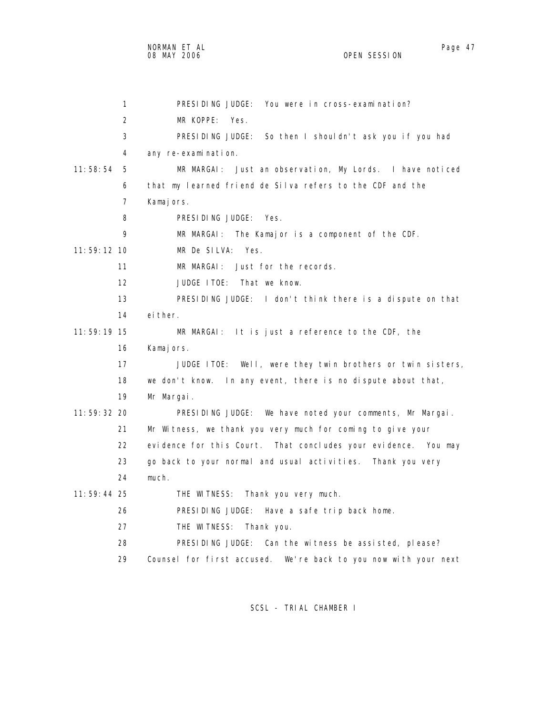1 PRESIDING JUDGE: You were in cross-examination? 2 MR KOPPE: Yes. 3 PRESIDING JUDGE: So then I shouldn't ask you if you had 4 any re-examination. 11:58:54 5 MR MARGAI: Just an observation, My Lords. I have noticed 6 that my learned friend de Silva refers to the CDF and the 7 Kamajors. 8 PRESIDING JUDGE: Yes. 9 MR MARGAI: The Kamajor is a component of the CDF. 11:59:12 10 MR De SILVA: Yes. 11 MR MARGAI: Just for the records. 12 JUDGE ITOE: That we know. 13 PRESIDING JUDGE: I don't think there is a dispute on that 14 either. 11:59:19 15 MR MARGAI: It is just a reference to the CDF, the 16 Kamajors. 17 JUDGE ITOE: Well, were they twin brothers or twin sisters, 18 we don't know. In any event, there is no dispute about that, 19 Mr Margai. 11:59:32 20 PRESIDING JUDGE: We have noted your comments, Mr Margai. 21 Mr Witness, we thank you very much for coming to give your 22 evidence for this Court. That concludes your evidence. You may 23 go back to your normal and usual activities. Thank you very 24 much. 11:59:44 25 THE WITNESS: Thank you very much. 26 PRESIDING JUDGE: Have a safe trip back home. 27 THE WITNESS: Thank you. 28 PRESIDING JUDGE: Can the witness be assisted, please?

29 Counsel for first accused. We're back to you now with your next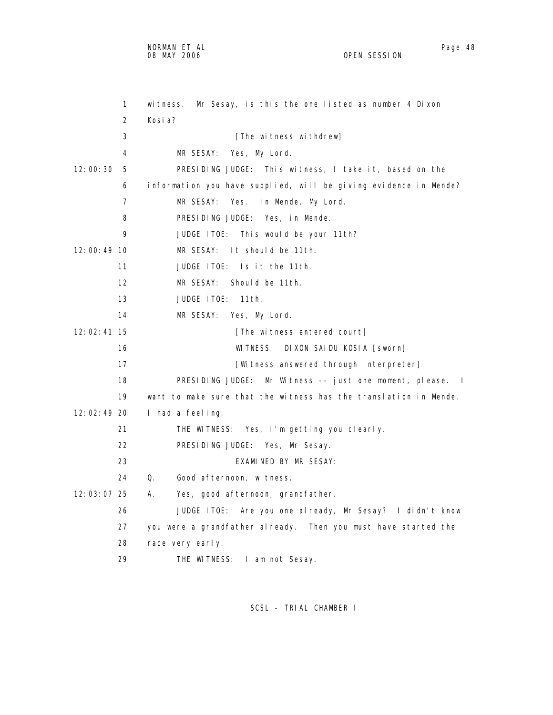NORMAN ET AL Page 48

OPEN SESSION

 1 witness. Mr Sesay, is this the one listed as number 4 Dixon 2 Kosia? 3 [The witness withdrew] 4 MR SESAY: Yes, My Lord. 12:00:30 5 PRESIDING JUDGE: This witness, I take it, based on the 6 information you have supplied, will be giving evidence in Mende? 7 MR SESAY: Yes. In Mende, My Lord. 8 PRESIDING JUDGE: Yes, in Mende. 9 JUDGE ITOE: This would be your 11th? 12:00:49 10 MR SESAY: It should be 11th. 11 JUDGE ITOE: Is it the 11th. 12 MR SESAY: Should be 11th. 13 JUDGE ITOE: 11th. 14 MR SESAY: Yes, My Lord. 12:02:41 15 [The witness entered court] 16 WITNESS: DIXON SAIDU KOSIA [sworn] 17 **Interpreter** [Witness answered through interpreter] 18 PRESIDING JUDGE: Mr Witness -- just one moment, please. I 19 want to make sure that the witness has the translation in Mende. 12:02:49 20 I had a feeling. 21 THE WITNESS: Yes, I'm getting you clearly. 22 PRESIDING JUDGE: Yes, Mr Sesay. 23 EXAMINED BY MR SESAY: 24 Q. Good afternoon, witness. 12:03:07 25 A. Yes, good afternoon, grandfather. 26 JUDGE ITOE: Are you one already, Mr Sesay? I didn't know 27 you were a grandfather already. Then you must have started the 28 race very early. 29 THE WITNESS: I am not Sesay.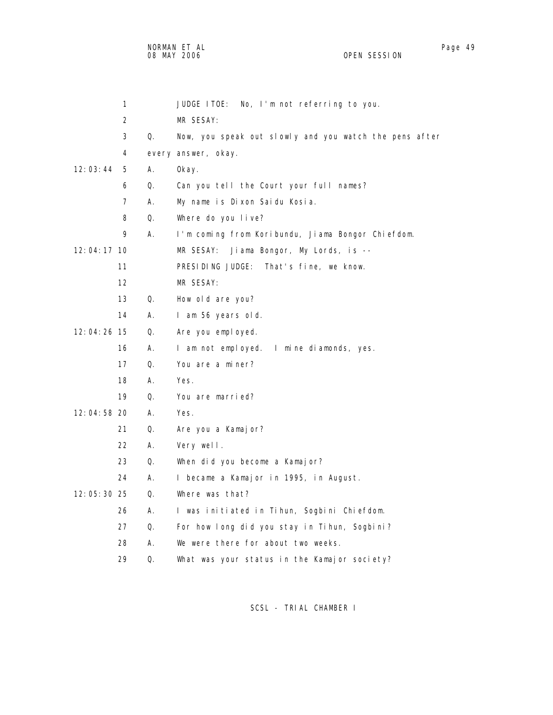NORMAN ET AL Page 19 Page 49 Page 49 Page 19 Page 49 Page 19 Page 19 Page 19 Page 19 Page 19 Page 19 Page 19 Page 19 08 MAY 2006 OPEN SESSION

|               | 1  |            | No, I'm not referring to you.<br>JUDGE ITOE:           |
|---------------|----|------------|--------------------------------------------------------|
|               | 2  |            | MR SESAY:                                              |
|               | 3  | Q.         | Now, you speak out slowly and you watch the pens after |
|               | 4  |            | every answer, okay.                                    |
| 12:03:44      | 5  | Α.         | 0kay.                                                  |
|               | 6  | 0.         | Can you tell the Court your full names?                |
|               | 7  | А.         | My name is Dixon Saidu Kosia.                          |
|               | 8  | Q.         | Where do you live?                                     |
|               | 9  | А.         | I'm coming from Koribundu, Jiama Bongor Chiefdom.      |
| $12:04:17$ 10 |    |            | Jiama Bongor, My Lords, is --<br>MR SESAY:             |
|               | 11 |            | PRESIDING JUDGE:<br>That's fine, we know.              |
|               | 12 |            | MR SESAY:                                              |
|               | 13 | Q.         | How old are you?                                       |
|               | 14 | А.         | I am 56 years old.                                     |
| 12:04:26 15   |    | Q.         | Are you employed.                                      |
|               | 16 | А.         | I am not employed. I mine diamonds, yes.               |
|               | 17 | Q.         | You are a miner?                                       |
|               | 18 | А.         | Yes.                                                   |
|               | 19 | Q.         | You are married?                                       |
| 12:04:58 20   |    | А.         | Yes.                                                   |
|               | 21 | Q.         | Are you a Kamajor?                                     |
|               | 22 | А.         | Very well.                                             |
|               | 23 | Q.         | When did you become a Kamajor?                         |
|               | 24 | Α.         | I became a Kamajor in 1995, in August.                 |
| 12:05:30 25   |    | $\Omega$ . | Where was that?                                        |
|               | 26 | Α.         | I was initiated in Tihun, Sogbini Chiefdom.            |
|               | 27 | Q.         | For how long did you stay in Tihun, Sogbini?           |
|               | 28 | А.         | We were there for about two weeks.                     |
|               | 29 | 0.         | What was your status in the Kamajor society?           |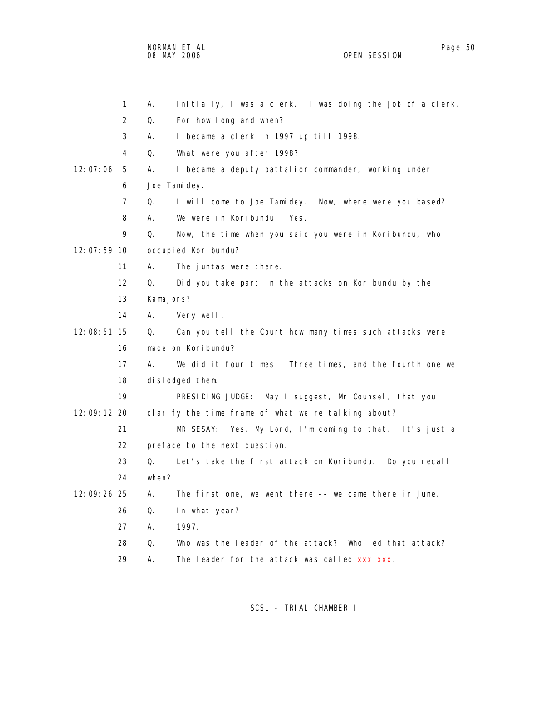NORMAN ET AL Page 50 and the set of the set of the set of the set of the set of the set of the set of the set o 08 MAY 2006 OPEN SESSION

| 1             | Initially, I was a clerk. I was doing the job of a clerk.<br>Α. |
|---------------|-----------------------------------------------------------------|
| 2             | For how I ong and when?<br>Q.                                   |
| 3             | I became a clerk in 1997 up till 1998.<br>А.                    |
| 4             | What were you after 1998?<br>Q.                                 |
| 12:07:06<br>5 | I became a deputy battalion commander, working under<br>А.      |
| 6             | Joe Tamidey.                                                    |
| 7             | I will come to Joe Tamidey. Now, where were you based?<br>Q.    |
| 8             | We were in Koribundu. Yes.<br>А.                                |
| 9             | Q.<br>Now, the time when you said you were in Koribundu, who    |
| 12:07:59 10   | occupied Koribundu?                                             |
| 11            | The juntas were there.<br>А.                                    |
| 12            | Did you take part in the attacks on Koribundu by the<br>Q.      |
| 13            | Kamajors?                                                       |
| 14            | А.<br>Very well.                                                |
| 12:08:51 15   | Can you tell the Court how many times such attacks were<br>Q.   |
| 16            | made on Koribundu?                                              |
| 17            | We did it four times. Three times, and the fourth one we<br>А.  |
| 18            | dislodged them.                                                 |
| 19            | PRESIDING JUDGE: May I suggest, Mr Counsel, that you            |
| 12:09:12 20   | clarify the time frame of what we're talking about?             |
| 21            | MR SESAY: Yes, My Lord, I'm coming to that. It's just a         |
| 22            | preface to the next question.                                   |
| 23            | Let's take the first attack on Koribundu. Do you recall<br>Q.   |
| 24            | when?                                                           |
| 12:09:26 25   | А.<br>The first one, we went there -- we came there in June.    |
| 26            | Q.<br>In what year?                                             |
| 27            | 1997.<br>А.                                                     |
| 28            | Who was the leader of the attack? Who led that attack?<br>Q.    |
| 29            | The leader for the attack was called xxx xxx.<br>А.             |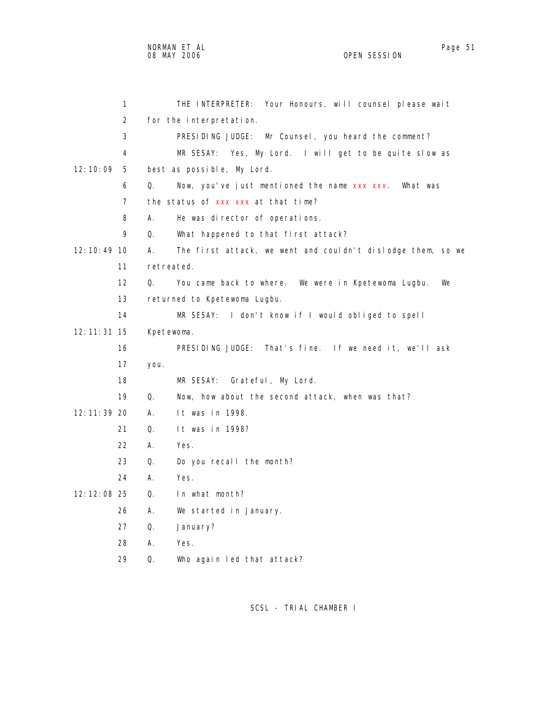|               | 1              |            | THE INTERPRETER: Your Honours, will counsel please wait     |
|---------------|----------------|------------|-------------------------------------------------------------|
|               | $\overline{2}$ |            | for the interpretation.                                     |
|               | 3              |            | PRESIDING JUDGE: Mr Counsel, you heard the comment?         |
|               | 4              |            | MR SESAY: Yes, My Lord. I will get to be quite slow as      |
| 12:10:09      | 5              |            |                                                             |
|               | 6              |            | best as possible, My Lord.                                  |
|               |                | Q.         | Now, you've just mentioned the name xxx xxx. What was       |
|               | $\overline{7}$ |            | the status of xxx xxx at that time?                         |
|               | 8              | А.         | He was director of operations.                              |
|               | 9              | Q.         | What happened to that first attack?                         |
| 12:10:49 10   |                | А.         | The first attack, we went and couldn't dislodge them, so we |
|               | 11             | retreated. |                                                             |
|               | 12             | Q.         | You came back to where. We were in Kpetewoma Lugbu.<br>We   |
|               | 13             |            | returned to Kpetewoma Lugbu.                                |
|               | 14             |            | MR SESAY: I don't know if I would obliged to spell          |
| 12: 11: 31 15 |                | Kpetewoma. |                                                             |
|               | 16             |            | PRESIDING JUDGE: That's fine. If we need it, we'll ask      |
|               | 17             | you.       |                                                             |
|               | 18             |            | Grateful, My Lord.<br>MR SESAY:                             |
|               | 19             | Q.         | Now, how about the second attack, when was that?            |
| 12: 11: 39 20 |                | А.         | It was in 1998.                                             |
|               | 21             | Q.         | It was in 1998?                                             |
|               | 22             | А.         | Yes.                                                        |
|               | 23             | Q.         | Do you recall the month?                                    |
|               | 24             | А.         | Yes.                                                        |
| 12: 12: 08 25 |                | Q.         | In what month?                                              |
|               | 26             | А.         | We started in January.                                      |
|               | 27             | Q.         | January?                                                    |
|               | 28             | А.         | Yes.                                                        |
|               | 29             | Q.         | Who again led that attack?                                  |
|               |                |            |                                                             |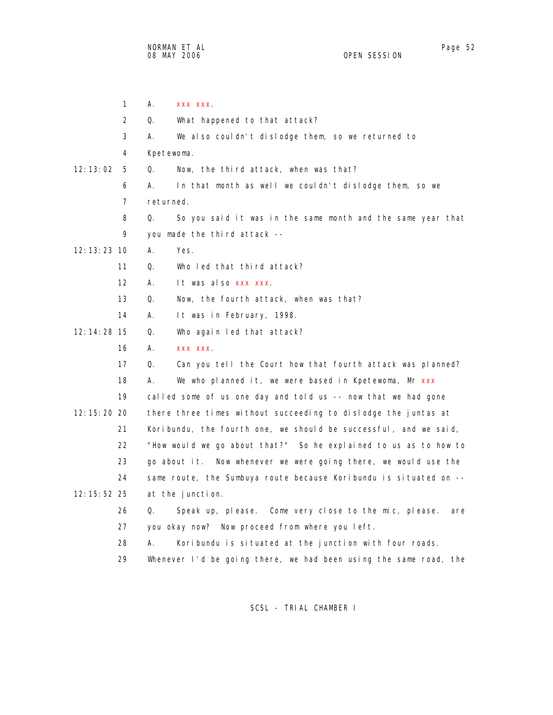1 A. xxx xxx. 2 Q. What happened to that attack? 3 A. We also couldn't dislodge them, so we returned to 4 Kpetewoma. 12:13:02 5 Q. Now, the third attack, when was that? 6 A. In that month as well we couldn't dislodge them, so we 7 returned. 8 Q. So you said it was in the same month and the same year that 9 you made the third attack -- 12:13:23 10 A. Yes. 11 Q. Who led that third attack? 12 A. It was also xxx xxx. 13 Q. Now, the fourth attack, when was that? 14 A. It was in February, 1998. 12:14:28 15 Q. Who again led that attack? 16 A. xxx xxx. 17 Q. Can you tell the Court how that fourth attack was planned? 18 A. We who planned it, we were based in Kpetewoma, Mr xxx 19 called some of us one day and told us -- now that we had gone 12:15:20 20 there three times without succeeding to dislodge the juntas at 21 Koribundu, the fourth one, we should be successful, and we said, 22 "How would we go about that?" So he explained to us as to how to 23 go about it. Now whenever we were going there, we would use the 24 same route, the Sumbuya route because Koribundu is situated on -- 12:15:52 25 at the junction. 26 Q. Speak up, please. Come very close to the mic, please. are 27 you okay now? Now proceed from where you left. 28 A. Koribundu is situated at the junction with four roads. 29 Whenever I'd be going there, we had been using the same road, the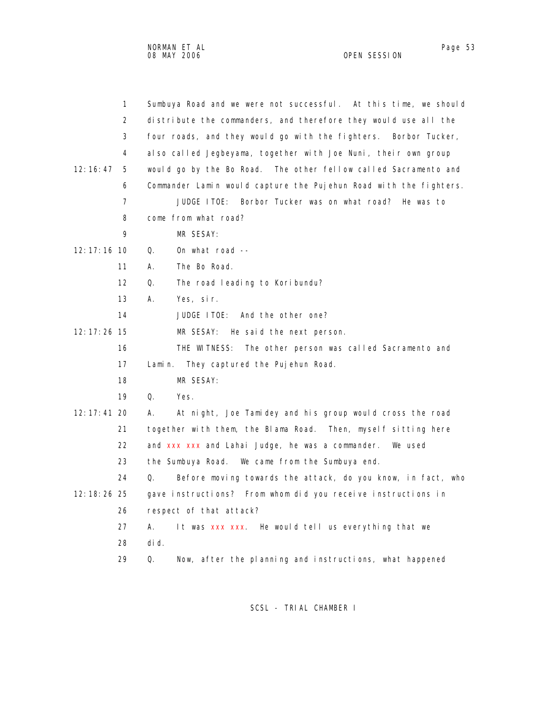| $\mathbf{1}$      | Sumbuya Road and we were not successful. At this time, we should  |
|-------------------|-------------------------------------------------------------------|
| 2                 | distribute the commanders, and therefore they would use all the   |
| 3                 | four roads, and they would go with the fighters. Borbor Tucker,   |
| 4                 | also called Jegbeyama, together with Joe Nuni, their own group    |
| 12:16:47<br>5     | would go by the Bo Road. The other fellow called Sacramento and   |
| 6                 | Commander Lamin would capture the Pujehun Road with the fighters. |
| $\overline{7}$    | Borbor Tucker was on what road? He was to<br>JUDGE ITOE:          |
| 8                 | come from what road?                                              |
| 9                 | MR SESAY:                                                         |
| $12:17:16$ 10     | On what road $-$<br>0.                                            |
| 11                | The Bo Road.<br>А.                                                |
| $12 \overline{ }$ | Q.<br>The road leading to Koribundu?                              |
| 13                | Yes, sir.<br>А.                                                   |
| 14                | And the other one?<br>JUDGE ITOE:                                 |
| $12:17:26$ 15     | MR SESAY:<br>He said the next person.                             |
| 16                | THE WITNESS:<br>The other person was called Sacramento and        |
| 17                | Lamin.<br>They captured the Pujehun Road.                         |
| 18                | MR SESAY:                                                         |
| 19                | Q.<br>Yes.                                                        |
| $12:17:41$ 20     | At night, Joe Tamidey and his group would cross the road<br>А.    |
| 21                | together with them, the Blama Road. Then, myself sitting here     |
| 22                | and xxx xxx and Lahai Judge, he was a commander. We used          |
| 23                | the Sumbuya Road. We came from the Sumbuya end.                   |
| 24                | Before moving towards the attack, do you know, in fact, who<br>Q. |
| 12: 18: 26 25     | gave instructions? From whom did you receive instructions in      |
| 26                | respect of that attack?                                           |
| 27                | А.<br>It was xxx xxx. He would tell us everything that we         |

- 28 did.
- 29 Q. Now, after the planning and instructions, what happened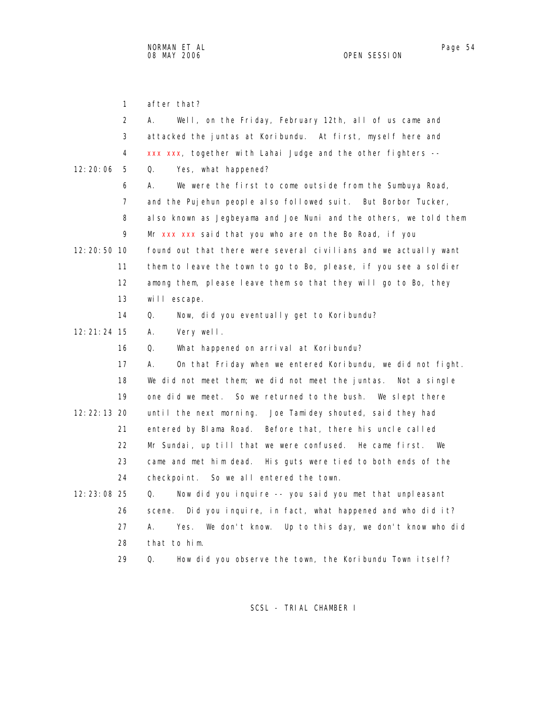1 after that?

|               | 2              | Well, on the Friday, February 12th, all of us came and<br>А.       |
|---------------|----------------|--------------------------------------------------------------------|
|               | 3              | attacked the juntas at Koribundu. At first, myself here and        |
|               | 4              | xxx xxx, together with Lahai Judge and the other fighters --       |
| 12:20:06      | 5              | 0.<br>Yes, what happened?                                          |
|               | 6              | We were the first to come outside from the Sumbuya Road,<br>А.     |
|               | $\overline{7}$ | and the Pujehun people also followed suit. But Borbor Tucker,      |
|               | 8              | also known as Jegbeyama and Joe Nuni and the others, we told them  |
|               | 9              | Mr xxx xxx said that you who are on the Bo Road, if you            |
| 12: 20: 50 10 |                | found out that there were several civilians and we actually want   |
|               | 11             | them to leave the town to go to Bo, please, if you see a soldier   |
|               | 12             | among them, please leave them so that they will go to Bo, they     |
|               | 13             | will escape.                                                       |
|               | 14             | Q.<br>Now, did you eventually get to Koribundu?                    |
| $12:21:24$ 15 |                | А.<br>Very well.                                                   |
|               | 16             | What happened on arrival at Koribundu?<br>Q.                       |
|               | 17             | А.<br>On that Friday when we entered Koribundu, we did not fight.  |
|               | 18             | We did not meet them; we did not meet the juntas. Not a single     |
|               | 19             | one did we meet. So we returned to the bush. We slept there        |
| 12: 22: 13 20 |                | until the next morning. Joe Tamidey shouted, said they had         |
|               | 21             | entered by Blama Road. Before that, there his uncle called         |
|               | 22             | Mr Sundai, up till that we were confused. He came first. We        |
|               | 23             | came and met him dead. His guts were tied to both ends of the      |
|               | 24             | checkpoint. So we all entered the town.                            |
| 12: 23: 08 25 |                | Now did you inquire -- you said you met that unpleasant<br>Q.      |
|               | 26             | Did you inquire, in fact, what happened and who did it?<br>scene.  |
|               | 27             | А.<br>We don't know. Up to this day, we don't know who did<br>Yes. |
|               | 28             | that to him.                                                       |
|               | 29             | How did you observe the town, the Koribundu Town itself?<br>Q.     |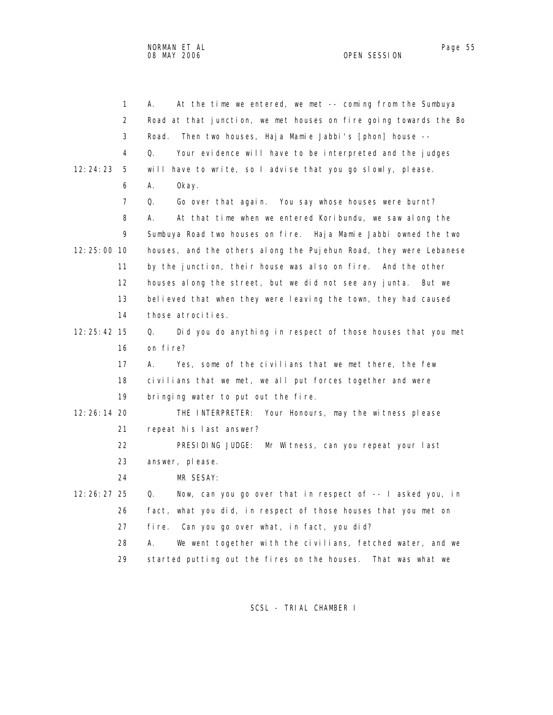|               | 1              | At the time we entered, we met -- coming from the Sumbuya<br>А.   |
|---------------|----------------|-------------------------------------------------------------------|
|               | $\overline{2}$ | Road at that junction, we met houses on fire going towards the Bo |
|               | 3              | Road.<br>Then two houses, Haja Mamie Jabbi's [phon] house --      |
|               | 4              | Q.<br>Your evidence will have to be interpreted and the judges    |
| 12:24:23      | 5              | will have to write, so I advise that you go slowly, please.       |
|               | 6              | А.<br>0kay.                                                       |
|               | $\overline{7}$ | Q.<br>Go over that again. You say whose houses were burnt?        |
|               | 8              | At that time when we entered Koribundu, we saw along the<br>А.    |
|               | 9              | Sumbuya Road two houses on fire. Haja Mamie Jabbi owned the two   |
| $12:25:00$ 10 |                | houses, and the others along the Pujehun Road, they were Lebanese |
|               | 11             | by the junction, their house was also on fire. And the other      |
|               | 12             | houses along the street, but we did not see any junta.<br>But we  |
|               | 13             | believed that when they were leaving the town, they had caused    |
|               | 14             | those atrocities.                                                 |
| 12: 25: 42 15 |                | Did you do anything in respect of those houses that you met<br>Q. |
|               | 16             | on fire?                                                          |
|               | 17             | Yes, some of the civilians that we met there, the few<br>А.       |
|               | 18             | civilians that we met, we all put forces together and were        |
|               | 19             | bringing water to put out the fire.                               |
| 12: 26: 14 20 |                | THE INTERPRETER: Your Honours, may the witness please             |
|               | 21             | repeat his last answer?                                           |
|               | 22             | PRESIDING JUDGE: Mr Witness, can you repeat your last             |
|               | 23             | answer, please.                                                   |
|               | 24             | MR SESAY:                                                         |
| 12: 26: 27 25 |                | Now, can you go over that in respect of -- I asked you, in<br>Q.  |
|               | 26             | fact, what you did, in respect of those houses that you met on    |
|               | 27             | fi re.<br>Can you go over what, in fact, you did?                 |
|               | 28             | А.<br>We went together with the civilians, fetched water, and we  |
|               | 29             | started putting out the fires on the houses. That was what we     |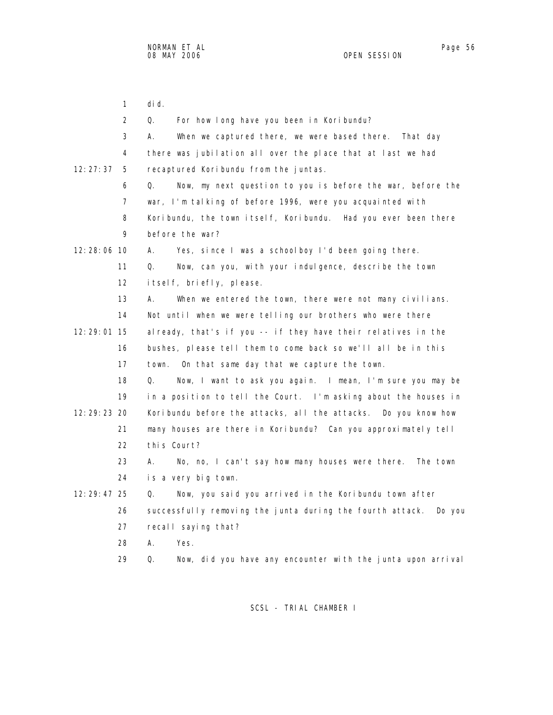1 did. 2 Q. For how long have you been in Koribundu? 3 A. When we captured there, we were based there. That day 4 there was jubilation all over the place that at last we had 12:27:37 5 recaptured Koribundu from the juntas. 6 Q. Now, my next question to you is before the war, before the 7 war, I'm talking of before 1996, were you acquainted with 8 Koribundu, the town itself, Koribundu. Had you ever been there 9 before the war? 12:28:06 10 A. Yes, since I was a schoolboy I'd been going there. 11 Q. Now, can you, with your indulgence, describe the town 12 itself, briefly, please. 13 A. When we entered the town, there were not many civilians. 14 Not until when we were telling our brothers who were there 12:29:01 15 already, that's if you -- if they have their relatives in the 16 bushes, please tell them to come back so we'll all be in this 17 town. On that same day that we capture the town. 18 Q. Now, I want to ask you again. I mean, I'm sure you may be 19 in a position to tell the Court. I'm asking about the houses in 12:29:23 20 Koribundu before the attacks, all the attacks. Do you know how 21 many houses are there in Koribundu? Can you approximately tell 22 this Court? 23 A. No, no, I can't say how many houses were there. The town 24 is a very big town. 12:29:47 25 Q. Now, you said you arrived in the Koribundu town after 26 successfully removing the junta during the fourth attack. Do you 27 recall saying that? 28 A. Yes. 29 Q. Now, did you have any encounter with the junta upon arrival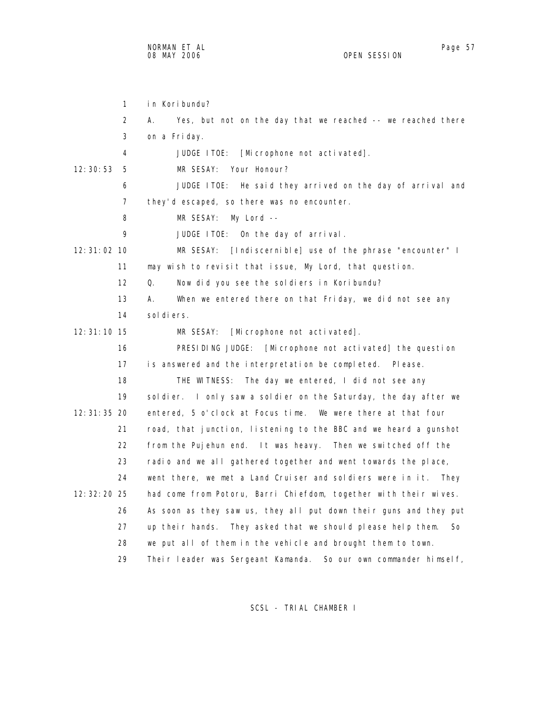| $\mathbf{1}$    | in Koribundu?                                                       |
|-----------------|---------------------------------------------------------------------|
| 2               | А.<br>Yes, but not on the day that we reached -- we reached there   |
| 3               | on a Friday.                                                        |
| 4               | JUDGE ITOE:<br>[Microphone not activated].                          |
| 12: 30: 53<br>5 | Your Honour?<br>MR SESAY:                                           |
| 6               | JUDGE ITOE:<br>He said they arrived on the day of arrival and       |
| 7               | they'd escaped, so there was no encounter.                          |
| 8               | MR SESAY:<br>My Lord --                                             |
| 9               | JUDGE ITOE: On the day of arrival.                                  |
| 12:31:02 10     | [Indiscernible] use of the phrase "encounter" I<br>MR SESAY:        |
| 11              | may wish to revisit that issue, My Lord, that question.             |
| 12              | Now did you see the soldiers in Koribundu?<br>0.                    |
| 13              | When we entered there on that Friday, we did not see any<br>А.      |
| 14              | sol di ers.                                                         |
| 12: 31: 10 15   | [Microphone not activated].<br>MR SESAY:                            |
| 16              | PRESIDING JUDGE: [Microphone not activated] the question            |
| 17              | is answered and the interpretation be completed. Please.            |
| 18              | The day we entered, I did not see any<br>THE WITNESS:               |
| 19              | soldier. I only saw a soldier on the Saturday, the day after we     |
| 12: 31: 35 20   | entered, 5 o'clock at Focus time. We were there at that four        |
| 21              | road, that junction, listening to the BBC and we heard a gunshot    |
| 22              | from the Pujehun end. It was heavy. Then we switched off the        |
| 23              | radio and we all gathered together and went towards the place,      |
| 24              | went there, we met a Land Cruiser and soldiers were in it.<br>They  |
| 12: 32: 20 25   | had come from Potoru, Barri Chiefdom, together with their wives.    |
| 26              | As soon as they saw us, they all put down their guns and they put   |
| 27              | up their hands. They asked that we should please help them.<br>So   |
| 28              | we put all of them in the vehicle and brought them to town.         |
| 29              | Their leader was Sergeant Kamanda.<br>So our own commander himself, |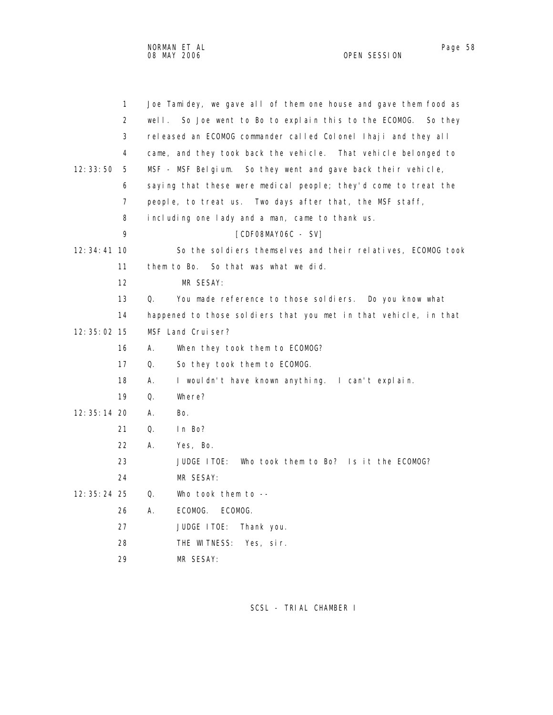|               | 1  |       | Joe Tamidey, we gave all of them one house and gave them food as |
|---------------|----|-------|------------------------------------------------------------------|
|               | 2  | well. | So Joe went to Bo to explain this to the ECOMOG.<br>So they      |
|               | 3  |       | released an ECOMOG commander called Colonel Ihaji and they all   |
|               | 4  |       | came, and they took back the vehicle. That vehicle belonged to   |
| 12:33:50      | 5  |       | So they went and gave back their vehicle,<br>MSF - MSF Belgium.  |
|               | 6  |       | saying that these were medical people; they'd come to treat the  |
|               | 7  |       | people, to treat us. Two days after that, the MSF staff,         |
|               | 8  |       | including one lady and a man, came to thank us.                  |
|               | 9  |       | [CDFO8MAYO6C - SV]                                               |
| $12:34:41$ 10 |    |       | So the soldiers themselves and their relatives, ECOMOG took      |
|               | 11 |       | them to Bo.<br>So that was what we did.                          |
|               | 12 |       | MR SESAY:                                                        |
|               | 13 | 0.    | You made reference to those sol diers. Do you know what          |
|               | 14 |       | happened to those soldiers that you met in that vehicle, in that |
| $12:35:02$ 15 |    |       | MSF Land Cruiser?                                                |
|               | 16 | А.    | When they took them to ECOMOG?                                   |
|               | 17 | 0.    | So they took them to ECOMOG.                                     |
|               | 18 | А.    | I wouldn't have known anything. I can't explain.                 |
|               | 19 | Q.    | Where?                                                           |
| $12:35:14$ 20 |    | А.    | Bo.                                                              |
|               | 21 | Q.    | In Bo?                                                           |
|               | 22 | А.    | Yes, Bo.                                                         |
|               | 23 |       | JUDGE ITOE:<br>Who took them to Bo? Is it the ECOMOG?            |
|               | 24 |       | MR SESAY:                                                        |
| $12:35:24$ 25 |    | Q.    | Who took them to $-$                                             |
|               | 26 | А.    | ECOMOG.<br>ECOMOG.                                               |
|               | 27 |       | JUDGE ITOE:<br>Thank you.                                        |
|               | 28 |       | THE WITNESS: Yes, sir.                                           |
|               |    |       |                                                                  |

29 MR SESAY: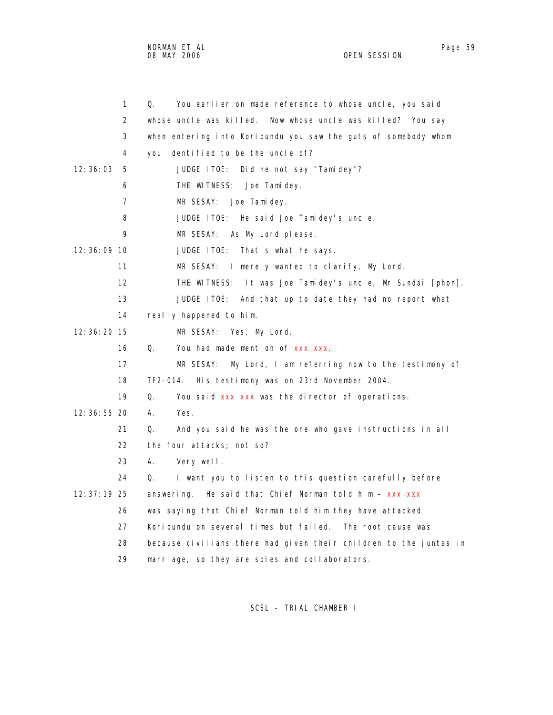NORMAN ET AL Page 59 and the set of the set of the set of the set of the set of the set of the set of the set o 08 MAY 2006 OPEN SESSION

1 Q. You earlier on made reference to whose uncle, you said

|          | 2              | whose uncle was killed. Now whose uncle was killed? You say       |
|----------|----------------|-------------------------------------------------------------------|
|          | 3              | when entering into Koribundu you saw the guts of somebody whom    |
|          | 4              | you identified to be the uncle of?                                |
| 12:36:03 | 5              | JUDGE I TOE:<br>Did he not say "Tamidey"?                         |
|          | 6              | THE WITNESS: Joe Tamidey.                                         |
|          | $\overline{7}$ | MR SESAY: Joe Tami dey.                                           |
|          | 8              | JUDGE ITOE: He said Joe Tamidey's uncle.                          |
|          | 9              | MR SESAY:<br>As My Lord please.                                   |
|          | $12:36:09$ 10  | JUDGE ITOE:<br>That's what he says.                               |
|          | 11             | MR SESAY: I merely wanted to clarify, My Lord.                    |
|          | 12             | THE WITNESS: It was Joe Tamidey's uncle, Mr Sundai [phon].        |
|          | 13             | JUDGE ITOE: And that up to date they had no report what           |
|          | 14             | really happened to him.                                           |
|          | 12: 36: 20 15  | MR SESAY: Yes, My Lord.                                           |
|          | 16             | Q.<br>You had made mention of xxx xxx.                            |
|          | 17             | My Lord, I am referring now to the testimony of<br>MR SESAY:      |
|          | 18             | TF2-014. His testimony was on 23rd November 2004.                 |
|          | 19             | Q.<br>You said xxx xxx was the director of operations.            |
|          | 12: 36: 55 20  | А.<br>Yes.                                                        |
|          | 21             | And you said he was the one who gave instructions in all<br>Q.    |
|          | 22             | the four attacks; not so?                                         |
|          | 23             | А.<br>Very well.                                                  |
|          | 24             | I want you to listen to this question carefully before<br>Q.      |
|          | $12:37:19$ 25  | answering. He said that Chief Norman told him $-$ xxx xxx         |
|          | 26             | was saying that Chief Norman told him they have attacked          |
|          | 27             | Koribundu on several times but failed. The root cause was         |
|          | 28             | because civilians there had given their children to the juntas in |
|          | 29             | marriage, so they are spies and collaborators.                    |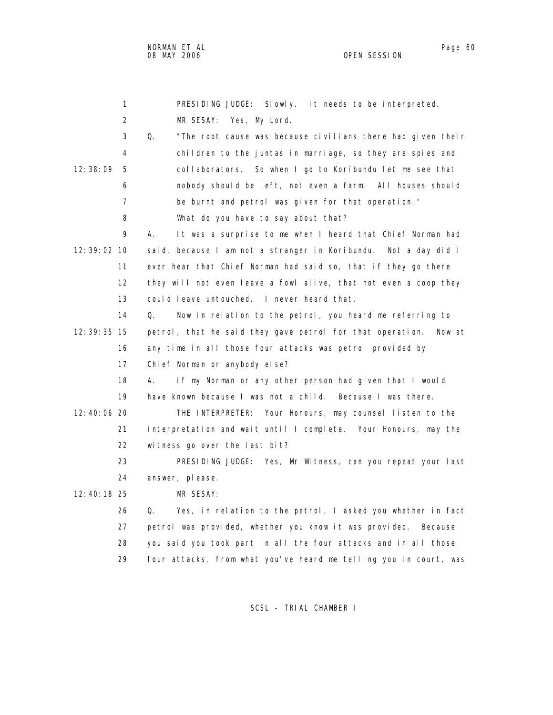1 PRESIDING JUDGE: Slowly. It needs to be interpreted. 2 MR SESAY: Yes, My Lord. 3 Q. "The root cause was because civilians there had given their 4 children to the juntas in marriage, so they are spies and 12:38:09 5 collaborators. So when I go to Koribundu let me see that 6 nobody should be left, not even a farm. All houses should 7 be burnt and petrol was given for that operation." 8 What do you have to say about that? 9 A. It was a surprise to me when I heard that Chief Norman had 12:39:02 10 said, because I am not a stranger in Koribundu. Not a day did I 11 ever hear that Chief Norman had said so, that if they go there 12 they will not even leave a fowl alive, that not even a coop they 13 could leave untouched. I never heard that. 14 Q. Now in relation to the petrol, you heard me referring to 12:39:35 15 petrol, that he said they gave petrol for that operation. Now at 16 any time in all those four attacks was petrol provided by 17 Chief Norman or anybody else? 18 A. If my Norman or any other person had given that I would 19 have known because I was not a child. Because I was there. 12:40:06 20 THE INTERPRETER: Your Honours, may counsel listen to the 21 interpretation and wait until I complete. Your Honours, may the 22 witness go over the last bit? 23 PRESIDING JUDGE: Yes, Mr Witness, can you repeat your last 24 answer, please. 12:40:18 25 MR SESAY: 26 Q. Yes, in relation to the petrol, I asked you whether in fact 27 petrol was provided, whether you know it was provided. Because 28 you said you took part in all the four attacks and in all those 29 four attacks, from what you've heard me telling you in court, was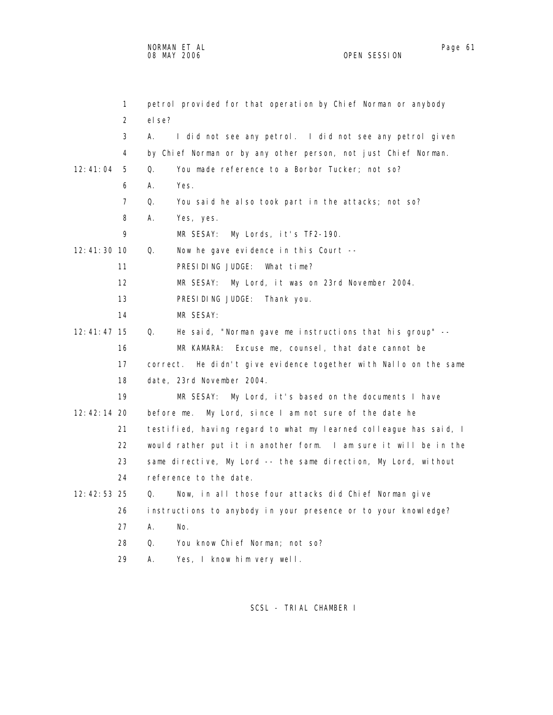1 petrol provided for that operation by Chief Norman or anybody 2 else? 3 A. I did not see any petrol. I did not see any petrol given 4 by Chief Norman or by any other person, not just Chief Norman. 12:41:04 5 Q. You made reference to a Borbor Tucker; not so? 6 A. Yes. 7 Q. You said he also took part in the attacks; not so? 8 A. Yes, yes. 9 MR SESAY: My Lords, it's TF2-190. 12:41:30 10 Q. Now he gave evidence in this Court -- 11 PRESIDING JUDGE: What time? 12 MR SESAY: My Lord, it was on 23rd November 2004. 13 PRESIDING JUDGE: Thank you. 14 MR SESAY: 12:41:47 15 Q. He said, "Norman gave me instructions that his group" -- 16 MR KAMARA: Excuse me, counsel, that date cannot be 17 correct. He didn't give evidence together with Nallo on the same 18 date, 23rd November 2004. 19 MR SESAY: My Lord, it's based on the documents I have 12:42:14 20 before me. My Lord, since I am not sure of the date he 21 testified, having regard to what my learned colleague has said, I 22 would rather put it in another form. I am sure it will be in the 23 same directive, My Lord -- the same direction, My Lord, without 24 reference to the date. 12:42:53 25 Q. Now, in all those four attacks did Chief Norman give 26 instructions to anybody in your presence or to your knowledge? 27 A. No. 28 Q. You know Chief Norman; not so? 29 A. Yes, I know him very well.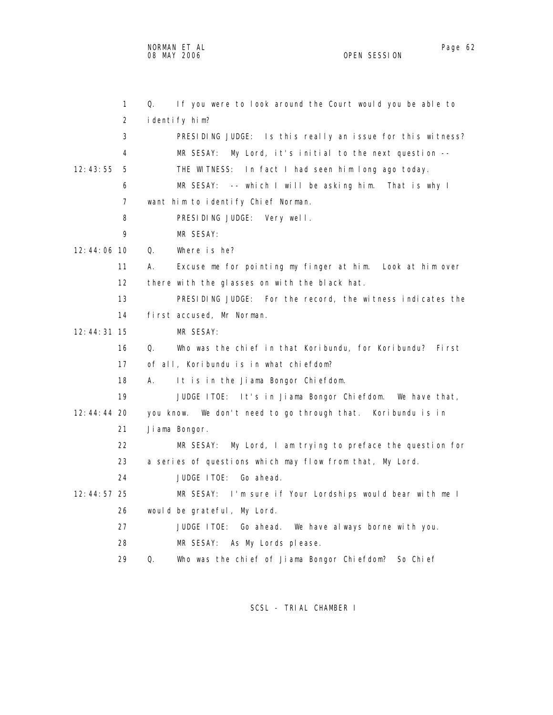NORMAN ET AL Page 62

2 identify him?

OPEN SESSION

 1 Q. If you were to look around the Court would you be able to 3 PRESIDING JUDGE: Is this really an issue for this witness? 4 MR SESAY: My Lord, it's initial to the next question --

12:43:55 5 THE WITNESS: In fact I had seen him long ago today.

6 MR SESAY: -- which I will be asking him. That is why I

7 want him to identify Chief Norman.

8 PRESIDING JUDGE: Very well.

9 MR SESAY:

12:44:06 10 Q. Where is he?

 11 A. Excuse me for pointing my finger at him. Look at him over 12 there with the glasses on with the black hat.

 13 PRESIDING JUDGE: For the record, the witness indicates the 14 first accused, Mr Norman.

12:44:31 15 MR SESAY:

 16 Q. Who was the chief in that Koribundu, for Koribundu? First 17 of all, Koribundu is in what chiefdom?

18 A. It is in the Jiama Bongor Chiefdom.

 19 JUDGE ITOE: It's in Jiama Bongor Chiefdom. We have that, 12:44:44 20 you know. We don't need to go through that. Koribundu is in 21 Jiama Bongor. 22 MR SESAY: My Lord, I am trying to preface the question for

23 a series of questions which may flow from that, My Lord.

24 JUDGE ITOE: Go ahead.

 12:44:57 25 MR SESAY: I'm sure if Your Lordships would bear with me I 26 would be grateful, My Lord.

27 JUDGE ITOE: Go ahead. We have always borne with you.

28 MR SESAY: As My Lords please.

29 Q. Who was the chief of Jiama Bongor Chiefdom? So Chief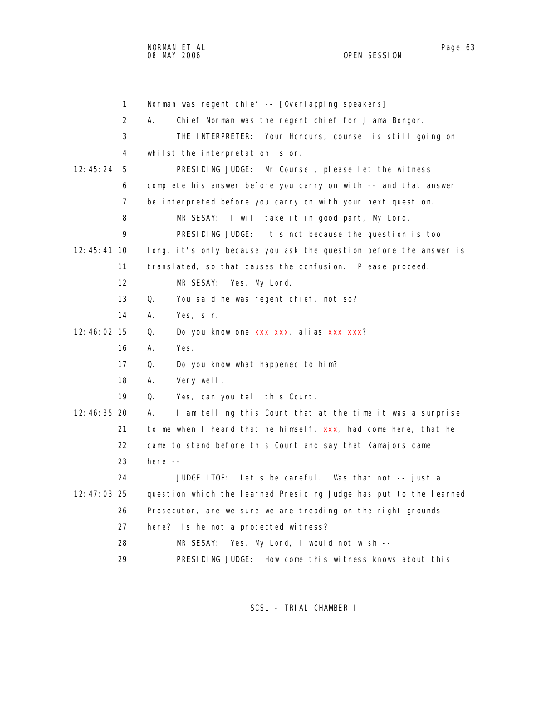1 Norman was regent chief -- [Overlapping speakers] 2 A. Chief Norman was the regent chief for Jiama Bongor. 3 THE INTERPRETER: Your Honours, counsel is still going on 4 whilst the interpretation is on. 12:45:24 5 PRESIDING JUDGE: Mr Counsel, please let the witness 6 complete his answer before you carry on with -- and that answer 7 be interpreted before you carry on with your next question. 8 MR SESAY: I will take it in good part, My Lord. 9 PRESIDING JUDGE: It's not because the question is too 12:45:41 10 long, it's only because you ask the question before the answer is 11 translated, so that causes the confusion. Please proceed. 12 MR SESAY: Yes, My Lord. 13 Q. You said he was regent chief, not so? 14 A. Yes, sir. 12:46:02 15 Q. Do you know one xxx xxx, alias xxx xxx? 16 A. Yes. 17 Q. Do you know what happened to him? 18 A. Very well. 19 Q. Yes, can you tell this Court. 12:46:35 20 A. I am telling this Court that at the time it was a surprise 21 to me when I heard that he himself,  $xxx$ , had come here, that he 22 came to stand before this Court and say that Kamajors came 23 here -- 24 JUDGE ITOE: Let's be careful. Was that not -- just a 12:47:03 25 question which the learned Presiding Judge has put to the learned 26 Prosecutor, are we sure we are treading on the right grounds 27 here? Is he not a protected witness? 28 MR SESAY: Yes, My Lord, I would not wish -- 29 PRESIDING JUDGE: How come this witness knows about this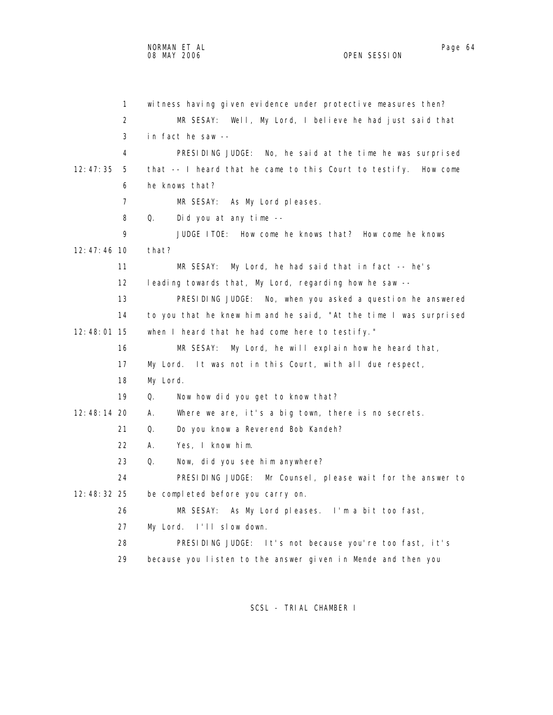| $\mathbf{1}$    | wi tness having given evidence under protective measures then?    |
|-----------------|-------------------------------------------------------------------|
| 2               | Well, My Lord, I believe he had just said that<br>MR SESAY:       |
| 3               | in fact he saw --                                                 |
| 4               | PRESIDING JUDGE: No, he said at the time he was surprised         |
| 12:47:35<br>5   | that -- I heard that he came to this Court to testify. How come   |
| 6               | he knows that?                                                    |
| 7               | MR SESAY: As My Lord pleases.                                     |
| 8               | Q.<br>Did you at any time --                                      |
| 9               | JUDGE ITOE: How come he knows that? How come he knows             |
| $12: 47: 46$ 10 | that?                                                             |
| 11              | MR SESAY: My Lord, he had said that in fact -- he's               |
| 12              | leading towards that, My Lord, regarding how he saw --            |
| 13              | PRESIDING JUDGE: No, when you asked a question he answered        |
| 14              | to you that he knew him and he said, "At the time I was surprised |
| 12:48:01 15     | when I heard that he had come here to testify."                   |
| 16              | My Lord, he will explain how he heard that,<br>MR SESAY:          |
| 17              | It was not in this Court, with all due respect,<br>My Lord.       |
| 18              | My Lord.                                                          |
| 19              | Q.<br>Now how did you get to know that?                           |
| 12:48:14 20     | Where we are, it's a big town, there is no secrets.<br>А.         |
| 21              | Q.<br>Do you know a Reverend Bob Kandeh?                          |
| 22              | Yes, I know him.<br>А.                                            |
| 23              | Q.<br>Now, did you see him anywhere?                              |
| 24              | PRESIDING JUDGE: Mr Counsel, please wait for the answer to        |
| 12:48:32 25     | be completed before you carry on.                                 |
| 26              | MR SESAY: As My Lord pleases. I'm a bit too fast,                 |
| 27              | My Lord. I'll slow down.                                          |
| 28              | PRESIDING JUDGE: It's not because you're too fast, it's           |
| 29              | because you listen to the answer given in Mende and then you      |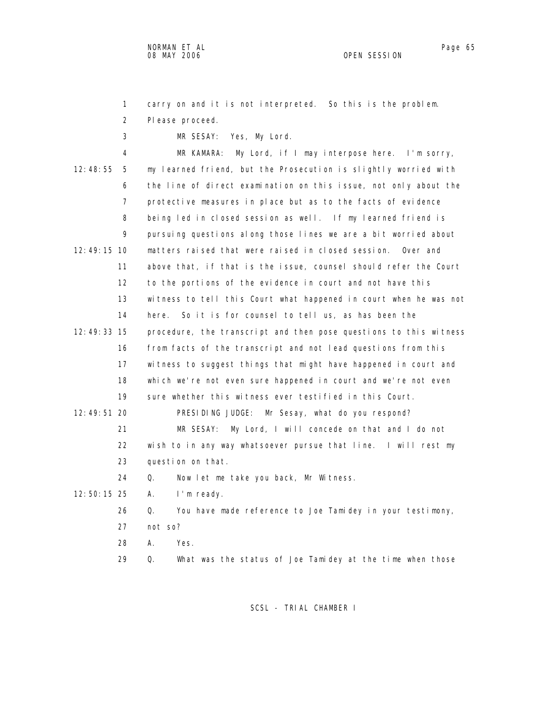1 carry on and it is not interpreted. So this is the problem.

2 Please proceed.

3 MR SESAY: Yes, My Lord.

 4 MR KAMARA: My Lord, if I may interpose here. I'm sorry, 12:48:55 5 my learned friend, but the Prosecution is slightly worried with 6 the line of direct examination on this issue, not only about the 7 protective measures in place but as to the facts of evidence 8 being led in closed session as well. If my learned friend is 9 pursuing questions along those lines we are a bit worried about 12:49:15 10 matters raised that were raised in closed session. Over and 11 above that, if that is the issue, counsel should refer the Court 12 to the portions of the evidence in court and not have this 13 witness to tell this Court what happened in court when he was not 14 here. So it is for counsel to tell us, as has been the 12:49:33 15 procedure, the transcript and then pose questions to this witness 16 from facts of the transcript and not lead questions from this 17 witness to suggest things that might have happened in court and 18 which we're not even sure happened in court and we're not even 19 sure whether this witness ever testified in this Court. 12:49:51 20 PRESIDING JUDGE: Mr Sesay, what do you respond? 21 MR SESAY: My Lord, I will concede on that and I do not 22 wish to in any way whatsoever pursue that line. I will rest my 23 question on that. 24 Q. Now let me take you back, Mr Witness. 12:50:15 25 A. I'm ready. 26 Q. You have made reference to Joe Tamidey in your testimony, 27 not so? 28 A. Yes.

29 Q. What was the status of Joe Tamidey at the time when those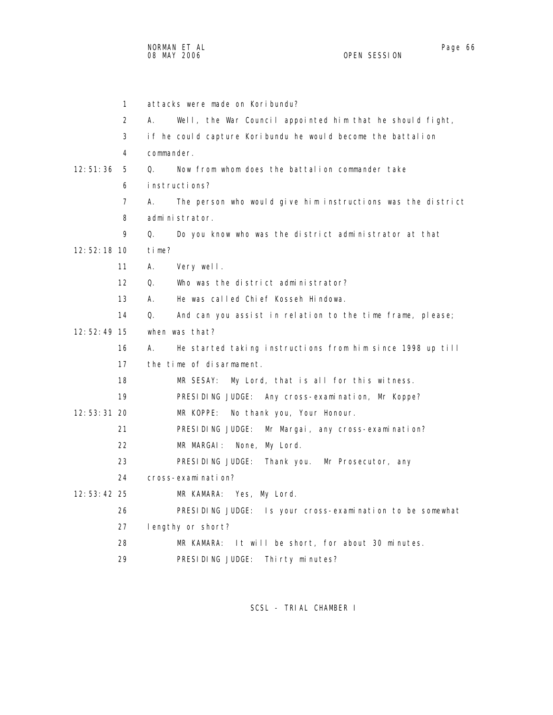|               | 1  | attacks were made on Koribundu?                                   |
|---------------|----|-------------------------------------------------------------------|
|               | 2  | А.<br>Well, the War Council appointed him that he should fight,   |
|               | 3  | if he could capture Koribundu he would become the battalion       |
|               | 4  | commander.                                                        |
| 12:51:36      | 5  | Now from whom does the battalion commander take<br>Q.             |
|               | 6  | instructions?                                                     |
|               | 7  | А.<br>The person who would give him instructions was the district |
|               | 8  | administrator.                                                    |
|               | 9  | Q.<br>Do you know who was the district administrator at that      |
| $12:52:18$ 10 |    | time?                                                             |
|               | 11 | А.<br>Very well.                                                  |
|               | 12 | Who was the district administrator?<br>Q.                         |
|               | 13 | He was called Chief Kosseh Hindowa.<br>А.                         |
|               | 14 | Q.<br>And can you assist in relation to the time frame, please;   |
| 12:52:49 15   |    | when was that?                                                    |
|               | 16 | А.<br>He started taking instructions from him since 1998 up till  |
|               | 17 | the time of disarmament.                                          |
|               | 18 | MR SESAY:<br>My Lord, that is all for this witness.               |
|               | 19 | PRESIDING JUDGE: Any cross-examination, Mr Koppe?                 |
| $12:53:31$ 20 |    | MR KOPPE: No thank you, Your Honour.                              |
|               | 21 | PRESIDING JUDGE:<br>Mr Margai, any cross-examination?             |
|               | 22 | MR MARGAI: None, My Lord.                                         |
|               | 23 | PRESIDING JUDGE:<br>Thank you.<br>Mr Prosecutor, any              |
|               | 24 | cross-examination?                                                |
| $12:53:42$ 25 |    | MR KAMARA: Yes, My Lord.                                          |
|               | 26 | PRESIDING JUDGE: Is your cross-examination to be somewhat         |
|               | 27 | lengthy or short?                                                 |
|               | 28 | It will be short, for about 30 minutes.<br>MR KAMARA:             |
|               | 29 | PRESIDING JUDGE:<br>Thirty minutes?                               |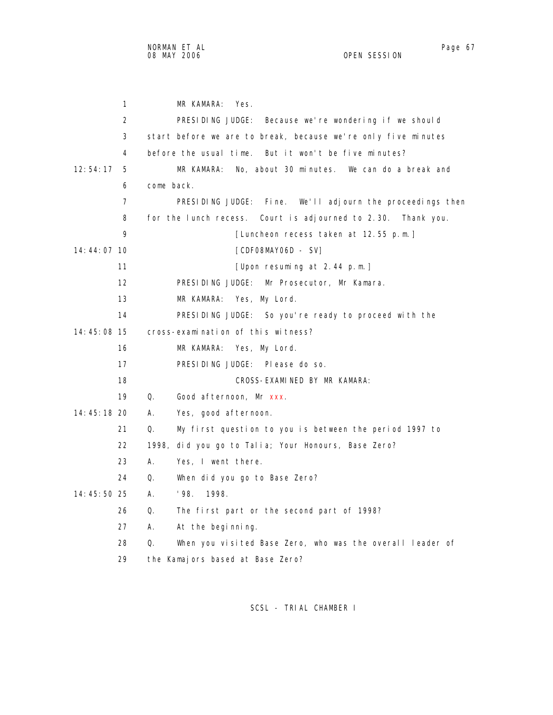| 1             | MR KAMARA:<br>Yes.                                              |
|---------------|-----------------------------------------------------------------|
| 2             | PRESIDING JUDGE: Because we're wondering if we should           |
| 3             | start before we are to break, because we're only five minutes   |
| 4             | before the usual time. But it won't be five minutes?            |
| 12:54:17<br>5 | No, about 30 minutes. We can do a break and<br>MR KAMARA:       |
| 6             | come back.                                                      |
| 7             | PRESIDING JUDGE: Fine.<br>We'll adjourn the proceedings then    |
| 8             | for the lunch recess. Court is adjourned to 2.30. Thank you.    |
| 9             | [Luncheon recess taken at 12.55 p.m.]                           |
| $14:44:07$ 10 | [CDFO8MAYO6D - SV]                                              |
| 11            | [Upon resuming at 2.44 p.m.]                                    |
| 12            | PRESIDING JUDGE: Mr Prosecutor, Mr Kamara.                      |
| 13            | MR KAMARA:<br>Yes, My Lord.                                     |
| 14            | PRESIDING JUDGE: So you're ready to proceed with the            |
| 14:45:08 15   | cross-examination of this witness?                              |
| 16            | MR KAMARA:<br>Yes, My Lord.                                     |
| 17            | PRESIDING JUDGE: Please do so.                                  |
| 18            | CROSS-EXAMINED BY MR KAMARA:                                    |
| 19            | Q.<br>Good afternoon, Mr xxx.                                   |
| 14:45:18 20   | А.<br>Yes, good afternoon.                                      |
| 21            | My first question to you is between the period 1997 to<br>Q.    |
| 22            | 1998, did you go to Talia; Your Honours, Base Zero?             |
| 23            | А.<br>Yes, I went there.                                        |
| 24            | Q.<br>When did you go to Base Zero?                             |
| 14:45:50 25   | '98.<br>А.<br>1998.                                             |
| 26            | Q.<br>The first part or the second part of 1998?                |
| 27            | А.<br>At the beginning.                                         |
| 28            | When you visited Base Zero, who was the overall leader of<br>Q. |
| 29            | the Kamajors based at Base Zero?                                |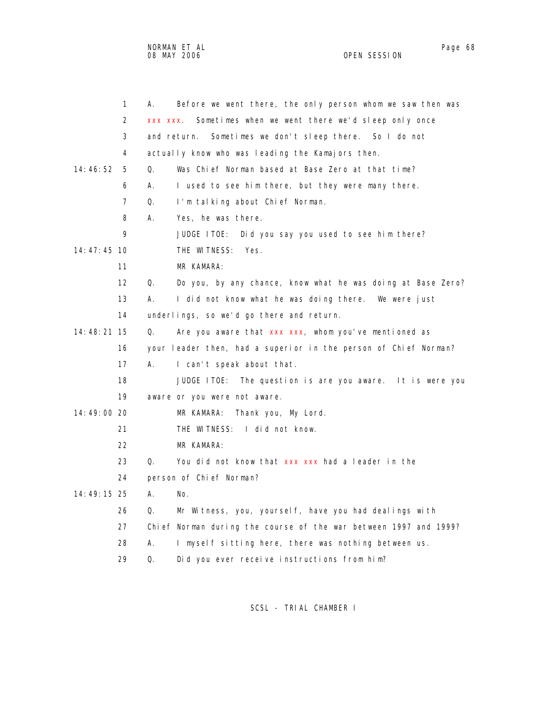NORMAN ET AL Page 68 and the set of the set of the set of the set of the set of the set of the set of the set o 08 MAY 2006 OPEN SESSION

|               | $\mathbf{1}$      | А.      | Before we went there, the only person whom we saw then was       |
|---------------|-------------------|---------|------------------------------------------------------------------|
|               | 2                 | XXX XXX | Sometimes when we went there we'd sleep only once                |
|               | 3                 |         | and return.<br>Sometimes we don't sleep there. So I do not       |
|               | 4                 |         | actually know who was leading the Kamajors then.                 |
| 14:46:52      | 5                 | 0.      | Was Chief Norman based at Base Zero at that time?                |
|               | 6                 | А.      | I used to see him there, but they were many there.               |
|               | $\overline{7}$    | Q.      | I'm talking about Chief Norman.                                  |
|               | 8                 | А.      | Yes, he was there.                                               |
|               | 9                 |         | Did you say you used to see him there?<br>JUDGE ITOE:            |
| $14:47:45$ 10 |                   |         | THE WITNESS:<br>Yes.                                             |
|               | 11                |         | MR KAMARA:                                                       |
|               | $12 \overline{ }$ | 0.      | Do you, by any chance, know what he was doing at Base Zero?      |
|               | 13                | А.      | I did not know what he was doing there. We were just             |
|               | 14                |         | underlings, so we'd go there and return.                         |
| 14: 48: 21 15 |                   | Q.      | Are you aware that xxx xxx, whom you've mentioned as             |
|               | 16                |         | your leader then, had a superior in the person of Chief Norman?  |
|               | 17                | А.      | I can't speak about that.                                        |
|               | 18                |         | The question is are you aware. It is were you<br>JUDGE ITOE:     |
|               | 19                |         | aware or you were not aware.                                     |
| 14:49:00 20   |                   |         | Thank you, My Lord.<br>MR KAMARA:                                |
|               | 21                |         | THE WITNESS:<br>I did not know.                                  |
|               | 22                |         | MR KAMARA:                                                       |
|               | 23                | Q.      | You did not know that xxx xxx had a leader in the                |
|               | 24                |         | person of Chief Norman?                                          |
| 14:49:15 25   |                   | А.      | No.                                                              |
|               | 26                | Q.      | Mr Witness, you, yourself, have you had dealings with            |
|               | 27                |         | Chief Norman during the course of the war between 1997 and 1999? |
|               | 28                | А.      | I myself sitting here, there was nothing between us.             |
|               | 29                | Q.      | Did you ever receive instructions from him?                      |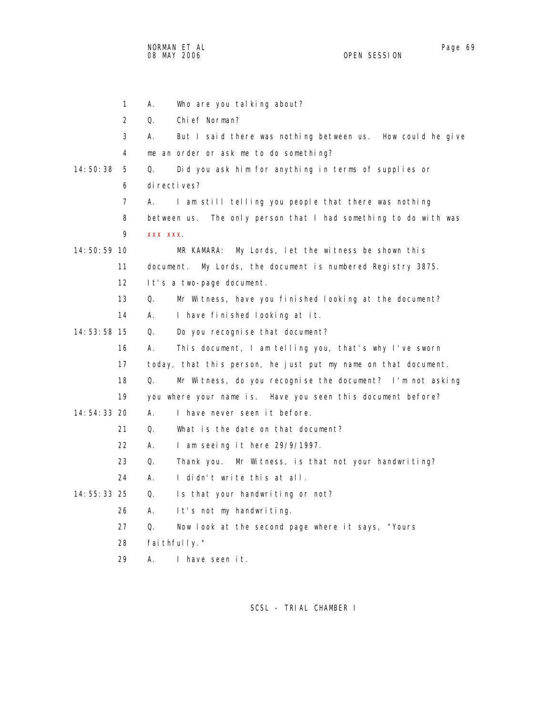NORMAN ET AL Page 69 and the set of the set of the set of the set of the set of the set of the set of the set o 08 MAY 2006 OPEN SESSION

|               | $\mathbf{1}$      | Who are you talking about?<br>Α.                                 |
|---------------|-------------------|------------------------------------------------------------------|
|               | 2                 | Q.<br>Chief Norman?                                              |
|               | 3                 | А.<br>But I said there was nothing between us. How could he give |
|               | 4                 | me an order or ask me to do something?                           |
| 14:50:38      | 5                 | Did you ask him for anything in terms of supplies or<br>Q.       |
|               | 6                 | di recti ves?                                                    |
|               | 7                 | I am still telling you people that there was nothing<br>А.       |
|               | 8                 | between us. The only person that I had something to do with was  |
|               | 9                 | XXX XXX                                                          |
| 14:50:59 10   |                   | My Lords, let the witness be shown this<br>MR KAMARA:            |
|               | 11                | document. My Lords, the document is numbered Registry 3875.      |
|               | $12 \overline{ }$ | It's a two-page document.                                        |
|               | 13                | Mr Witness, have you finished looking at the document?<br>0.     |
|               | 14                | A.<br>I have finished looking at it.                             |
| 14:53:58 15   |                   | Q.<br>Do you recognise that document?                            |
|               | 16                | А.<br>This document, I am telling you, that's why I've sworn     |
|               | 17                | today, that this person, he just put my name on that document.   |
|               | 18                | Q.<br>Mr Witness, do you recognise the document? I'm not asking  |
|               | 19                | you where your name is. Have you seen this document before?      |
| 14:54:33 20   |                   | А.<br>I have never seen it before.                               |
|               | 21                | Q.<br>What is the date on that document?                         |
|               | 22                | А.<br>I am seeing it here 29/9/1997.                             |
|               | 23                | Q.<br>Thank you. Mr Witness, is that not your handwriting?       |
|               | 24                | А.<br>I didn't write this at all.                                |
| $14:55:33$ 25 |                   | Q.<br>Is that your handwriting or not?                           |
|               | 26                | А.<br>It's not my handwriting.                                   |
|               | 27                | Q.<br>Now look at the second page where it says, "Yours          |
|               | 28                | fai thful I y."                                                  |
|               | 29                | Α.<br>I have seen it.                                            |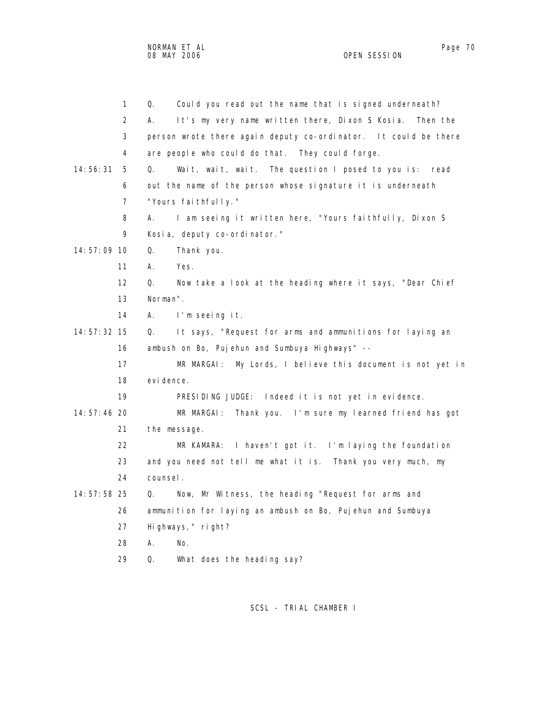|               | $\mathbf{1}$   | Could you read out the name that is signed underneath?<br>Q.      |
|---------------|----------------|-------------------------------------------------------------------|
|               | $\overline{2}$ | It's my very name written there, Dixon S Kosia.<br>А.<br>Then the |
|               | 3              | person wrote there again deputy co-ordinator. It could be there   |
|               | 4              | are people who could do that. They could forge.                   |
| 14:56:31      | 5              | Wait, wait, wait. The question I posed to you is:<br>Q.<br>read   |
|               | 6              | out the name of the person whose signature it is underneath       |
|               | 7              | "Yours faithfully."                                               |
|               | 8              | I am seeing it written here, "Yours faithfully, Dixon S<br>А.     |
|               | 9              | Kosia, deputy co-ordinator."                                      |
| 14:57:09 10   |                | Q.<br>Thank you.                                                  |
|               | 11             | А.<br>Yes.                                                        |
|               | 12             | Q.<br>Now take a look at the heading where it says, "Dear Chief   |
|               | 13             | Norman".                                                          |
|               | 14             | А.<br>I'm seeing it.                                              |
| 14: 57: 32 15 |                | It says, "Request for arms and ammunitions for laying an<br>Q.    |
|               | 16             | ambush on Bo, Pujehun and Sumbuya Highways" --                    |
|               | 17             | My Lords, I believe this document is not yet in<br>MR MARGAI:     |
|               | 18             | evi dence.                                                        |
|               | 19             | PRESIDING JUDGE: Indeed it is not yet in evidence.                |
| $14:57:46$ 20 |                | Thank you. I'm sure my learned friend has got<br>MR MARGAI:       |
|               | 21             | the message.                                                      |
|               | 22             | I haven't got it. I'm laying the foundation<br>MR KAMARA:         |
|               | 23             | and you need not tell me what it is. Thank you very much, my      |
|               | 24             | counsel.                                                          |
| 14:57:58 25   |                | Now, Mr Witness, the heading "Request for arms and<br>Q.          |
|               | 26             | ammunition for laying an ambush on Bo, Pujehun and Sumbuya        |
|               | 27             | Highways, " right?                                                |
|               | 28             | А.<br>No.                                                         |
|               | 29             | Q.<br>What does the heading say?                                  |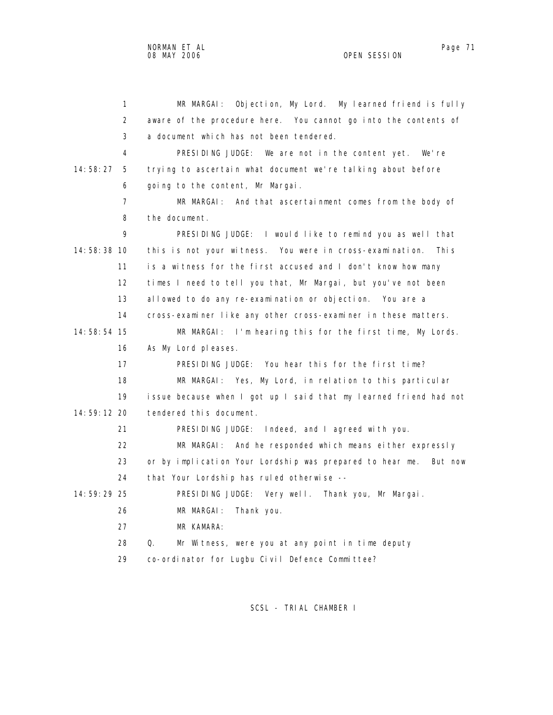1 MR MARGAI: Objection, My Lord. My learned friend is fully 2 aware of the procedure here. You cannot go into the contents of 3 a document which has not been tendered. 4 PRESIDING JUDGE: We are not in the content yet. We're 14:58:27 5 trying to ascertain what document we're talking about before 6 going to the content, Mr Margai. 7 MR MARGAI: And that ascertainment comes from the body of 8 the document. 9 PRESIDING JUDGE: I would like to remind you as well that 14:58:38 10 this is not your witness. You were in cross-examination. This 11 is a witness for the first accused and I don't know how many 12 times I need to tell you that, Mr Margai, but you've not been 13 allowed to do any re-examination or objection. You are a 14 cross-examiner like any other cross-examiner in these matters. 14:58:54 15 MR MARGAI: I'm hearing this for the first time, My Lords. 16 As My Lord pleases. 17 PRESIDING JUDGE: You hear this for the first time? 18 MR MARGAI: Yes, My Lord, in relation to this particular 19 issue because when I got up I said that my learned friend had not 14:59:12 20 tendered this document. 21 PRESIDING JUDGE: Indeed, and I agreed with you. 22 MR MARGAI: And he responded which means either expressly 23 or by implication Your Lordship was prepared to hear me. But now 24 that Your Lordship has ruled otherwise -- 14:59:29 25 PRESIDING JUDGE: Very well. Thank you, Mr Margai. 26 MR MARGAI: Thank you. 27 MR KAMARA: 28 Q. Mr Witness, were you at any point in time deputy 29 co-ordinator for Lugbu Civil Defence Committee?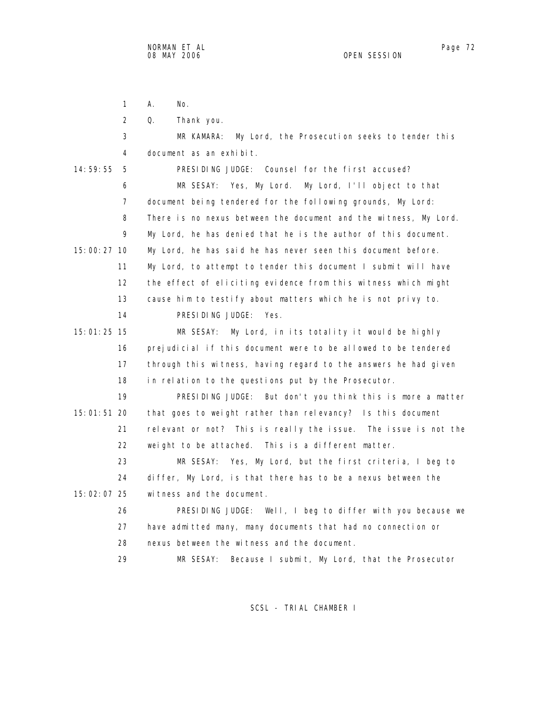1 A. No.

2 Q. Thank you.

| 3                 | My Lord, the Prosecution seeks to tender this<br>MR KAMARA:      |
|-------------------|------------------------------------------------------------------|
| 4                 | document as an exhibit.                                          |
| 14:59:55<br>5     | PRESIDING JUDGE: Counsel for the first accused?                  |
| 6                 | MR SESAY: Yes, My Lord. My Lord, I'll object to that             |
| $\overline{7}$    | document being tendered for the following grounds, My Lord:      |
| 8                 | There is no nexus between the document and the witness, My Lord. |
| 9                 | My Lord, he has denied that he is the author of this document.   |
| 15:00:27 10       | My Lord, he has said he has never seen this document before.     |
| 11                | My Lord, to attempt to tender this document I submit will have   |
| $12 \overline{ }$ | the effect of eliciting evidence from this witness which might   |
| 13                | cause him to testify about matters which he is not privy to.     |
| 14                | PRESIDING JUDGE: Yes.                                            |
| 15:01:25 15       | MR SESAY: My Lord, in its totality it would be highly            |
| 16                | prejudicial if this document were to be allowed to be tendered   |
| 17                | through this witness, having regard to the answers he had given  |
| 18                | in relation to the questions put by the Prosecutor.              |
| 19                | PRESIDING JUDGE: But don't you think this is more a matter       |
| 15:01:51 20       | that goes to weight rather than relevancy? Is this document      |
| 21                | relevant or not? This is really the issue. The issue is not the  |
| 22                | weight to be attached. This is a different matter.               |
| 23                | Yes, My Lord, but the first criteria, I beg to<br>MR SESAY:      |
| 24                | differ, My Lord, is that there has to be a nexus between the     |
| 15:02:07 25       | witness and the document.                                        |
| 26                | PRESIDING JUDGE: Well, I beg to differ with you because we       |
| 27                | have admitted many, many documents that had no connection or     |
| 28                | nexus between the witness and the document.                      |
| 29                | MR SESAY:<br>Because I submit, My Lord, that the Prosecutor      |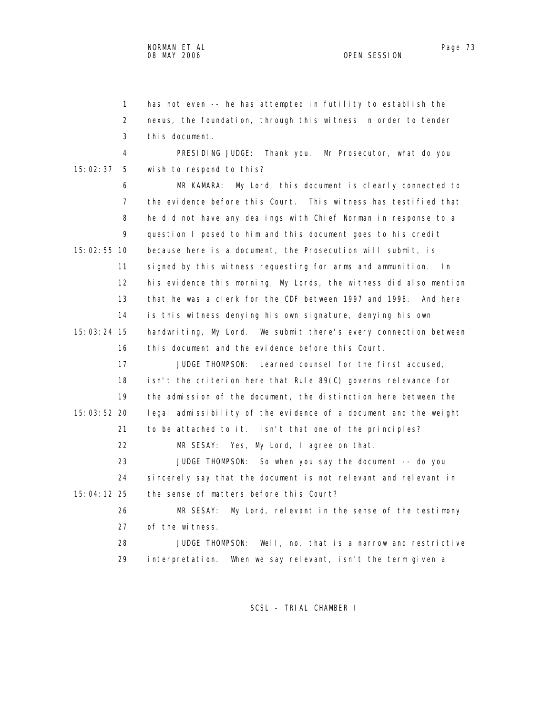1 has not even -- he has attempted in futility to establish the 2 nexus, the foundation, through this witness in order to tender 3 this document. 4 PRESIDING JUDGE: Thank you. Mr Prosecutor, what do you 15:02:37 5 wish to respond to this? 6 MR KAMARA: My Lord, this document is clearly connected to 7 the evidence before this Court. This witness has testified that 8 he did not have any dealings with Chief Norman in response to a 9 question I posed to him and this document goes to his credit 15:02:55 10 because here is a document, the Prosecution will submit, is 11 signed by this witness requesting for arms and ammunition. In 12 his evidence this morning, My Lords, the witness did also mention 13 that he was a clerk for the CDF between 1997 and 1998. And here 14 is this witness denying his own signature, denying his own 15:03:24 15 handwriting, My Lord. We submit there's every connection between 16 this document and the evidence before this Court. 17 JUDGE THOMPSON: Learned counsel for the first accused, 18 isn't the criterion here that Rule 89(C) governs relevance for 19 the admission of the document, the distinction here between the 15:03:52 20 legal admissibility of the evidence of a document and the weight 21 to be attached to it. Isn't that one of the principles? 22 MR SESAY: Yes, My Lord, I agree on that. 23 JUDGE THOMPSON: So when you say the document -- do you 24 sincerely say that the document is not relevant and relevant in 15:04:12 25 the sense of matters before this Court? 26 MR SESAY: My Lord, relevant in the sense of the testimony 27 of the witness. 28 JUDGE THOMPSON: Well, no, that is a narrow and restrictive 29 interpretation. When we say relevant, isn't the term given a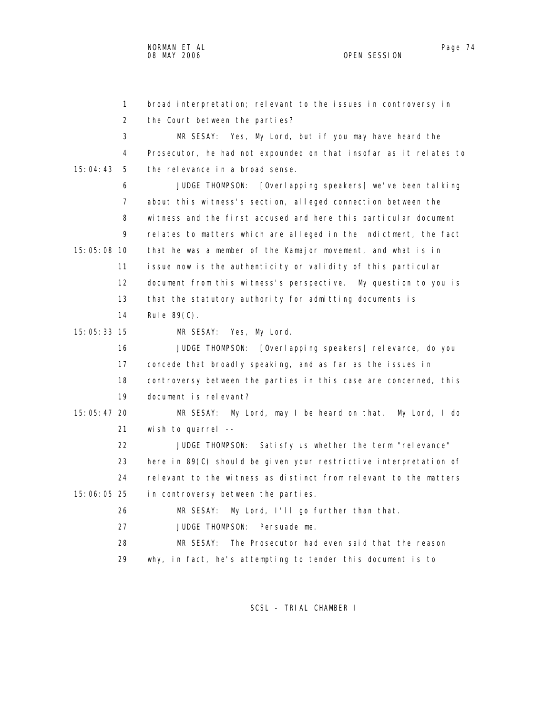1 broad interpretation; relevant to the issues in controversy in 2 the Court between the parties? 3 MR SESAY: Yes, My Lord, but if you may have heard the 4 Prosecutor, he had not expounded on that insofar as it relates to 15:04:43 5 the relevance in a broad sense. 6 JUDGE THOMPSON: [Overlapping speakers] we've been talking 7 about this witness's section, alleged connection between the 8 witness and the first accused and here this particular document 9 relates to matters which are alleged in the indictment, the fact 15:05:08 10 that he was a member of the Kamajor movement, and what is in 11 issue now is the authenticity or validity of this particular 12 document from this witness's perspective. My question to you is 13 that the statutory authority for admitting documents is 14 Rule 89(C). 15:05:33 15 MR SESAY: Yes, My Lord. 16 JUDGE THOMPSON: [Overlapping speakers] relevance, do you 17 concede that broadly speaking, and as far as the issues in 18 controversy between the parties in this case are concerned, this 19 document is relevant? 15:05:47 20 MR SESAY: My Lord, may I be heard on that. My Lord, I do 21 wish to quarrel -- 22 JUDGE THOMPSON: Satisfy us whether the term "relevance" 23 here in 89(C) should be given your restrictive interpretation of 24 relevant to the witness as distinct from relevant to the matters 15:06:05 25 in controversy between the parties. 26 MR SESAY: My Lord, I'll go further than that. 27 JUDGE THOMPSON: Persuade me. 28 MR SESAY: The Prosecutor had even said that the reason

29 why, in fact, he's attempting to tender this document is to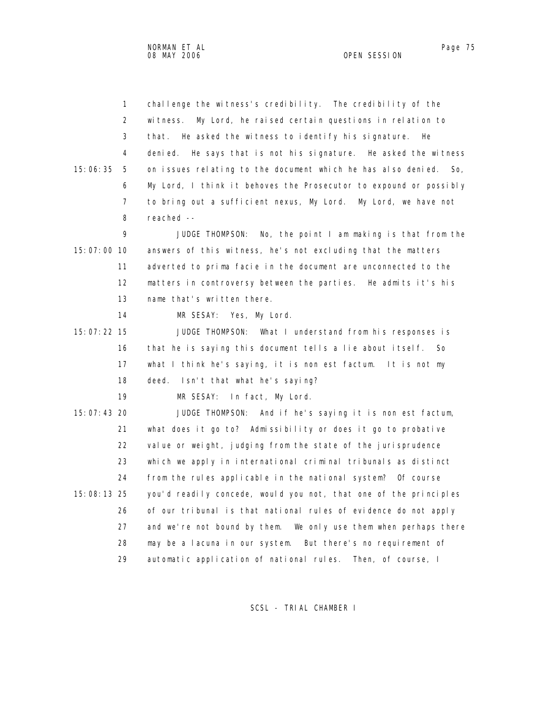2 witness. My Lord, he raised certain questions in relation to 3 that. He asked the witness to identify his signature. He 4 denied. He says that is not his signature. He asked the witness 15:06:35 5 on issues relating to the document which he has also denied. So, 6 My Lord, I think it behoves the Prosecutor to expound or possibly 7 to bring out a sufficient nexus, My Lord. My Lord, we have not 8 reached -- 9 JUDGE THOMPSON: No, the point I am making is that from the 15:07:00 10 answers of this witness, he's not excluding that the matters 11 adverted to prima facie in the document are unconnected to the 12 matters in controversy between the parties. He admits it's his 13 name that's written there. 14 MR SESAY: Yes, My Lord. 15:07:22 15 JUDGE THOMPSON: What I understand from his responses is 16 that he is saying this document tells a lie about itself. So 17 what I think he's saying, it is non est factum. It is not my 18 deed. Isn't that what he's saying? 19 MR SESAY: In fact, My Lord. 15:07:43 20 JUDGE THOMPSON: And if he's saying it is non est factum, 21 what does it go to? Admissibility or does it go to probative 22 value or weight, judging from the state of the jurisprudence 23 which we apply in international criminal tribunals as distinct 24 from the rules applicable in the national system? Of course 15:08:13 25 you'd readily concede, would you not, that one of the principles 26 of our tribunal is that national rules of evidence do not apply 27 and we're not bound by them. We only use them when perhaps there 28 may be a lacuna in our system. But there's no requirement of 29 automatic application of national rules. Then, of course, I

1 challenge the witness's credibility. The credibility of the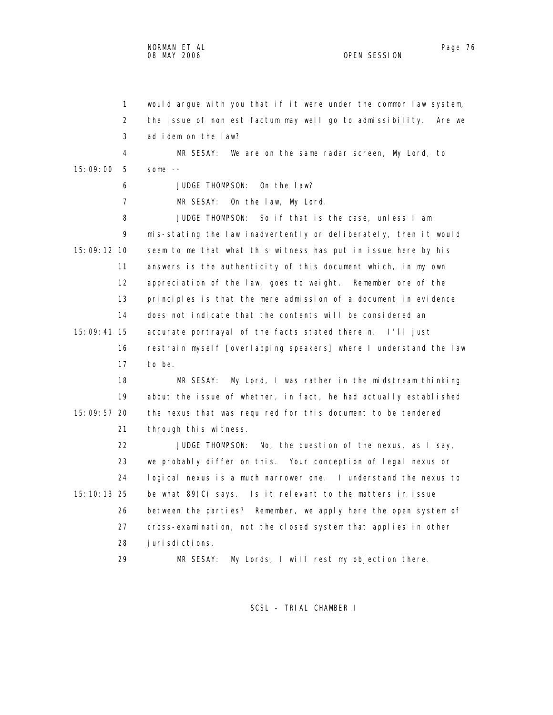1 would argue with you that if it were under the common law system, 2 the issue of non est factum may well go to admissibility. Are we 3 ad idem on the law? 4 MR SESAY: We are on the same radar screen, My Lord, to 15:09:00 5 some -- 6 JUDGE THOMPSON: On the law? 7 MR SESAY: On the law, My Lord. 8 JUDGE THOMPSON: So if that is the case, unless I am 9 mis-stating the law inadvertently or deliberately, then it would 15:09:12 10 seem to me that what this witness has put in issue here by his 11 answers is the authenticity of this document which, in my own 12 appreciation of the law, goes to weight. Remember one of the 13 principles is that the mere admission of a document in evidence 14 does not indicate that the contents will be considered an 15:09:41 15 accurate portrayal of the facts stated therein. I'll just 16 restrain myself [overlapping speakers] where I understand the law 17 to be. 18 MR SESAY: My Lord, I was rather in the midstream thinking 19 about the issue of whether, in fact, he had actually established 15:09:57 20 the nexus that was required for this document to be tendered 21 through this witness. 22 JUDGE THOMPSON: No, the question of the nexus, as I say, 23 we probably differ on this. Your conception of legal nexus or 24 logical nexus is a much narrower one. I understand the nexus to

 15:10:13 25 be what 89(C) says. Is it relevant to the matters in issue 26 between the parties? Remember, we apply here the open system of 27 cross-examination, not the closed system that applies in other 28 jurisdictions.

29 MR SESAY: My Lords, I will rest my objection there.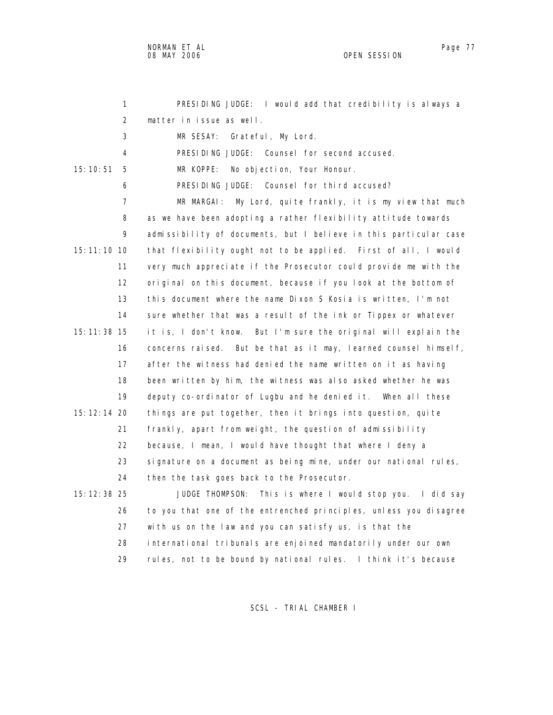NORMAN ET AL Page 77

OPEN SESSION

 1 PRESIDING JUDGE: I would add that credibility is always a 2 matter in issue as well. 3 MR SESAY: Grateful, My Lord. 4 PRESIDING JUDGE: Counsel for second accused. 15:10:51 5 MR KOPPE: No objection, Your Honour. 6 PRESIDING JUDGE: Counsel for third accused? 7 MR MARGAI: My Lord, quite frankly, it is my view that much 8 as we have been adopting a rather flexibility attitude towards 9 admissibility of documents, but I believe in this particular case 15:11:10 10 that flexibility ought not to be applied. First of all, I would 11 very much appreciate if the Prosecutor could provide me with the 12 original on this document, because if you look at the bottom of 13 this document where the name Dixon S Kosia is written, I'm not 14 sure whether that was a result of the ink or Tippex or whatever 15:11:38 15 it is, I don't know. But I'm sure the original will explain the 16 concerns raised. But be that as it may, learned counsel himself, 17 after the witness had denied the name written on it as having 18 been written by him, the witness was also asked whether he was 19 deputy co-ordinator of Lugbu and he denied it. When all these 15:12:14 20 things are put together, then it brings into question, quite 21 frankly, apart from weight, the question of admissibility 22 because, I mean, I would have thought that where I deny a 23 signature on a document as being mine, under our national rules, 24 then the task goes back to the Prosecutor. 15:12:38 25 JUDGE THOMPSON: This is where I would stop you. I did say 26 to you that one of the entrenched principles, unless you disagree 27 with us on the law and you can satisfy us, is that the 28 international tribunals are enjoined mandatorily under our own 29 rules, not to be bound by national rules. I think it's because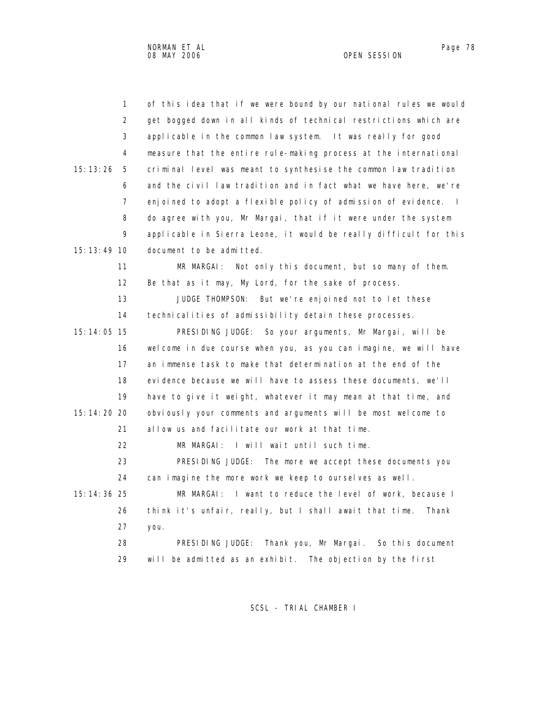| $\mathbf{1}$    | of this idea that if we were bound by our national rules we would |
|-----------------|-------------------------------------------------------------------|
| 2               | get bogged down in all kinds of technical restrictions which are  |
| 3               | applicable in the common law system. It was really for good       |
| 4               | measure that the entire rule-making process at the international  |
| 15: 13: 26<br>5 | criminal level was meant to synthesise the common law tradition   |
| 6               | and the civil law tradition and in fact what we have here, we're  |
| $\overline{7}$  | enjoined to adopt a flexible policy of admission of evidence. I   |
| 8               | do agree with you, Mr Margai, that if it were under the system    |
| 9               | applicable in Sierra Leone, it would be really difficult for this |
| 15:13:49 10     | document to be admitted.                                          |
| 11              | Not only this document, but so many of them.<br>MR MARGAL:        |
| 12              | Be that as it may, My Lord, for the sake of process.              |
| 13              | JUDGE THOMPSON:<br>But we're enjoined not to let these            |
| 14              | technicalities of admissibility detain these processes.           |
| 15: 14: 05 15   | PRESIDING JUDGE: So your arguments, Mr Margai, will be            |
| 16              | welcome in due course when you, as you can imagine, we will have  |
| 17              | an immense task to make that determination at the end of the      |
| 18              | evidence because we will have to assess these documents, we'll    |
| 19              | have to give it weight, whatever it may mean at that time, and    |
| 15:14:20 20     | obviously your comments and arguments will be most welcome to     |
| 21              | allow us and facilitate our work at that time.                    |
| 22              | MR MARGAI: I will wait until such time.                           |
| 23              | PRESIDING JUDGE: The more we accept these documents you           |
| 24              | can imagine the more work we keep to ourselves as well.           |
| 15: 14: 36 25   | MR MARGAI: I want to reduce the level of work, because I          |
| 26              | think it's unfair, really, but I shall await that time.<br>Thank  |
| 27              | you.                                                              |
| 28              | PRESIDING JUDGE:<br>Thank you, Mr Margai. So this document        |
| 29              | will be admitted as an exhibit. The objection by the first        |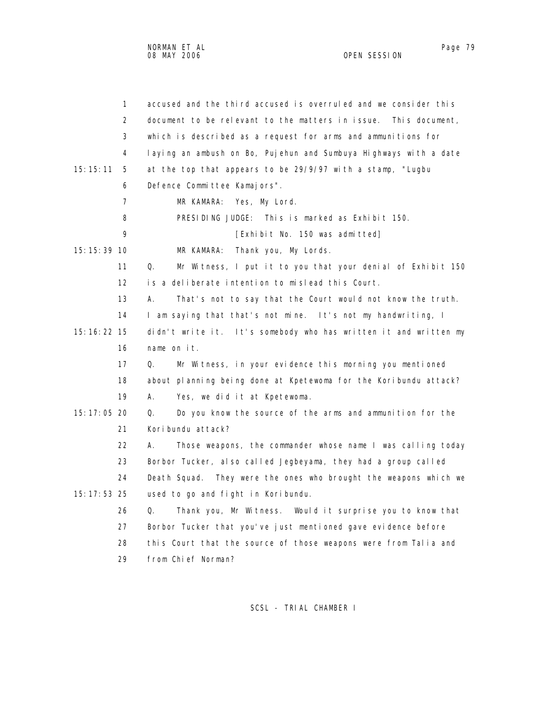|               | 1                 | accused and the third accused is overruled and we consider this   |
|---------------|-------------------|-------------------------------------------------------------------|
|               | 2                 | document to be relevant to the matters in issue. This document,   |
|               | 3                 | which is described as a request for arms and ammunitions for      |
|               | 4                 | laying an ambush on Bo, Pujehun and Sumbuya Highways with a date  |
| 15:15:11      | 5                 | at the top that appears to be 29/9/97 with a stamp, "Lugbu        |
|               | 6                 | Defence Committee Kamajors".                                      |
|               | $\overline{7}$    | MR KAMARA: Yes, My Lord.                                          |
|               | 8                 | PRESIDING JUDGE: This is marked as Exhibit 150.                   |
|               | 9                 | [Exhibit No. 150 was admitted]                                    |
| 15: 15: 39 10 |                   | Thank you, My Lords.<br>MR KAMARA:                                |
|               | 11                | Mr Witness, I put it to you that your denial of Exhibit 150<br>Q. |
|               | $12 \overline{ }$ | is a deliberate intention to mislead this Court.                  |
|               | 13                | А.<br>That's not to say that the Court would not know the truth.  |
|               | 14                | I am saying that that's not mine. It's not my handwriting, I      |
| 15: 16: 22 15 |                   | didn't write it. It's somebody who has written it and written my  |
|               | 16                | name on $it$ .                                                    |
|               | 17                | Mr Witness, in your evidence this morning you mentioned<br>Q.     |
|               | 18                | about planning being done at Kpetewoma for the Koribundu attack?  |
|               | 19                | А.<br>Yes, we did it at Kpetewoma.                                |
| 15:17:05 20   |                   | Do you know the source of the arms and ammunition for the<br>Q.   |
|               | 21                | Koribundu attack?                                                 |
|               | 22                | Those weapons, the commander whose name I was calling today<br>А. |
|               | 23                | Borbor Tucker, also called Jegbeyama, they had a group called     |
|               | 24                | Death Squad. They were the ones who brought the weapons which we  |
| $15:17:53$ 25 |                   | used to go and fight in Koribundu.                                |
|               | 26                | Q.<br>Thank you, Mr Witness. Would it surprise you to know that   |
|               | 27                | Borbor Tucker that you've just mentioned gave evidence before     |
|               | 28                | this Court that the source of those weapons were from Talia and   |

29 from Chief Norman?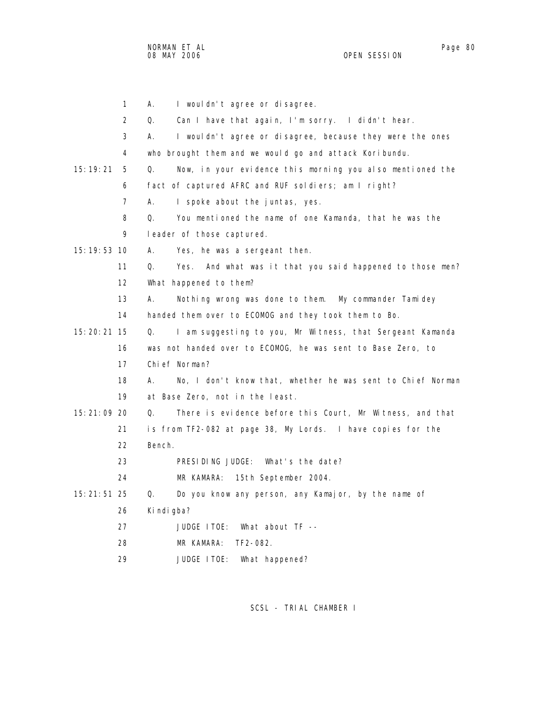NORMAN ET AL Page 80 and the state of the state of the state of the state of the state of the state of the state of the state of the state of the state of the state of the state of the state of the state of the state of th 08 MAY 2006 OPEN SESSION

|               | 1                 | А.<br>I wouldn't agree or disagree.                                |
|---------------|-------------------|--------------------------------------------------------------------|
|               | 2                 | Can I have that again, I'm sorry. I didn't hear.<br>Q.             |
|               | 3                 | I wouldn't agree or disagree, because they were the ones<br>А.     |
|               | 4                 | who brought them and we would go and attack Koribundu.             |
| 15: 19: 21    | 5                 | Now, in your evidence this morning you also mentioned the<br>Q.    |
|               | 6                 | fact of captured AFRC and RUF soldiers; am I right?                |
|               | 7                 | А.<br>I spoke about the juntas, yes.                               |
|               | 8                 | Q.<br>You mentioned the name of one Kamanda, that he was the       |
|               | 9                 | leader of those captured.                                          |
| 15: 19: 53 10 |                   | А.<br>Yes, he was a sergeant then.                                 |
|               | 11                | And what was it that you said happened to those men?<br>Q.<br>Yes. |
|               | $12 \overline{ }$ | What happened to them?                                             |
|               | 13                | А.<br>Nothing wrong was done to them. My commander Tamidey         |
|               | 14                | handed them over to ECOMOG and they took them to Bo.               |
| 15: 20: 21 15 |                   | I am suggesting to you, Mr Witness, that Sergeant Kamanda<br>Q.    |
|               | 16                | was not handed over to ECOMOG, he was sent to Base Zero, to        |
|               | 17                | Chief Norman?                                                      |
|               | 18                | No, I don't know that, whether he was sent to Chief Norman<br>А.   |
|               | 19                | at Base Zero, not in the least.                                    |
| 15:21:09 20   |                   | Q.<br>There is evidence before this Court, Mr Witness, and that    |
|               | 21                | is from TF2-082 at page 38, My Lords. I have copies for the        |
|               | 22                | Bench.                                                             |
|               | 23                | PRESIDING JUDGE:<br>What's the date?                               |
|               | 24                | MR KAMARA: 15th September 2004.                                    |
| 15: 21: 51 25 |                   | Q.<br>Do you know any person, any Kamajor, by the name of          |
|               | 26                | Ki ndi gba?                                                        |
|               | 27                | JUDGE ITOE: What about TF --                                       |
|               | 28                | MR KAMARA:<br>TF2-082.                                             |
|               | 29                | JUDGE I TOE:<br>What happened?                                     |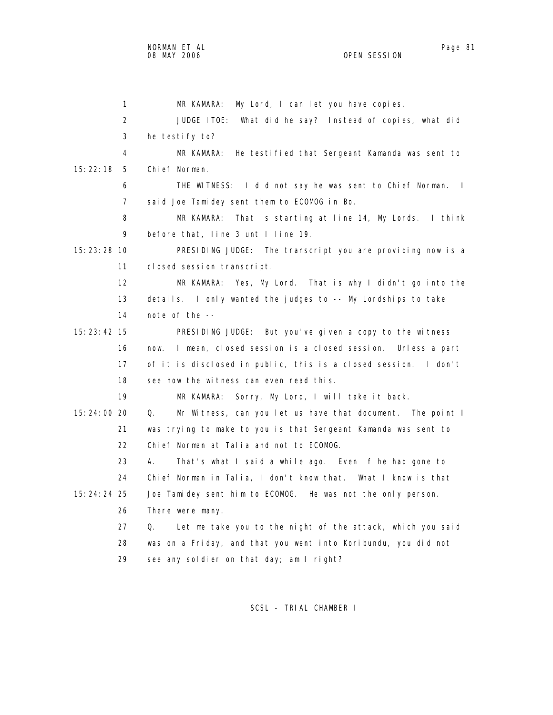1 MR KAMARA: My Lord, I can let you have copies. 2 JUDGE ITOE: What did he say? Instead of copies, what did 3 he testify to? 4 MR KAMARA: He testified that Sergeant Kamanda was sent to 15:22:18 5 Chief Norman. 6 THE WITNESS: I did not say he was sent to Chief Norman. I 7 said Joe Tamidey sent them to ECOMOG in Bo. 8 MR KAMARA: That is starting at line 14, My Lords. I think 9 before that, line 3 until line 19. 15:23:28 10 PRESIDING JUDGE: The transcript you are providing now is a 11 closed session transcript. 12 MR KAMARA: Yes, My Lord. That is why I didn't go into the 13 details. I only wanted the judges to -- My Lordships to take 14 note of the -- 15:23:42 15 PRESIDING JUDGE: But you've given a copy to the witness 16 now. I mean, closed session is a closed session. Unless a part 17 of it is disclosed in public, this is a closed session. I don't 18 see how the witness can even read this. 19 MR KAMARA: Sorry, My Lord, I will take it back. 15:24:00 20 Q. Mr Witness, can you let us have that document. The point I 21 was trying to make to you is that Sergeant Kamanda was sent to 22 Chief Norman at Talia and not to ECOMOG. 23 A. That's what I said a while ago. Even if he had gone to 24 Chief Norman in Talia, I don't know that. What I know is that 15:24:24 25 Joe Tamidey sent him to ECOMOG. He was not the only person. 26 There were many. 27 Q. Let me take you to the night of the attack, which you said 28 was on a Friday, and that you went into Koribundu, you did not 29 see any soldier on that day; am I right?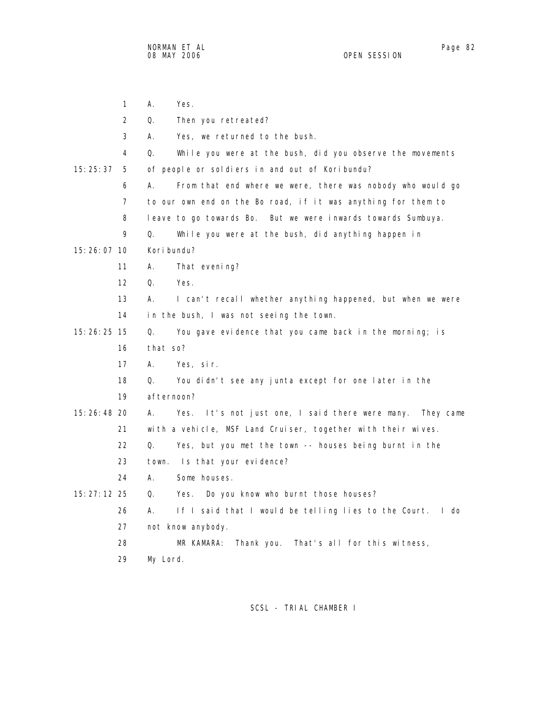1 A. Yes. 2 Q. Then you retreated? 3 A. Yes, we returned to the bush. 4 Q. While you were at the bush, did you observe the movements 15:25:37 5 of people or soldiers in and out of Koribundu? 6 A. From that end where we were, there was nobody who would go 7 to our own end on the Bo road, if it was anything for them to 8 leave to go towards Bo. But we were inwards towards Sumbuya. 9 Q. While you were at the bush, did anything happen in 15:26:07 10 Koribundu? 11 A. That evening? 12 Q. Yes. 13 A. I can't recall whether anything happened, but when we were 14 in the bush, I was not seeing the town. 15:26:25 15 Q. You gave evidence that you came back in the morning; is 16 that so? 17 A. Yes, sir. 18 Q. You didn't see any junta except for one later in the 19 afternoon? 15:26:48 20 A. Yes. It's not just one, I said there were many. They came 21 with a vehicle, MSF Land Cruiser, together with their wives. 22 Q. Yes, but you met the town -- houses being burnt in the 23 town. Is that your evidence? 24 A. Some houses. 15:27:12 25 Q. Yes. Do you know who burnt those houses? 26 A. If I said that I would be telling lies to the Court. I do 27 not know anybody. 28 MR KAMARA: Thank you. That's all for this witness, 29 My Lord.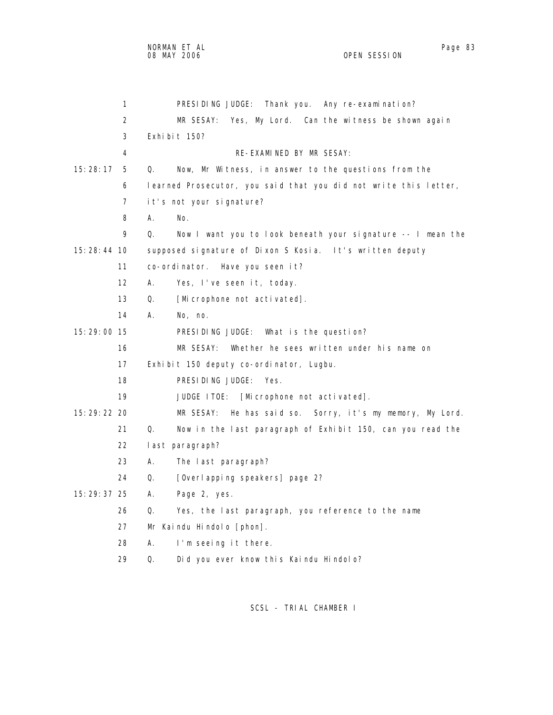|             | 1  |    | PRESIDING JUDGE: Thank you. Any re-examination?                  |
|-------------|----|----|------------------------------------------------------------------|
|             | 2  |    | MR SESAY:<br>Yes, My Lord. Can the witness be shown again        |
|             | 3  |    | Exhibit 150?                                                     |
|             | 4  |    | RE-EXAMINED BY MR SESAY:                                         |
| 15:28:17    | 5  | Q. | Now, Mr Witness, in answer to the questions from the             |
|             | 6  |    | learned Prosecutor, you said that you did not write this letter, |
|             | 7  |    | it's not your signature?                                         |
|             | 8  | А. | No.                                                              |
|             | 9  | Q. | Now I want you to look beneath your signature -- I mean the      |
| 15:28:44 10 |    |    | supposed signature of Dixon S Kosia. It's written deputy         |
|             | 11 |    | co-ordinator. Have you seen it?                                  |
|             | 12 | А. | Yes, I've seen it, today.                                        |
|             | 13 | Q. | [Microphone not activated].                                      |
|             | 14 | А. | No, no.                                                          |
| 15:29:00 15 |    |    | PRESIDING JUDGE: What is the question?                           |
|             | 16 |    | MR SESAY:<br>Whether he sees written under his name on           |
|             | 17 |    | Exhibit 150 deputy co-ordinator, Lugbu.                          |
|             | 18 |    | PRESIDING JUDGE:<br>Yes.                                         |
|             | 19 |    | JUDGE ITOE:<br>[Microphone not activated].                       |
| 15:29:22 20 |    |    | MR SESAY:<br>He has said so. Sorry, it's my memory, My Lord.     |
|             | 21 | Q. | Now in the last paragraph of Exhibit 150, can you read the       |
|             | 22 |    | last paragraph?                                                  |
|             | 23 | А. | The last paragraph?                                              |
|             | 24 | Q. | [Overl apping speakers] page 2?                                  |
| 15:29:37 25 |    | А. | Page 2, yes.                                                     |
|             | 26 | Q. | Yes, the last paragraph, you reference to the name               |
|             | 27 |    | Mr Kaindu Hindolo [phon].                                        |
|             | 28 | А. | I'm seeing it there.                                             |

29 Q. Did you ever know this Kaindu Hindolo?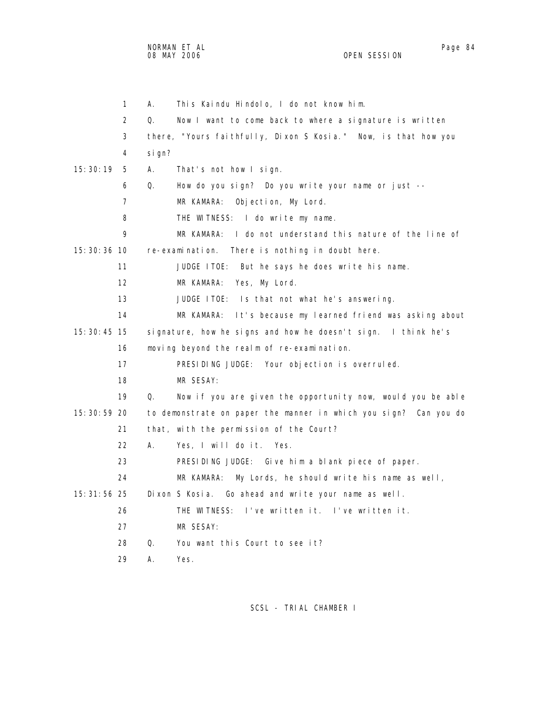NORMAN ET AL Page 84

4 sign?

 1 A. This Kaindu Hindolo, I do not know him. 2 Q. Now I want to come back to where a signature is written 3 there, "Yours faithfully, Dixon S Kosia." Now, is that how you 15:30:19 5 A. That's not how I sign. 6 Q. How do you sign? Do you write your name or just -- 7 MR KAMARA: Objection, My Lord. 8 THE WITNESS: I do write my name. 9 MR KAMARA: I do not understand this nature of the line of 15:30:36 10 re-examination. There is nothing in doubt here. 11 JUDGE ITOE: But he says he does write his name. 12 MR KAMARA: Yes, My Lord. 13 JUDGE ITOE: Is that not what he's answering.

 14 MR KAMARA: It's because my learned friend was asking about 15:30:45 15 signature, how he signs and how he doesn't sign. I think he's 16 moving beyond the realm of re-examination.

17 PRESIDING JUDGE: Your objection is overruled.

18 MR SESAY:

 19 Q. Now if you are given the opportunity now, would you be able 15:30:59 20 to demonstrate on paper the manner in which you sign? Can you do 21 that, with the permission of the Court?

22 A. Yes, I will do it. Yes.

23 PRESIDING JUDGE: Give him a blank piece of paper.

24 MR KAMARA: My Lords, he should write his name as well,

15:31:56 25 Dixon S Kosia. Go ahead and write your name as well.

26 THE WITNESS: I've written it. I've written it.

- 27 MR SESAY:
- 28 Q. You want this Court to see it?
- 29 A. Yes.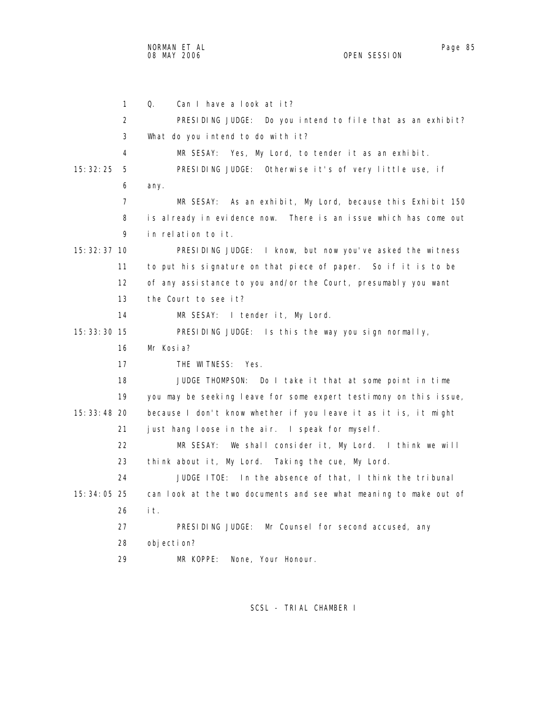NORMAN ET AL Page 85

OPEN SESSION

 1 Q. Can I have a look at it? 2 PRESIDING JUDGE: Do you intend to file that as an exhibit? 3 What do you intend to do with it? 4 MR SESAY: Yes, My Lord, to tender it as an exhibit. 15:32:25 5 PRESIDING JUDGE: Otherwise it's of very little use, if 6 any. 7 MR SESAY: As an exhibit, My Lord, because this Exhibit 150 8 is already in evidence now. There is an issue which has come out 9 in relation to it. 15:32:37 10 PRESIDING JUDGE: I know, but now you've asked the witness 11 to put his signature on that piece of paper. So if it is to be 12 of any assistance to you and/or the Court, presumably you want 13 the Court to see it? 14 MR SESAY: I tender it, My Lord. 15:33:30 15 PRESIDING JUDGE: Is this the way you sign normally, 16 Mr Kosia? 17 THE WITNESS: Yes. 18 JUDGE THOMPSON: Do I take it that at some point in time 19 you may be seeking leave for some expert testimony on this issue, 15:33:48 20 because I don't know whether if you leave it as it is, it might 21 just hang loose in the air. I speak for myself. 22 MR SESAY: We shall consider it, My Lord. I think we will 23 think about it, My Lord. Taking the cue, My Lord. 24 JUDGE ITOE: In the absence of that, I think the tribunal 15:34:05 25 can look at the two documents and see what meaning to make out of 26 it. 27 PRESIDING JUDGE: Mr Counsel for second accused, any 28 objection? 29 MR KOPPE: None, Your Honour.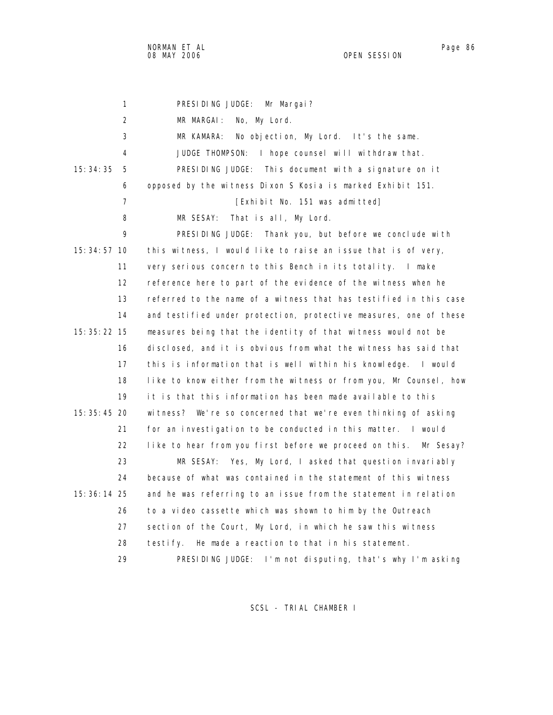NORMAN ET AL Page 86 and the state of the state of the state of the state of the state of the state of the state of the state of the state of the state of the state of the state of the state of the state of the state of th 08 MAY 2006 OPEN SESSION

| 1               | PRESIDING JUDGE:<br>Mr Margai?                                    |
|-----------------|-------------------------------------------------------------------|
| $\overline{2}$  | MR MARGAI:<br>No, My Lord.                                        |
| 3               | No objection, My Lord. It's the same.<br>MR KAMARA:               |
| 4               | JUDGE THOMPSON: I hope counsel will withdraw that.                |
| 15: 34: 35<br>5 | PRESIDING JUDGE: This document with a signature on it             |
| 6               | opposed by the witness Dixon S Kosia is marked Exhibit 151.       |
| $\overline{7}$  | [Exhibit No. 151 was admitted]                                    |
| 8               | That is all, My Lord.<br>MR SESAY:                                |
| 9               | PRESIDING JUDGE: Thank you, but before we conclude with           |
| $15:34:57$ 10   | this witness, I would like to raise an issue that is of very,     |
| 11              | very serious concern to this Bench in its totality. I make        |
| 12              | reference here to part of the evidence of the witness when he     |
| 13              | referred to the name of a witness that has testified in this case |
| 14              | and testified under protection, protective measures, one of these |
| 15: 35: 22 15   | measures being that the identity of that witness would not be     |
| 16              | disclosed, and it is obvious from what the witness has said that  |
| 17              | this is information that is well within his knowledge.<br>I would |
| 18              | like to know either from the witness or from you, Mr Counsel, how |
| 19              | it is that this information has been made available to this       |
| 15: 35: 45 20   | witness? We're so concerned that we're even thinking of asking    |
| 21              | for an investigation to be conducted in this matter. I would      |
| 22              | like to hear from you first before we proceed on this. Mr Sesay?  |
| 23              | Yes, My Lord, I asked that question invariably<br>MR SESAY:       |
| 24              | because of what was contained in the statement of this witness    |
| 15: 36: 14 25   | and he was referring to an issue from the statement in relation   |
| 26              | to a video cassette which was shown to him by the Outreach        |
| 27              | section of the Court, My Lord, in which he saw this witness       |
| 28              | He made a reaction to that in his statement.<br>testi fy.         |
| 29              | PRESIDING JUDGE: I'm not disputing, that's why I'm asking         |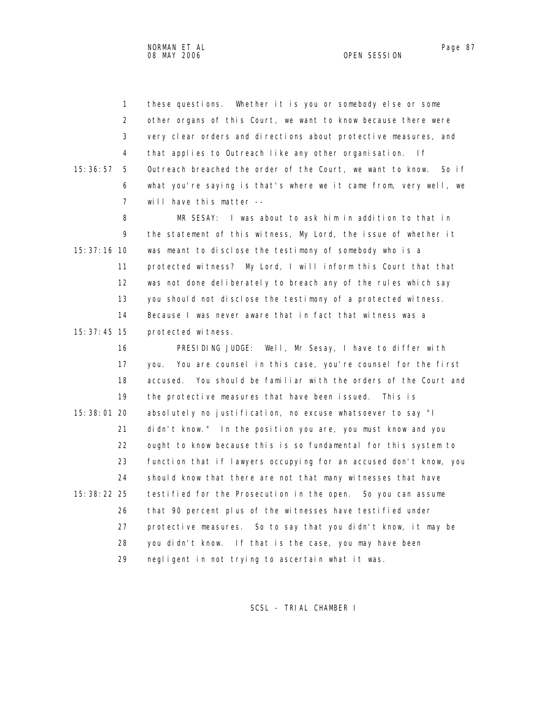1 these questions. Whether it is you or somebody else or some 2 other organs of this Court, we want to know because there were 3 very clear orders and directions about protective measures, and 4 that applies to Outreach like any other organisation. If 15:36:57 5 Outreach breached the order of the Court, we want to know. So if 6 what you're saying is that's where we it came from, very well, we 7 will have this matter --

 8 MR SESAY: I was about to ask him in addition to that in 9 the statement of this witness, My Lord, the issue of whether it 15:37:16 10 was meant to disclose the testimony of somebody who is a 11 protected witness? My Lord, I will inform this Court that that 12 was not done deliberately to breach any of the rules which say 13 you should not disclose the testimony of a protected witness. 14 Because I was never aware that in fact that witness was a 15:37:45 15 protected witness.

 16 PRESIDING JUDGE: Well, Mr Sesay, I have to differ with 17 you. You are counsel in this case, you're counsel for the first 18 accused. You should be familiar with the orders of the Court and 19 the protective measures that have been issued. This is 15:38:01 20 absolutely no justification, no excuse whatsoever to say "I 21 didn't know." In the position you are, you must know and you 22 ought to know because this is so fundamental for this system to 23 function that if lawyers occupying for an accused don't know, you 24 should know that there are not that many witnesses that have 15:38:22 25 testified for the Prosecution in the open. So you can assume 26 that 90 percent plus of the witnesses have testified under 27 protective measures. So to say that you didn't know, it may be 28 you didn't know. If that is the case, you may have been 29 negligent in not trying to ascertain what it was.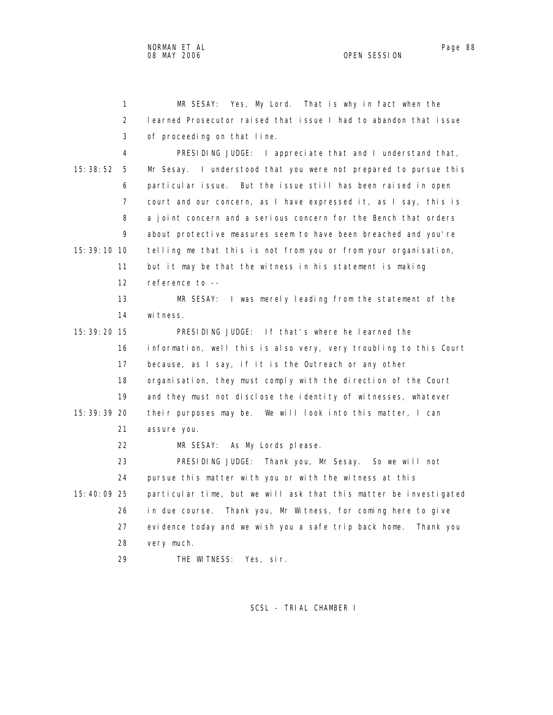3 of proceeding on that line.

 1 MR SESAY: Yes, My Lord. That is why in fact when the 2 learned Prosecutor raised that issue I had to abandon that issue 4 PRESIDING JUDGE: I appreciate that and I understand that,

 15:38:52 5 Mr Sesay. I understood that you were not prepared to pursue this 6 particular issue. But the issue still has been raised in open 7 court and our concern, as I have expressed it, as I say, this is 8 a joint concern and a serious concern for the Bench that orders 9 about protective measures seem to have been breached and you're 15:39:10 10 telling me that this is not from you or from your organisation, 11 but it may be that the witness in his statement is making 12 reference to -- 13 MR SESAY: I was merely leading from the statement of the 14 witness. 15:39:20 15 PRESIDING JUDGE: If that's where he learned the 16 information, well this is also very, very troubling to this Court 17 because, as I say, if it is the Outreach or any other 18 organisation, they must comply with the direction of the Court 19 and they must not disclose the identity of witnesses, whatever 15:39:39 20 their purposes may be. We will look into this matter, I can 21 assure you. 22 MR SESAY: As My Lords please. 23 PRESIDING JUDGE: Thank you, Mr Sesay. So we will not 24 pursue this matter with you or with the witness at this 15:40:09 25 particular time, but we will ask that this matter be investigated 26 in due course. Thank you, Mr Witness, for coming here to give 27 evidence today and we wish you a safe trip back home. Thank you 28 very much.

29 THE WITNESS: Yes, sir.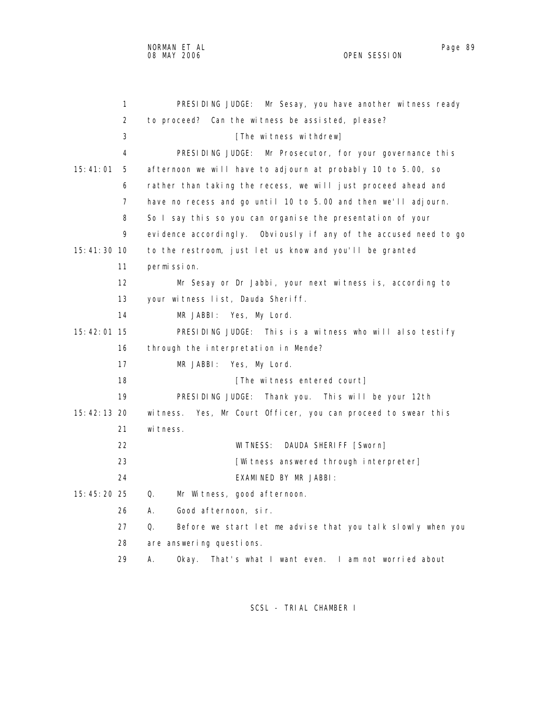1 PRESIDING JUDGE: Mr Sesay, you have another witness ready 2 to proceed? Can the witness be assisted, please? 3 **I**The witness withdrew] 4 PRESIDING JUDGE: Mr Prosecutor, for your governance this 15:41:01 5 afternoon we will have to adjourn at probably 10 to 5.00, so 6 rather than taking the recess, we will just proceed ahead and 7 have no recess and go until 10 to 5.00 and then we'll adjourn. 8 So I say this so you can organise the presentation of your 9 evidence accordingly. Obviously if any of the accused need to go 15:41:30 10 to the restroom, just let us know and you'll be granted 11 permission. 12 Mr Sesay or Dr Jabbi, your next witness is, according to 13 your witness list, Dauda Sheriff. 14 MR JABBI: Yes, My Lord. 15:42:01 15 PRESIDING JUDGE: This is a witness who will also testify 16 through the interpretation in Mende? 17 MR JABBI: Yes, My Lord. 18 **18** [The witness entered court] 19 PRESIDING JUDGE: Thank you. This will be your 12th 15:42:13 20 witness. Yes, Mr Court Officer, you can proceed to swear this 21 witness. 22 WITNESS: DAUDA SHERIFF [Sworn] 23 **EXECUTE:** [Witness answered through interpreter] 24 EXAMINED BY MR JABBI: 15:45:20 25 Q. Mr Witness, good afternoon. 26 A. Good afternoon, sir. 27 Q. Before we start let me advise that you talk slowly when you 28 are answering questions. 29 A. Okay. That's what I want even. I am not worried about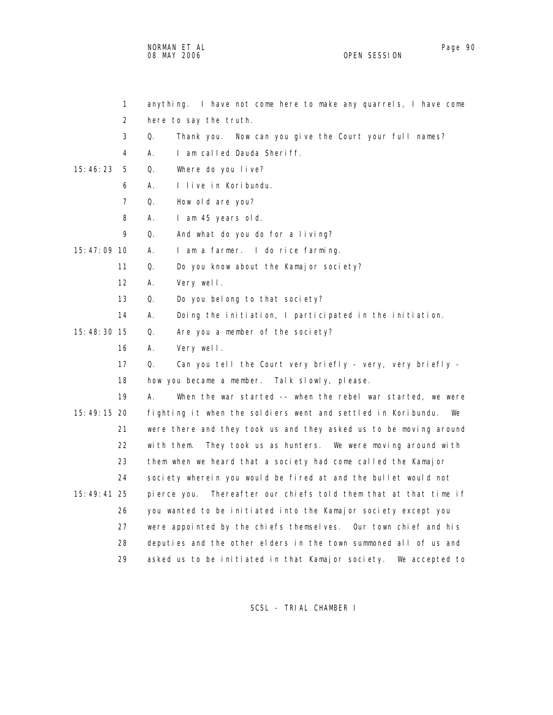NORMAN ET AL Page 90 and the state of the state of the state of the state of the state of the state of the state of the state of the state of the state of the state of the state of the state of the state of the state of th 08 MAY 2006 OPEN SESSION

| $\mathbf{1}$  | anything. I have not come here to make any quarrels, I have come    |
|---------------|---------------------------------------------------------------------|
| 2             | here to say the truth.                                              |
| 3             | Q.<br>Thank you. Now can you give the Court your full names?        |
| 4             | Α.<br>I am called Dauda Sheriff.                                    |
| 15:46:23<br>5 | Where do you live?<br>Q.                                            |
| 6             | А.<br>I live in Koribundu.                                          |
| 7             | Q.<br>How old are you?                                              |
| 8             | А.<br>I am 45 years old.                                            |
| 9             | Q.<br>And what do you do for a living?                              |
| 15:47:09 10   | А.<br>I am a farmer. I do rice farming.                             |
| 11            | Q.<br>Do you know about the Kamajor society?                        |
| 12            | А.<br>Very well.                                                    |
| 13            | Q.<br>Do you belong to that society?                                |
| 14            | Α.<br>Doing the initiation, I participated in the initiation.       |
| 15:48:30 15   | Q.<br>Are you a member of the society?                              |
| 16            | А.<br>Very well.                                                    |
| 17            | Q.<br>Can you tell the Court very briefly - very, very briefly -    |
| 18            | how you became a member. Talk slowly, please.                       |
| 19            | А.<br>When the war started -- when the rebel war started, we were   |
| 15:49:15 20   | fighting it when the soldiers went and settled in Koribundu.<br>We  |
| 21            | were there and they took us and they asked us to be moving around   |
| 22            | They took us as hunters. We were moving around with<br>with them.   |
| 23            | them when we heard that a society had come called the Kamajor       |
| 24            | society wherein you would be fired at and the bullet would not      |
| 15:49:41 25   | Thereafter our chiefs told them that at that time if<br>pierce you. |
| 26            | you wanted to be initiated into the Kamajor society except you      |
| 27            | were appointed by the chiefs themselves. Our town chief and his     |
| 28            | deputies and the other elders in the town summoned all of us and    |
| 29            | asked us to be initiated in that Kamajor society.<br>We accepted to |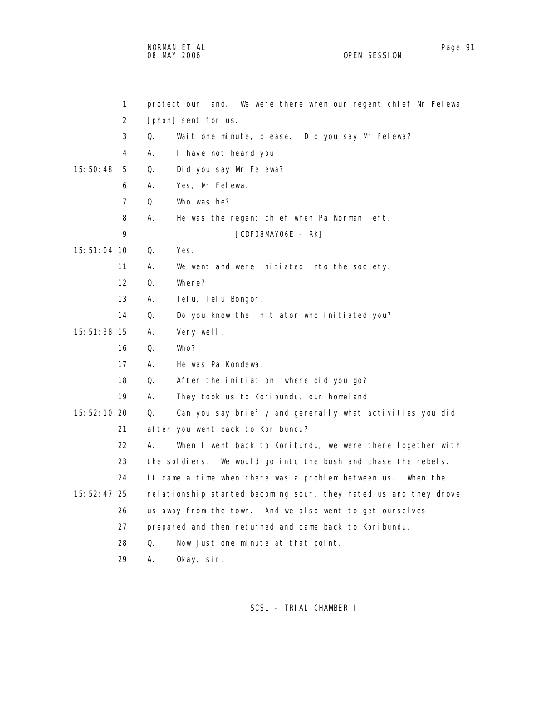NORMAN ET AL Page 91 and the set of the set of the set of the set of the set of the set of the set of the set o 08 MAY 2006 OPEN SESSION

|               | 1                 |    | protect our land. We were there when our regent chief Mr Felewa  |
|---------------|-------------------|----|------------------------------------------------------------------|
|               | 2                 |    | [phon] sent for us.                                              |
|               | 3                 | Q. | Wait one minute, please. Did you say Mr Felewa?                  |
|               | 4                 | А. | I have not heard you.                                            |
| 15:50:48      | 5                 | Q. | Did you say Mr Felewa?                                           |
|               | 6                 | А. | Yes, Mr Felewa.                                                  |
|               | $\overline{7}$    | Q. | Who was he?                                                      |
|               | 8                 | А. | He was the regent chief when Pa Norman left.                     |
|               | 9                 |    | [CDFO8MAYO6E - RK]                                               |
| 15:51:04 10   |                   | Q. | Yes.                                                             |
|               | 11                | А. | We went and were initiated into the society.                     |
|               | $12 \overline{ }$ | Q. | Where?                                                           |
|               | 13                | А. | Telu, Telu Bongor.                                               |
|               | 14                | Q. | Do you know the initiator who initiated you?                     |
| 15:51:38 15   |                   | А. | Very well.                                                       |
|               | 16                | Q. | Who?                                                             |
|               | 17                | А. | He was Pa Kondewa.                                               |
|               | 18                | Q. | After the initiation, where did you go?                          |
|               | 19                | А. | They took us to Koribundu, our homeland.                         |
| 15:52:10 20   |                   | Q. | Can you say briefly and generally what activities you did        |
|               | 21                |    | after you went back to Koribundu?                                |
|               | 22                | А. | When I went back to Koribundu, we were there together with       |
|               | 23                |    | the soldiers.<br>We would go into the bush and chase the rebels. |
|               | 24                |    | It came a time when there was a problem between us.<br>When the  |
| 15: 52: 47 25 |                   |    | relationship started becoming sour, they hated us and they drove |
|               | 26                |    | us away from the town. And we also went to get ourselves         |
|               | 27                |    | prepared and then returned and came back to Koribundu.           |
|               | 28                | Q. | Now just one minute at that point.                               |
|               | 29                | А. | Okay, sir.                                                       |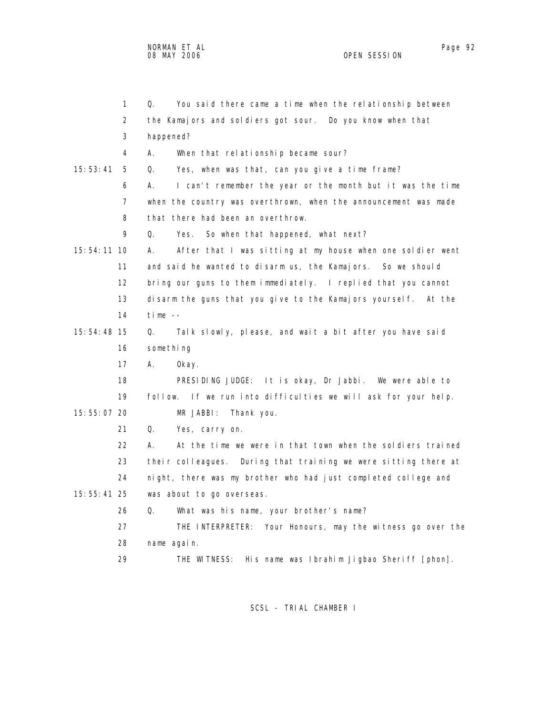|             | $\mathbf{1}$   | Q.<br>You said there came a time when the relationship between   |
|-------------|----------------|------------------------------------------------------------------|
|             | 2              | the Kamajors and soldiers got sour. Do you know when that        |
|             | 3              | happened?                                                        |
|             | 4              | А.<br>When that relationship became sour?                        |
| 15:53:41    | 5              | Q.<br>Yes, when was that, can you give a time frame?             |
|             | 6              | А.<br>I can't remember the year or the month but it was the time |
|             | $\overline{7}$ | when the country was overthrown, when the announcement was made  |
|             | 8              | that there had been an overthrow.                                |
|             | 9              | So when that happened, what next?<br>0.<br>Yes.                  |
| 15:54:11 10 |                | After that I was sitting at my house when one soldier went<br>А. |
|             | 11             | and said he wanted to disarm us, the Kamajors. So we should      |
|             | 12             | bring our guns to them immediately. I replied that you cannot    |
|             | 13             | disarm the guns that you give to the Kamajors yourself. At the   |
|             | 14             | time $-$                                                         |
| 15:54:48 15 |                | Talk slowly, please, and wait a bit after you have said<br>Q.    |
|             | 16             | something                                                        |
|             | 17             | А.<br>0kay.                                                      |
|             | 18             | PRESIDING JUDGE: It is okay, Dr Jabbi. We were able to           |
|             | 19             | follow. If we run into difficulties we will ask for your help.   |
| 15:55:07 20 |                | MR JABBI:<br>Thank you.                                          |
|             | 21             | Q.<br>Yes, carry on.                                             |
|             | 22             | At the time we were in that town when the soldiers trained<br>А. |
|             | 23             | their colleagues. During that training we were sitting there at  |
|             | 24             | night, there was my brother who had just completed college and   |
| 15:55:41 25 |                | was about to go overseas.                                        |
|             | 26             | Q.<br>What was his name, your brother's name?                    |
|             | 27             | THE INTERPRETER: Your Honours, may the witness go over the       |
|             | 28             | name again.                                                      |
|             | 29             | His name was Ibrahim Jigbao Sheriff [phon].<br>THE WITNESS:      |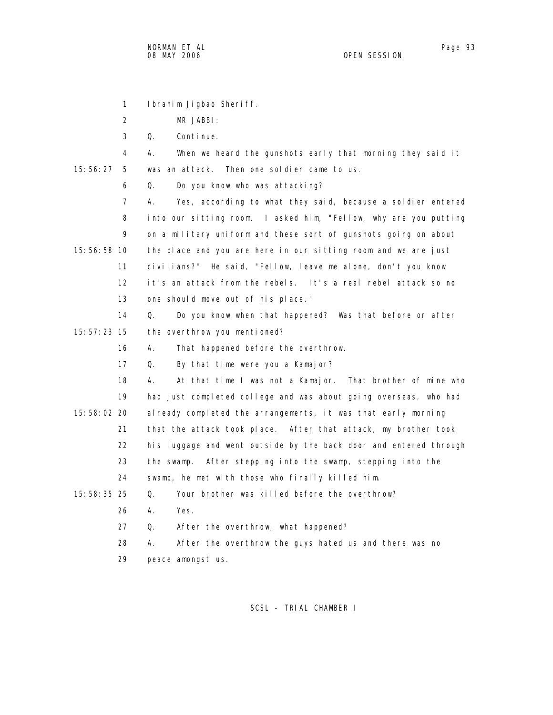1 Ibrahim Jigbao Sheriff.

2 MR JABBI:

3 Q. Continue.

 4 A. When we heard the gunshots early that morning they said it 15:56:27 5 was an attack. Then one soldier came to us.

6 Q. Do you know who was attacking?

 7 A. Yes, according to what they said, because a soldier entered 8 into our sitting room. I asked him, "Fellow, why are you putting 9 on a military uniform and these sort of gunshots going on about 15:56:58 10 the place and you are here in our sitting room and we are just 11 civilians?" He said, "Fellow, leave me alone, don't you know 12 it's an attack from the rebels. It's a real rebel attack so no 13 one should move out of his place."

 14 Q. Do you know when that happened? Was that before or after 15:57:23 15 the overthrow you mentioned?

16 A. That happened before the overthrow.

17 Q. By that time were you a Kamajor?

 18 A. At that time I was not a Kamajor. That brother of mine who 19 had just completed college and was about going overseas, who had 15:58:02 20 already completed the arrangements, it was that early morning 21 that the attack took place. After that attack, my brother took 22 his luggage and went outside by the back door and entered through 23 the swamp. After stepping into the swamp, stepping into the 24 swamp, he met with those who finally killed him. 15:58:35 25 Q. Your brother was killed before the overthrow?

- 26 A. Yes.
- 27 Q. After the overthrow, what happened?

 28 A. After the overthrow the guys hated us and there was no 29 peace amongst us.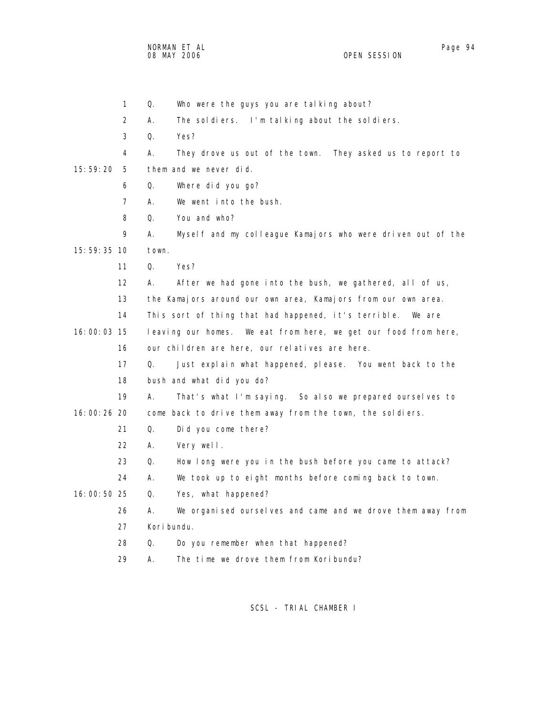|             | 3              | Q.<br>Yes?                                                        |
|-------------|----------------|-------------------------------------------------------------------|
|             | 4              | А.<br>They drove us out of the town. They asked us to report to   |
| 15:59:20    | 5              | them and we never did.                                            |
|             | 6              | Where did you go?<br>Q.                                           |
|             | $\overline{7}$ | We went into the bush.<br>А.                                      |
|             | 8              | You and who?<br>Q.                                                |
|             | 9              | Myself and my colleague Kamajors who were driven out of the<br>А. |
| 15:59:35 10 |                | town.                                                             |
|             | 11             | Q.<br>Yes?                                                        |
|             | 12             | А.<br>After we had gone into the bush, we gathered, all of us,    |
|             | 13             | the Kamajors around our own area, Kamajors from our own area.     |
|             | 14             | This sort of thing that had happened, it's terrible.<br>We are    |
| 16:00:03 15 |                | leaving our homes. We eat from here, we get our food from here,   |
|             | 16             | our children are here, our relatives are here.                    |
|             | 17             | Q.<br>Just explain what happened, please. You went back to the    |
|             | 18             | bush and what did you do?                                         |
|             | 19             | А.<br>That's what I'm saying. So also we prepared ourselves to    |
| 16:00:26 20 |                | come back to drive them away from the town, the soldiers.         |
|             | 21             | Q.<br>Did you come there?                                         |
|             | 22             | Α.<br>Very well.                                                  |
|             | 23             | Q.<br>How long were you in the bush before you came to attack?    |
|             | 24             | А.<br>We took up to eight months before coming back to town.      |
| 16:00:50 25 |                | Q.<br>Yes, what happened?                                         |
|             | 26             | We organised ourselves and came and we drove them away from<br>А. |
|             | 27             | Kori bundu.                                                       |
|             | 28             | Q.<br>Do you remember when that happened?                         |
|             | 29             | The time we drove them from Koribundu?<br>А.                      |

1 Q. Who were the guys you are talking about?

2 A. The soldiers. I'm talking about the soldiers.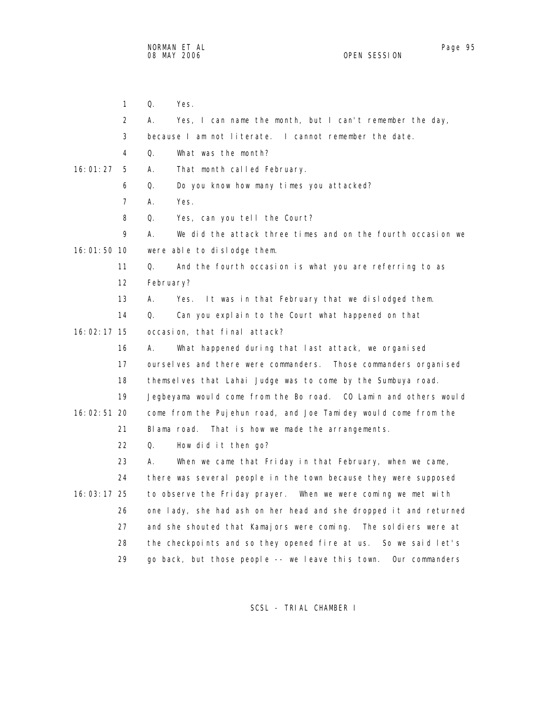1 Q. Yes. 2 A. Yes, I can name the month, but I can't remember the day, 3 because I am not literate. I cannot remember the date. 4 Q. What was the month? 16:01:27 5 A. That month called February. 6 Q. Do you know how many times you attacked? 7 A. Yes. 8 Q. Yes, can you tell the Court? 9 A. We did the attack three times and on the fourth occasion we 16:01:50 10 were able to dislodge them. 11 Q. And the fourth occasion is what you are referring to as 12 February? 13 A. Yes. It was in that February that we dislodged them. 14 Q. Can you explain to the Court what happened on that 16:02:17 15 occasion, that final attack? 16 A. What happened during that last attack, we organised 17 ourselves and there were commanders. Those commanders organised 18 themselves that Lahai Judge was to come by the Sumbuya road. 19 Jegbeyama would come from the Bo road. CO Lamin and others would 16:02:51 20 come from the Pujehun road, and Joe Tamidey would come from the 21 Blama road. That is how we made the arrangements. 22 Q. How did it then go? 23 A. When we came that Friday in that February, when we came, 24 there was several people in the town because they were supposed 16:03:17 25 to observe the Friday prayer. When we were coming we met with 26 one lady, she had ash on her head and she dropped it and returned 27 and she shouted that Kamajors were coming. The soldiers were at 28 the checkpoints and so they opened fire at us. So we said let's 29 go back, but those people -- we leave this town. Our commanders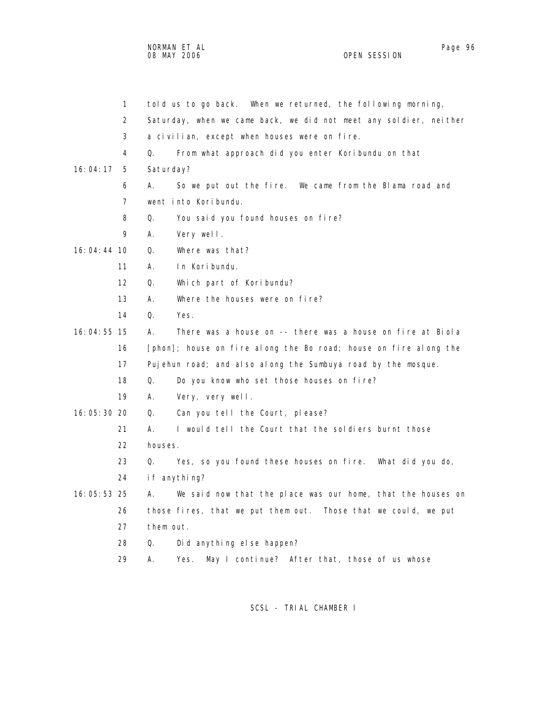|               | $\mathbf{1}$ | told us to go back. When we returned, the following morning,      |
|---------------|--------------|-------------------------------------------------------------------|
|               | 2            | Saturday, when we came back, we did not meet any soldier, neither |
|               | 3            | a civilian, except when houses were on fire.                      |
|               | 4            | From what approach did you enter Koribundu on that<br>Q.          |
| 16:04:17      | 5            | Saturday?                                                         |
|               | 6            | А.<br>So we put out the fire. We came from the Blama road and     |
|               | 7            | went into Koribundu.                                              |
|               | 8            | You said you found houses on fire?<br>Q.                          |
|               | 9            | Very well.<br>А.                                                  |
| 16:04:44 10   |              | Where was that?<br>Q.                                             |
|               | 11           | In Koribundu.<br>А.                                               |
|               | 12           | Q.<br>Which part of Koribundu?                                    |
|               | 13           | Where the houses were on fire?<br>А.                              |
|               | 14           | Q.<br>Yes.                                                        |
| 16:04:55 15   |              | А.<br>There was a house on -- there was a house on fire at Biola  |
|               | 16           | [phon]; house on fire along the Bo road; house on fire along the  |
|               | 17           | Pujehun road; and also along the Sumbuya road by the mosque.      |
|               | 18           | Q.<br>Do you know who set those houses on fire?                   |
|               | 19           | Very, very well.<br>А.                                            |
| 16:05:30 20   |              | Can you tell the Court, please?<br>Q.                             |
|               | 21           | I would tell the Court that the soldiers burnt those<br>А.        |
|               | 22           | houses.                                                           |
|               | 23           | Q.<br>Yes, so you found these houses on fire. What did you do,    |
|               | 24           | if anything?                                                      |
| $16:05:53$ 25 |              | We said now that the place was our home, that the houses on<br>А. |
|               | 26           | those fires, that we put them out. Those that we could, we put    |
|               | 27           | them out.                                                         |
|               | 28           | Q.<br>Did anything else happen?                                   |
|               | 29           | А.<br>May I continue? After that, those of us whose<br>Yes.       |
|               |              |                                                                   |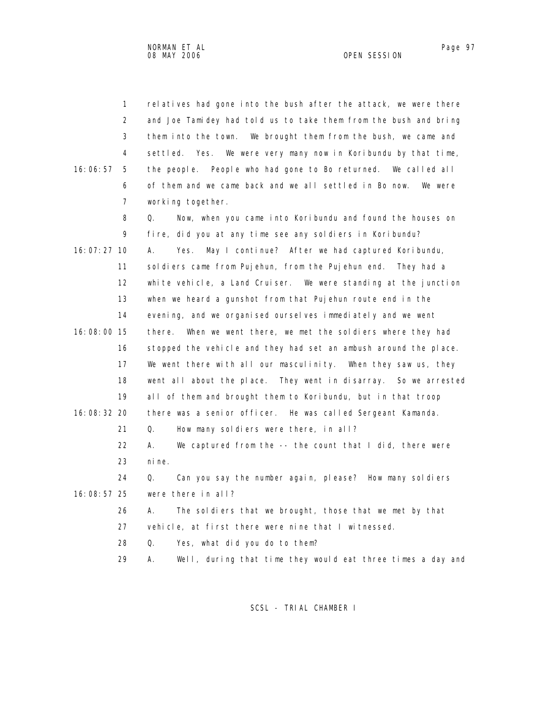| $\mathbf{1}$   | relatives had gone into the bush after the attack, we were there  |
|----------------|-------------------------------------------------------------------|
| $\overline{2}$ | and Joe Tamidey had told us to take them from the bush and bring  |
| 3              | them into the town. We brought them from the bush, we came and    |
| 4              | settled. Yes. We were very many now in Koribundu by that time,    |
| 16:06:57<br>5  | the people. People who had gone to Bo returned. We called all     |
| 6              | of them and we came back and we all settled in Bo now.<br>We were |
| $\overline{7}$ | working together.                                                 |
| 8              | Now, when you came into Koribundu and found the houses on<br>Q.   |
| 9              | fire, did you at any time see any soldiers in Koribundu?          |
| $16:07:27$ 10  | А.<br>Yes.<br>May I continue? After we had captured Koribundu,    |
| 11             | sol diers came from Pujehun, from the Pujehun end. They had a     |
| 12             | white vehicle, a Land Cruiser. We were standing at the junction   |
| 13             | when we heard a gunshot from that Pujehun route end in the        |
| 14             | evening, and we organised ourselves immediately and we went       |
| 16:08:00 15    | When we went there, we met the soldiers where they had<br>there.  |
| 16             | stopped the vehicle and they had set an ambush around the place.  |
| 17             | We went there with all our masculinity. When they saw us, they    |
| 18             | went all about the place. They went in disarray. So we arrested   |
| 19             | all of them and brought them to Koribundu, but in that troop      |
| 16:08:32 20    | there was a senior officer. He was called Sergeant Kamanda.       |
| 21             | Q.<br>How many soldiers were there, in all?                       |
| 22             | А.<br>We captured from the -- the count that I did, there were    |
| 23             | ni ne.                                                            |
| 24             | Q.<br>Can you say the number again, please? How many soldiers     |
| 16:08:57 25    | were there in all?                                                |
| 26             | The soldiers that we brought, those that we met by that<br>А.     |
| 27             | vehicle, at first there were nine that I witnessed.               |
| 28             | 0.<br>Yes, what did you do to them?                               |
| 29             | Well, during that time they would eat three times a day and<br>Α. |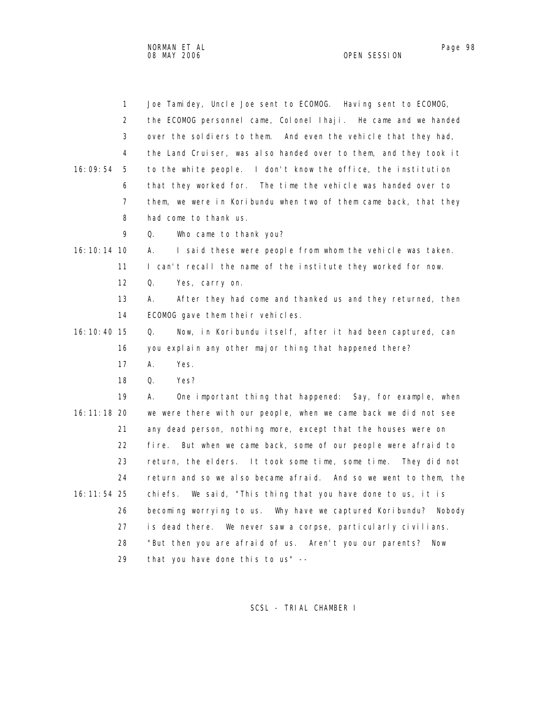NORMAN ET AL Page 98 and the set of the set of the set of the set of the set of the set of the set of the set o 08 MAY 2006 OPEN SESSION

|               | $\mathbf{1}$ | Joe Tamidey, Uncle Joe sent to ECOMOG. Having sent to ECOMOG,    |
|---------------|--------------|------------------------------------------------------------------|
|               | 2            | the ECOMOG personnel came, Colonel Ihaji. He came and we handed  |
|               | 3            | over the soldiers to them. And even the vehicle that they had,   |
|               | 4            | the Land Cruiser, was also handed over to them, and they took it |
| 16:09:54      | 5            | to the white people. I don't know the office, the institution    |
|               | 6            | that they worked for. The time the vehicle was handed over to    |
|               | 7            | them, we were in Koribundu when two of them came back, that they |
|               | 8            | had come to thank us.                                            |
|               | 9            | Who came to thank you?<br>Q.                                     |
| 16: 10: 14 10 |              | I said these were people from whom the vehicle was taken.<br>А.  |
|               | 11           | I can't recall the name of the institute they worked for now.    |
|               | 12           | Q.<br>Yes, carry on.                                             |
|               | 13           | А.<br>After they had come and thanked us and they returned, then |
|               | 14           | ECOMOG gave them their vehicles.                                 |
| 16: 10: 40 15 |              | Now, in Koribundu itself, after it had been captured, can<br>Q.  |
|               | 16           | you explain any other major thing that happened there?           |
|               | 17           | А.<br>Yes.                                                       |
|               | 18           | Q.<br>Yes?                                                       |
|               | 19           | А.<br>One important thing that happened: Say, for example, when  |
| 16: 11: 18 20 |              | we were there with our people, when we came back we did not see  |
|               | 21           | any dead person, nothing more, except that the houses were on    |
|               | 22           | fire. But when we came back, some of our people were afraid to   |
|               | 23           | return, the elders. It took some time, some time. They did not   |
|               | 24           | return and so we also became afraid. And so we went to them, the |
| 16: 11: 54 25 |              | We said, "This thing that you have done to us, it is<br>chi efs. |
|               | 26           | becoming worrying to us. Why have we captured Koribundu? Nobody  |
|               | 27           | is dead there. We never saw a corpse, particularly civilians.    |
|               | 28           | "But then you are afraid of us. Aren't you our parents?<br>Now   |
|               | 29           | that you have done this to us" --                                |
|               |              |                                                                  |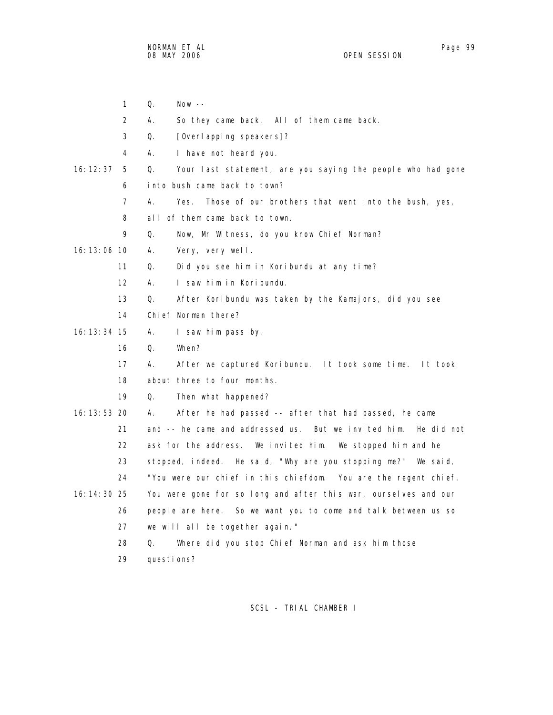1 Q. Now -- 2 A. So they came back. All of them came back. 3 Q. [Overlapping speakers]? 4 A. I have not heard you. 16:12:37 5 Q. Your last statement, are you saying the people who had gone 6 into bush came back to town? 7 A. Yes. Those of our brothers that went into the bush, yes, 8 all of them came back to town. 9 Q. Now, Mr Witness, do you know Chief Norman? 16:13:06 10 A. Very, very well. 11 Q. Did you see him in Koribundu at any time? 12 A. I saw him in Koribundu. 13 Q. After Koribundu was taken by the Kamajors, did you see 14 Chief Norman there? 16:13:34 15 A. I saw him pass by. 16 Q. When? 17 A. After we captured Koribundu. It took some time. It took 18 about three to four months. 19 Q. Then what happened? 16:13:53 20 A. After he had passed -- after that had passed, he came 21 and -- he came and addressed us. But we invited him. He did not 22 ask for the address. We invited him. We stopped him and he 23 stopped, indeed. He said, "Why are you stopping me?" We said, 24 "You were our chief in this chiefdom. You are the regent chief. 16:14:30 25 You were gone for so long and after this war, ourselves and our 26 people are here. So we want you to come and talk between us so 27 we will all be together again." 28 Q. Where did you stop Chief Norman and ask him those 29 questions?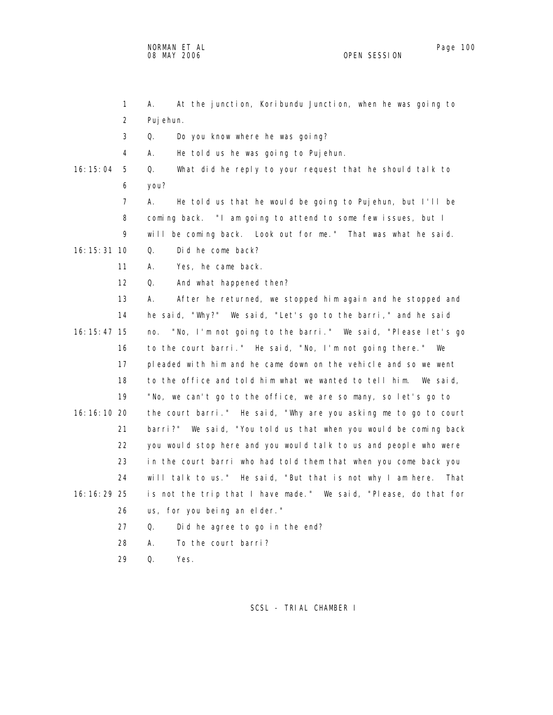|               | 1              | At the junction, Koribundu Junction, when he was going to<br>А.    |
|---------------|----------------|--------------------------------------------------------------------|
|               | $\overline{2}$ | Puj ehun.                                                          |
|               | 3              | Do you know where he was going?<br>Q.                              |
|               | 4              | А.<br>He told us he was going to Pujehun.                          |
| 16:15:04      | 5              | What did he reply to your request that he should talk to<br>Q.     |
|               | 6              | you?                                                               |
|               | 7              | He told us that he would be going to Pujehun, but I'll be<br>А.    |
|               | 8              | coming back. "I am going to attend to some few issues, but I       |
|               | 9              | will be coming back. Look out for me." That was what he said.      |
| $16:15:31$ 10 |                | Did he come back?<br>Q.                                            |
|               | 11             | Yes, he came back.<br>А.                                           |
|               | 12             | $\Omega$ .<br>And what happened then?                              |
|               | 13             | А.<br>After he returned, we stopped him again and he stopped and   |
|               | 14             | he said, "Why?" We said, "Let's go to the barri," and he said      |
| 16: 15: 47 15 |                | "No, I'm not going to the barri." We said, "Please let's go<br>no. |
|               | 16             | to the court barri." He said, "No, I'm not going there." We        |
|               | 17             | pleaded with him and he came down on the vehicle and so we went    |
|               | 18             | to the office and told him what we wanted to tell him.<br>We said, |
|               | 19             | "No, we can't go to the office, we are so many, so let's go to     |
| 16: 16: 10 20 |                | the court barri." He said, "Why are you asking me to go to court   |
|               | 21             | barri?" We said, "You told us that when you would be coming back   |
|               | 22             | you would stop here and you would talk to us and people who were   |
|               | 23             | in the court barri who had told them that when you come back you   |
|               | 24             | will talk to us." He said, "But that is not why I am here. That    |
| 16: 16: 29 25 |                | is not the trip that I have made." We said, "Please, do that for   |
|               | 26             | us, for you being an elder."                                       |
|               | 27             | Q.<br>Did he agree to go in the end?                               |
|               | 28             | А.<br>To the court barri?                                          |
|               | 29             | Q.<br>Yes.                                                         |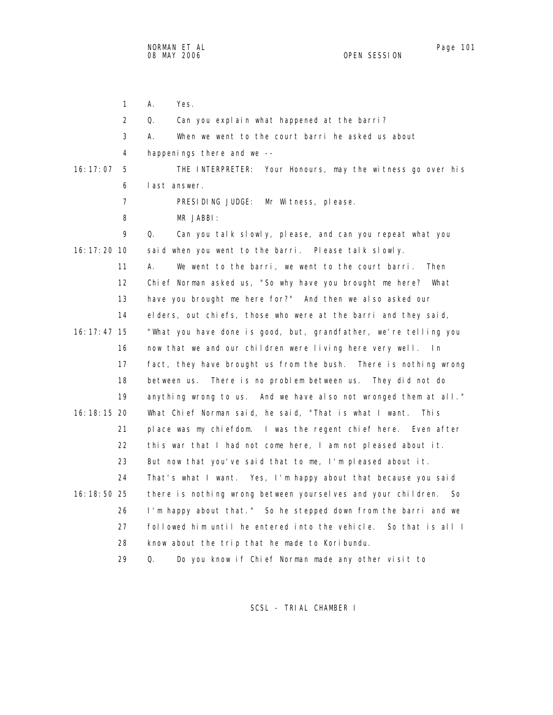1 A. Yes. 2 Q. Can you explain what happened at the barri? 3 A. When we went to the court barri he asked us about 4 happenings there and we -- 16:17:07 5 THE INTERPRETER: Your Honours, may the witness go over his 6 last answer. 7 PRESIDING JUDGE: Mr Witness, please. 8 MR JABBI: 9 Q. Can you talk slowly, please, and can you repeat what you 16:17:20 10 said when you went to the barri. Please talk slowly. 11 A. We went to the barri, we went to the court barri. Then 12 Chief Norman asked us, "So why have you brought me here? What 13 have you brought me here for?" And then we also asked our 14 elders, out chiefs, those who were at the barri and they said, 16:17:47 15 "What you have done is good, but, grandfather, we're telling you 16 now that we and our children were living here very well. In 17 fact, they have brought us from the bush. There is nothing wrong 18 between us. There is no problem between us. They did not do 19 anything wrong to us. And we have also not wronged them at all." 16:18:15 20 What Chief Norman said, he said, "That is what I want. This 21 place was my chiefdom. I was the regent chief here. Even after 22 this war that I had not come here, I am not pleased about it. 23 But now that you've said that to me, I'm pleased about it. 24 That's what I want. Yes, I'm happy about that because you said 16:18:50 25 there is nothing wrong between yourselves and your children. So 26 I'm happy about that." So he stepped down from the barri and we 27 followed him until he entered into the vehicle. So that is all I 28 know about the trip that he made to Koribundu. 29 Q. Do you know if Chief Norman made any other visit to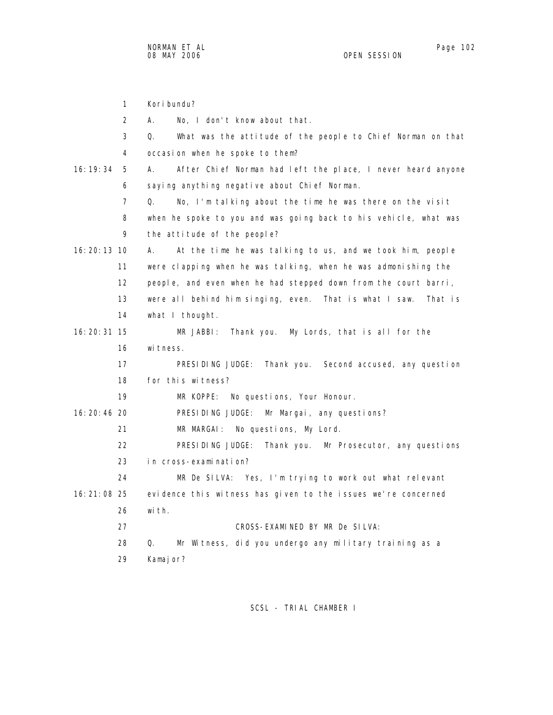1 Koribundu? 2 A. No, I don't know about that. 3 Q. What was the attitude of the people to Chief Norman on that 4 occasion when he spoke to them? 16:19:34 5 A. After Chief Norman had left the place, I never heard anyone 6 saying anything negative about Chief Norman. 7 Q. No, I'm talking about the time he was there on the visit 8 when he spoke to you and was going back to his vehicle, what was 9 the attitude of the people? 16:20:13 10 A. At the time he was talking to us, and we took him, people 11 were clapping when he was talking, when he was admonishing the 12 people, and even when he had stepped down from the court barri, 13 were all behind him singing, even. That is what I saw. That is 14 what I thought. 16:20:31 15 MR JABBI: Thank you. My Lords, that is all for the 16 witness. 17 PRESIDING JUDGE: Thank you. Second accused, any question 18 for this witness? 19 MR KOPPE: No questions, Your Honour. 16:20:46 20 PRESIDING JUDGE: Mr Margai, any questions? 21 MR MARGAI: No questions, My Lord. 22 PRESIDING JUDGE: Thank you. Mr Prosecutor, any questions 23 in cross-examination? 24 MR De SILVA: Yes, I'm trying to work out what relevant 16:21:08 25 evidence this witness has given to the issues we're concerned 26 with. 27 CROSS-EXAMINED BY MR De SILVA: 28 Q. Mr Witness, did you undergo any military training as a 29 Kamajor?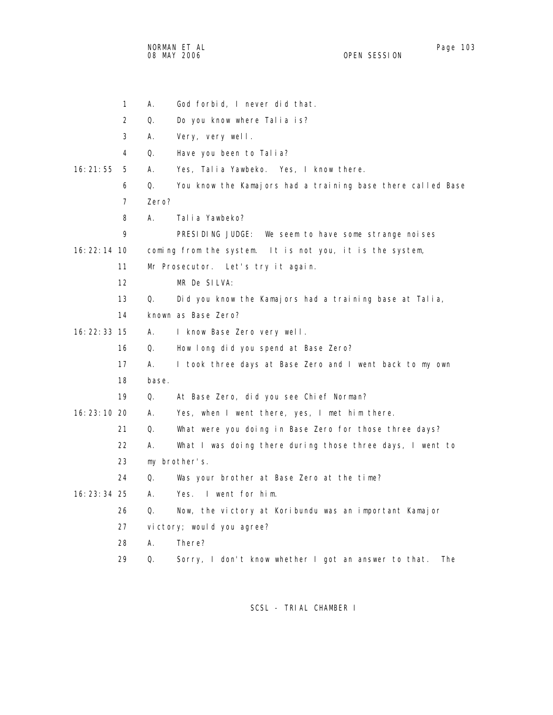NORMAN ET AL Page 103 08 MAY 2006 OPEN SESSION

|               | $\mathbf{1}$   | Α.    | God forbid, I never did that.                               |
|---------------|----------------|-------|-------------------------------------------------------------|
|               | 2              | Q.    | Do you know where Talia is?                                 |
|               | 3              | А.    | Very, very well.                                            |
|               | 4              | Q.    | Have you been to Talia?                                     |
| 16:21:55      | 5              | А.    | Yes, Talia Yawbeko. Yes, I know there.                      |
|               | 6              | Q.    | You know the Kamajors had a training base there called Base |
|               | $\overline{7}$ | Zero? |                                                             |
|               | 8              | А.    | Talia Yawbeko?                                              |
|               | 9              |       | PRESIDING JUDGE: We seem to have some strange noises        |
| $16:22:14$ 10 |                |       | coming from the system. It is not you, it is the system,    |
|               | 11             |       | Mr Prosecutor. Let's try it again.                          |
|               | 12             |       | MR De SILVA:                                                |
|               | 13             | Q.    | Did you know the Kamajors had a training base at Talia,     |
|               | 14             |       | known as Base Zero?                                         |
| 16: 22: 33 15 |                | А.    | I know Base Zero very well.                                 |
|               | 16             | Q.    | How long did you spend at Base Zero?                        |
|               | 17             | А.    | I took three days at Base Zero and I went back to my own    |
|               | 18             | base. |                                                             |
|               | 19             | Q.    | At Base Zero, did you see Chief Norman?                     |
| 16: 23: 10 20 |                | А.    | Yes, when I went there, yes, I met him there.               |
|               | 21             | Q.    | What were you doing in Base Zero for those three days?      |
|               | 22             | А.    | What I was doing there during those three days, I went to   |
|               | 23             |       | my brother's.                                               |
|               | 24             | Q.    | Was your brother at Base Zero at the time?                  |
| $16:23:34$ 25 |                | А.    | Yes. I went for him.                                        |
|               | 26             | Q.    | Now, the victory at Koribundu was an important Kamajor      |
|               | 27             |       | victory; would you agree?                                   |
|               | 28             | А.    | There?                                                      |
|               | 29             | Q.    | Sorry, I don't know whether I got an answer to that.<br>The |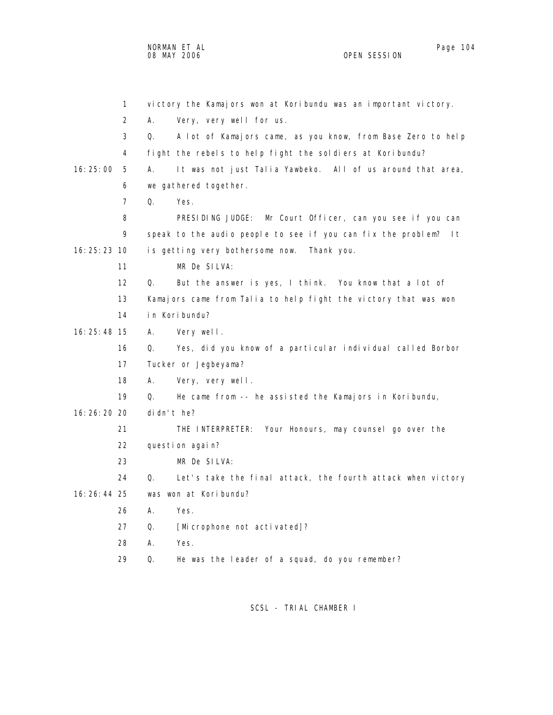NORMAN ET AL Page 104

OPEN SESSION

 1 victory the Kamajors won at Koribundu was an important victory. 2 A. Very, very well for us. 3 Q. A lot of Kamajors came, as you know, from Base Zero to help 4 fight the rebels to help fight the soldiers at Koribundu? 16:25:00 5 A. It was not just Talia Yawbeko. All of us around that area, 6 we gathered together. 7 Q. Yes. 8 PRESIDING JUDGE: Mr Court Officer, can you see if you can 9 speak to the audio people to see if you can fix the problem? It 16:25:23 10 is getting very bothersome now. Thank you. 11 MR De SILVA: 12 Q. But the answer is yes, I think. You know that a lot of 13 Kamajors came from Talia to help fight the victory that was won 14 in Koribundu? 16:25:48 15 A. Very well. 16 Q. Yes, did you know of a particular individual called Borbor 17 Tucker or Jegbeyama? 18 A. Very, very well. 19 Q. He came from -- he assisted the Kamajors in Koribundu, 16:26:20 20 didn't he? 21 THE INTERPRETER: Your Honours, may counsel go over the 22 question again? 23 MR De SILVA: 24 Q. Let's take the final attack, the fourth attack when victory 16:26:44 25 was won at Koribundu? 26 A. Yes. 27 Q. [Microphone not activated]? 28 A. Yes.

29 Q. He was the leader of a squad, do you remember?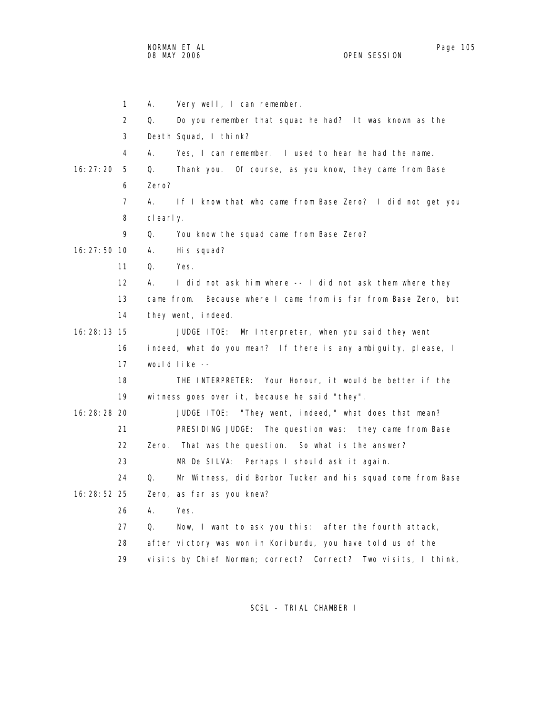NORMAN ET AL Page 105

1 A. Very well, I can remember. 2 Q. Do you remember that squad he had? It was known as the 3 Death Squad, I think? 4 A. Yes, I can remember. I used to hear he had the name. 16:27:20 5 Q. Thank you. Of course, as you know, they came from Base 6 Zero? 7 A. If I know that who came from Base Zero? I did not get you 8 clearly. 9 Q. You know the squad came from Base Zero? 16:27:50 10 A. His squad? 11 Q. Yes. 12 A. I did not ask him where -- I did not ask them where they 13 came from. Because where I came from is far from Base Zero, but 14 they went, indeed. 16:28:13 15 JUDGE ITOE: Mr Interpreter, when you said they went 16 indeed, what do you mean? If there is any ambiguity, please, I 17 would like -- 18 THE INTERPRETER: Your Honour, it would be better if the 19 witness goes over it, because he said "they". 16:28:28 20 JUDGE ITOE: "They went, indeed," what does that mean? 21 PRESIDING JUDGE: The question was: they came from Base 22 Zero. That was the question. So what is the answer? 23 MR De SILVA: Perhaps I should ask it again. 24 Q. Mr Witness, did Borbor Tucker and his squad come from Base 16:28:52 25 Zero, as far as you knew? 26 A. Yes. 27 Q. Now, I want to ask you this: after the fourth attack, 28 after victory was won in Koribundu, you have told us of the 29 visits by Chief Norman; correct? Correct? Two visits, I think,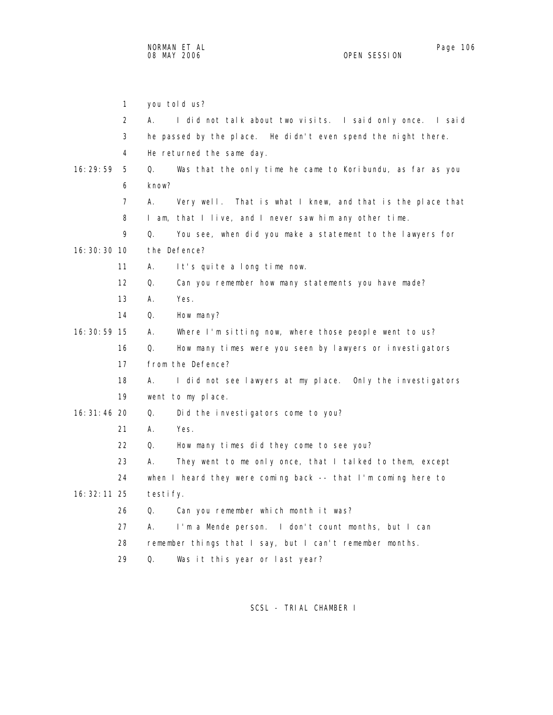|               | $\mathbf{1}$   | you told us?                                                     |  |  |
|---------------|----------------|------------------------------------------------------------------|--|--|
|               | 2              | I did not talk about two visits. I said only once. I said<br>А.  |  |  |
|               | 3              | he passed by the place. He didn't even spend the night there.    |  |  |
|               | 4              | He returned the same day.                                        |  |  |
| 16:29:59      | 5              | Was that the only time he came to Koribundu, as far as you<br>Q. |  |  |
|               | 6              | know?                                                            |  |  |
|               | $\overline{7}$ | А.<br>Very well. That is what I knew, and that is the place that |  |  |
|               | 8              | I am, that I live, and I never saw him any other time.           |  |  |
|               | 9              | Q.<br>You see, when did you make a statement to the lawyers for  |  |  |
| $16:30:30$ 10 |                | the Defence?                                                     |  |  |
|               | 11             | А.<br>It's quite a long time now.                                |  |  |
|               | 12             | Q.<br>Can you remember how many statements you have made?        |  |  |
|               | 13             | А.<br>Yes.                                                       |  |  |
|               | 14             | Q.<br>How many?                                                  |  |  |
| 16: 30: 59 15 |                | Where I'm sitting now, where those people went to us?<br>А.      |  |  |
|               | 16             | Q.<br>How many times were you seen by lawyers or investigators   |  |  |
|               | 17             | from the Defence?                                                |  |  |
|               | 18             | I did not see lawyers at my place. Only the investigators<br>А.  |  |  |
|               | 19             | went to my place.                                                |  |  |
| 16: 31: 46 20 |                | Q.<br>Did the investigators come to you?                         |  |  |
|               | 21             | А.<br>Yes.                                                       |  |  |
|               | 22             | Q.<br>How many times did they come to see you?                   |  |  |
|               | 23             | А.<br>They went to me only once, that I talked to them, except   |  |  |
|               | 24             | when I heard they were coming back -- that I'm coming here to    |  |  |
| 16: 32: 11 25 |                | testi fy.                                                        |  |  |
|               | 26             | Can you remember which month it was?<br>Q.                       |  |  |
|               | 27             | А.<br>I'm a Mende person. I don't count months, but I can        |  |  |
| 28            |                | remember things that I say, but I can't remember months.         |  |  |
|               | 29             | Q.<br>Was it this year or last year?                             |  |  |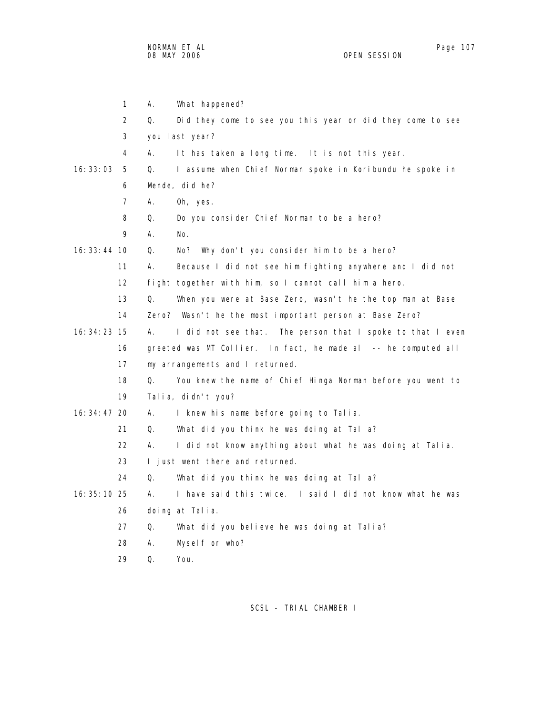NORMAN ET AL Page 107 08 MAY 2006

 1 A. What happened? 2 Q. Did they come to see you this year or did they come to see 3 you last year? 4 A. It has taken a long time. It is not this year. 16:33:03 5 Q. I assume when Chief Norman spoke in Koribundu he spoke in 6 Mende, did he? 7 A. Oh, yes. 8 Q. Do you consider Chief Norman to be a hero? 9 A. No. 16:33:44 10 Q. No? Why don't you consider him to be a hero? 11 A. Because I did not see him fighting anywhere and I did not 12 fight together with him, so I cannot call him a hero. 13 Q. When you were at Base Zero, wasn't he the top man at Base 14 Zero? Wasn't he the most important person at Base Zero? 16:34:23 15 A. I did not see that. The person that I spoke to that I even 16 greeted was MT Collier. In fact, he made all -- he computed all 17 my arrangements and I returned. 18 Q. You knew the name of Chief Hinga Norman before you went to 19 Talia, didn't you? 16:34:47 20 A. I knew his name before going to Talia. 21 Q. What did you think he was doing at Talia? 22 A. I did not know anything about what he was doing at Talia. 23 I just went there and returned. 24 Q. What did you think he was doing at Talia? 16:35:10 25 A. I have said this twice. I said I did not know what he was 26 doing at Talia. 27 Q. What did you believe he was doing at Talia? 28 A. Myself or who? 29 Q. You.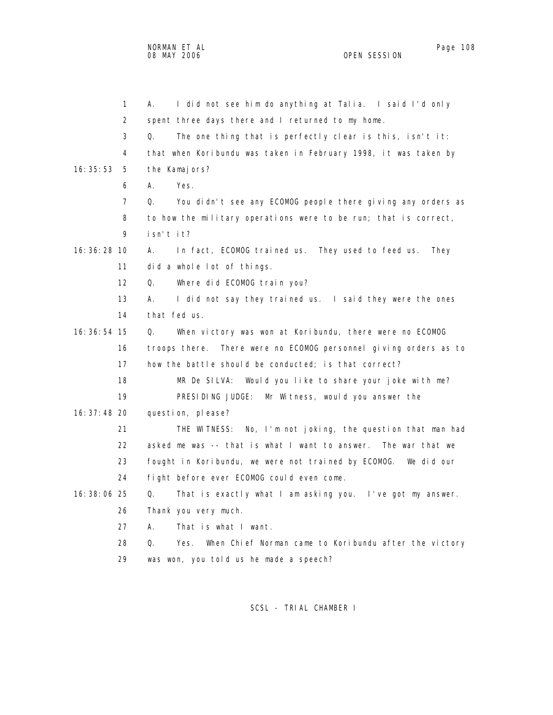|               | 1  | I did not see him do anything at Talia. I said I'd only<br>А.       |
|---------------|----|---------------------------------------------------------------------|
|               | 2  | spent three days there and I returned to my home.                   |
|               | 3  | The one thing that is perfectly clear is this, isn't it:<br>Q.      |
|               | 4  | that when Koribundu was taken in February 1998, it was taken by     |
| 16:35:53      | 5  | the Kamajors?                                                       |
|               | 6  | Yes.<br>А.                                                          |
|               | 7  | Q.<br>You didn't see any ECOMOG people there giving any orders as   |
|               | 8  | to how the military operations were to be run; that is correct,     |
|               | 9  | isn't it?                                                           |
| $16:36:28$ 10 |    | In fact, ECOMOG trained us. They used to feed us.<br>А.<br>They     |
|               | 11 | did a whole lot of things.                                          |
|               | 12 | Q.<br>Where did ECOMOG train you?                                   |
|               | 13 | А.<br>I did not say they trained us. I said they were the ones      |
|               | 14 | that fed us.                                                        |
| 16: 36: 54 15 |    | When victory was won at Koribundu, there were no ECOMOG<br>Q.       |
|               | 16 | troops there. There were no ECOMOG personnel giving orders as to    |
|               | 17 | how the battle should be conducted; is that correct?                |
|               | 18 | MR De SILVA:<br>Would you like to share your joke with me?          |
|               | 19 | PRESIDING JUDGE: Mr Witness, would you answer the                   |
| 16: 37: 48 20 |    | question, please?                                                   |
|               | 21 | THE WITNESS: No, I'm not joking, the question that man had          |
|               | 22 | asked me was -- that is what I want to answer.<br>The war that we   |
|               | 23 | fought in Koribundu, we were not trained by ECOMOG. We did our      |
|               | 24 | fight before ever ECOMOG could even come.                           |
| 16: 38: 06 25 |    | That is exactly what I am asking you. I've got my answer.<br>Q.     |
|               | 26 | Thank you very much.                                                |
|               | 27 | That is what I want.<br>А.                                          |
|               | 28 | When Chief Norman came to Koribundu after the victory<br>Q.<br>Yes. |
|               | 29 | was won, you told us he made a speech?                              |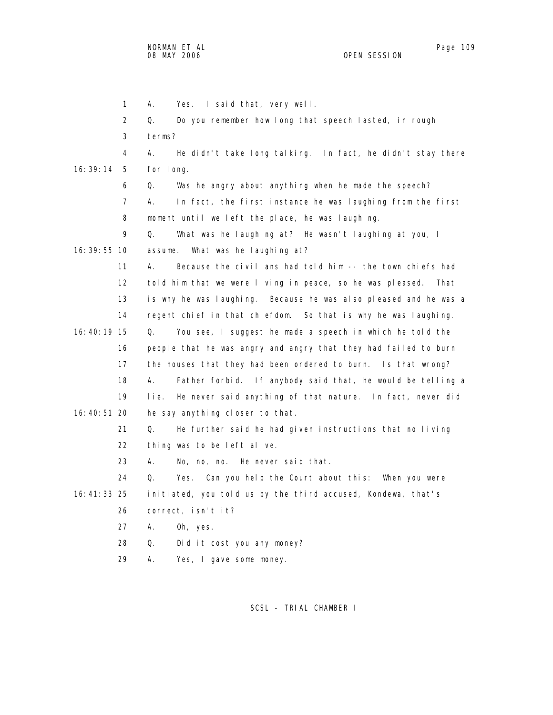|                 | $\mathbf{1}$    | Yes. I said that, very well.<br>А.                                |
|-----------------|-----------------|-------------------------------------------------------------------|
|                 | 2               | Do you remember how long that speech lasted, in rough<br>Q.       |
|                 | 3               | terms?                                                            |
|                 | 4               | He didn't take long talking. In fact, he didn't stay there<br>А.  |
| 16:39:14        | 5               | for long.                                                         |
|                 | 6               | Was he angry about anything when he made the speech?<br>Q.        |
|                 | $\overline{7}$  | А.<br>In fact, the first instance he was laughing from the first  |
|                 | 8               | moment until we left the place, he was laughing.                  |
|                 | 9               | Q.<br>What was he laughing at? He wasn't laughing at you, I       |
| $16:39:55$ 10   |                 | What was he laughing at?<br>assume.                               |
|                 | 11              | Because the civilians had told him -- the town chiefs had<br>А.   |
|                 | 12 <sup>2</sup> | told him that we were living in peace, so he was pleased. That    |
|                 | 13              | is why he was laughing. Because he was also pleased and he was a  |
|                 | 14              | regent chief in that chiefdom. So that is why he was laughing.    |
| 16:40:19 15     |                 | Q.<br>You see, I suggest he made a speech in which he told the    |
|                 | 16              | people that he was angry and angry that they had failed to burn   |
|                 | 17              | the houses that they had been ordered to burn. Is that wrong?     |
|                 | 18              | Father forbid. If anybody said that, he would be telling a<br>А.  |
|                 | 19              | He never said anything of that nature. In fact, never did<br>lie. |
| 16:40:51 20     |                 | he say anything closer to that.                                   |
|                 | 21              | Q.<br>He further said he had given instructions that no living    |
|                 | 22              | thing was to be left alive.                                       |
|                 | 23              | А.<br>No, no, no. He never said that.                             |
|                 | 24              | Q.<br>Yes. Can you help the Court about this: When you were       |
| $16: 41: 33$ 25 |                 | initiated, you told us by the third accused, Kondewa, that's      |
|                 | 26              | correct, isn't it?                                                |
|                 | 27              | Α.<br>Oh, yes.                                                    |
|                 | 28              | Did it cost you any money?<br>Q.                                  |
|                 | 29              | Α.<br>Yes, I gave some money.                                     |
|                 |                 |                                                                   |

SCSL - TRIAL CHAMBER I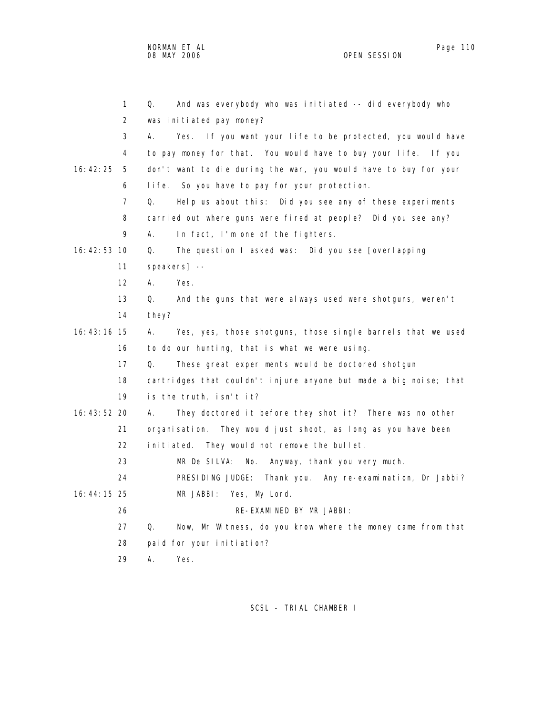1 Q. And was everybody who was initiated -- did everybody who 2 was initiated pay money? 3 A. Yes. If you want your life to be protected, you would have 4 to pay money for that. You would have to buy your life. If you 16:42:25 5 don't want to die during the war, you would have to buy for your 6 life. So you have to pay for your protection. 7 Q. Help us about this: Did you see any of these experiments 8 carried out where guns were fired at people? Did you see any? 9 A. In fact, I'm one of the fighters. 16:42:53 10 Q. The question I asked was: Did you see [overlapping 11 speakers] -- 12 A. Yes. 13 Q. And the guns that were always used were shotguns, weren't 14 they? 16:43:16 15 A. Yes, yes, those shotguns, those single barrels that we used 16 to do our hunting, that is what we were using. 17 Q. These great experiments would be doctored shotgun 18 cartridges that couldn't injure anyone but made a big noise; that 19 is the truth, isn't it? 16:43:52 20 A. They doctored it before they shot it? There was no other 21 organisation. They would just shoot, as long as you have been 22 initiated. They would not remove the bullet. 23 MR De SILVA: No. Anyway, thank you very much. 24 PRESIDING JUDGE: Thank you. Any re-examination, Dr Jabbi? 16:44:15 25 MR JABBI: Yes, My Lord. 26 RE-EXAMINED BY MR JABBI: 27 Q. Now, Mr Witness, do you know where the money came from that 28 paid for your initiation?

29 A. Yes.

SCSL - TRIAL CHAMBER I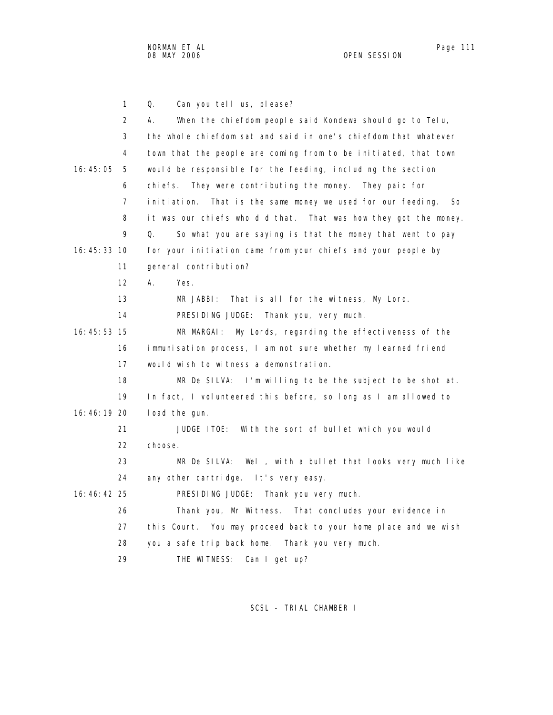NORMAN ET AL Page 111 08 MAY 2006 OPEN SESSION

|               | 1                 | Q.<br>Can you tell us, please?                                           |
|---------------|-------------------|--------------------------------------------------------------------------|
|               | $\overline{2}$    | When the chiefdom people said Kondewa should go to Telu,<br>А.           |
|               | 3                 | the whole chiefdom sat and said in one's chiefdom that whatever          |
|               | 4                 | town that the people are coming from to be initiated, that town          |
| 16:45:05      | 5                 | would be responsible for the feeding, including the section              |
|               | 6                 | They were contributing the money. They paid for<br>chi efs.              |
|               | 7                 | That is the same money we used for our feeding.<br>i ni ti ati on.<br>So |
|               | 8                 | it was our chiefs who did that. That was how they got the money.         |
|               | 9                 | Q.<br>So what you are saying is that the money that went to pay          |
| $16:45:33$ 10 |                   | for your initiation came from your chiefs and your people by             |
|               | 11                | general contribution?                                                    |
|               | $12 \overline{ }$ | А.<br>Yes.                                                               |
|               | 13                | That is all for the witness, My Lord.<br>MR JABBI:                       |
|               | 14                | PRESIDING JUDGE: Thank you, very much.                                   |
| $16:45:53$ 15 |                   | MR MARGAI:<br>My Lords, regarding the effectiveness of the               |
|               | 16                | immunisation process, I am not sure whether my learned friend            |
|               | 17                | would wish to witness a demonstration.                                   |
|               | 18                | MR De SILVA: I'm willing to be the subject to be shot at.                |
|               | 19                | In fact, I volunteered this before, so long as I am allowed to           |
| 16:46:19 20   |                   | load the gun.                                                            |
|               | 21                | JUDGE ITOE: With the sort of bullet which you would                      |
|               | 22                | choose.                                                                  |
|               | 23                | MR De SILVA: Well, with a bullet that looks very much like               |
|               | 24                | any other cartridge. It's very easy.                                     |
| 16: 46: 42 25 |                   | PRESIDING JUDGE: Thank you very much.                                    |
|               | 26                | Thank you, Mr Witness. That concludes your evidence in                   |
|               | 27                | this Court. You may proceed back to your home place and we wish          |
|               | 28                | you a safe trip back home. Thank you very much.                          |
|               | 29                | THE WITNESS:<br>Can I get up?                                            |

SCSL - TRIAL CHAMBER I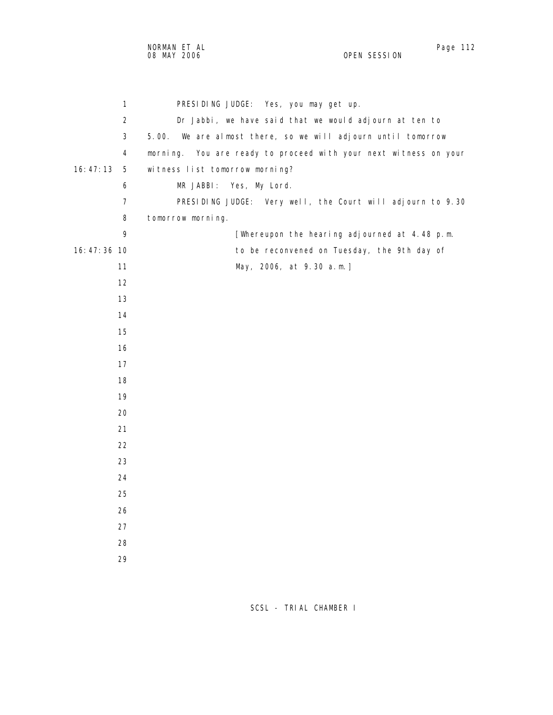1 PRESIDING JUDGE: Yes, you may get up. 2 Dr Jabbi, we have said that we would adjourn at ten to 3 5.00. We are almost there, so we will adjourn until tomorrow 4 morning. You are ready to proceed with your next witness on your 16:47:13 5 witness list tomorrow morning? 6 MR JABBI: Yes, My Lord. 7 PRESIDING JUDGE: Very well, the Court will adjourn to 9.30 8 tomorrow morning. 9 [Whereupon the hearing adjourned at 4.48 p.m. 16:47:36 10 to be reconvened on Tuesday, the 9th day of 11 May, 2006, at 9.30 a.m.] 12 13 14 15 16 17 18 19 20 21 22 23 24 25 26 27 28 29